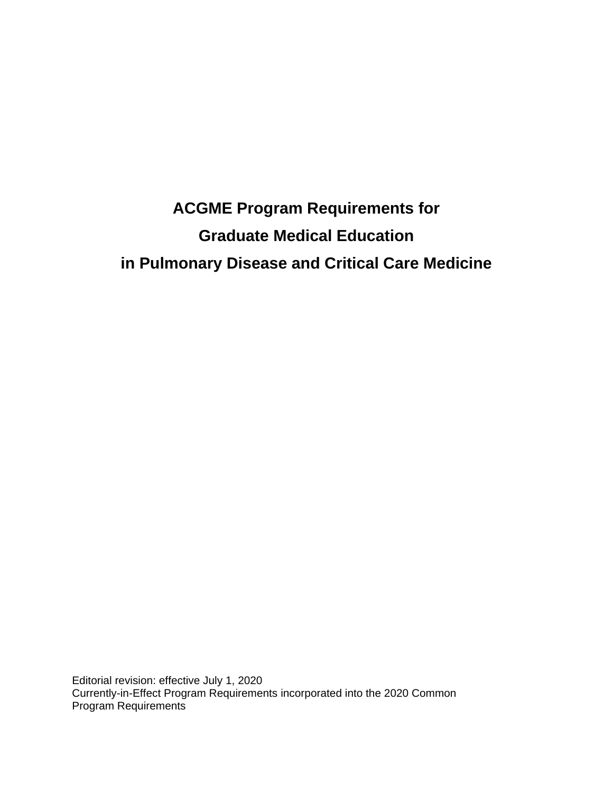# **ACGME Program Requirements for Graduate Medical Education in Pulmonary Disease and Critical Care Medicine**

Editorial revision: effective July 1, 2020 Currently-in-Effect Program Requirements incorporated into the 2020 Common Program Requirements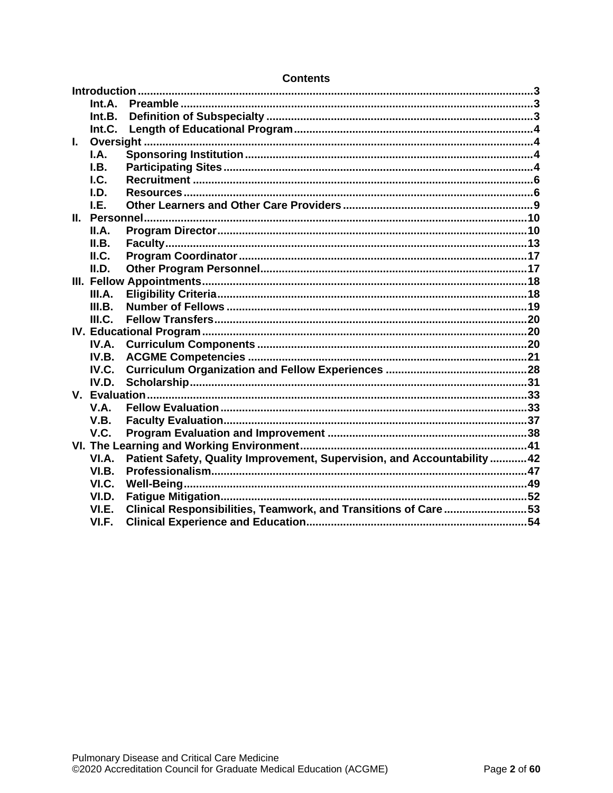|              | Int.A. |                                                                          |  |
|--------------|--------|--------------------------------------------------------------------------|--|
|              | Int.B. |                                                                          |  |
|              | Int.C. |                                                                          |  |
| $\mathbf{L}$ |        |                                                                          |  |
|              | I.A.   |                                                                          |  |
|              | I.B.   |                                                                          |  |
|              | I.C.   |                                                                          |  |
|              | I.D.   |                                                                          |  |
|              | I.E.   |                                                                          |  |
|              |        |                                                                          |  |
|              | II.A.  |                                                                          |  |
|              | II.B.  |                                                                          |  |
|              | ILC.   |                                                                          |  |
|              | II.D.  |                                                                          |  |
|              |        |                                                                          |  |
|              | III.A. |                                                                          |  |
|              | III.B. |                                                                          |  |
|              | III.C. |                                                                          |  |
|              |        |                                                                          |  |
|              | IV.A.  |                                                                          |  |
|              | IV.B.  |                                                                          |  |
|              | IV.C.  |                                                                          |  |
|              | IV.D.  |                                                                          |  |
|              |        |                                                                          |  |
|              | V.A.   |                                                                          |  |
|              | V.B.   |                                                                          |  |
|              | V.C.   |                                                                          |  |
|              |        |                                                                          |  |
|              | VI.A.  | Patient Safety, Quality Improvement, Supervision, and Accountability  42 |  |
|              | VI.B.  |                                                                          |  |
|              | VI.C.  |                                                                          |  |
|              | VI.D.  |                                                                          |  |
|              | VI.E.  | Clinical Responsibilities, Teamwork, and Transitions of Care53           |  |
|              | VI.F.  |                                                                          |  |
|              |        |                                                                          |  |

#### **Contents**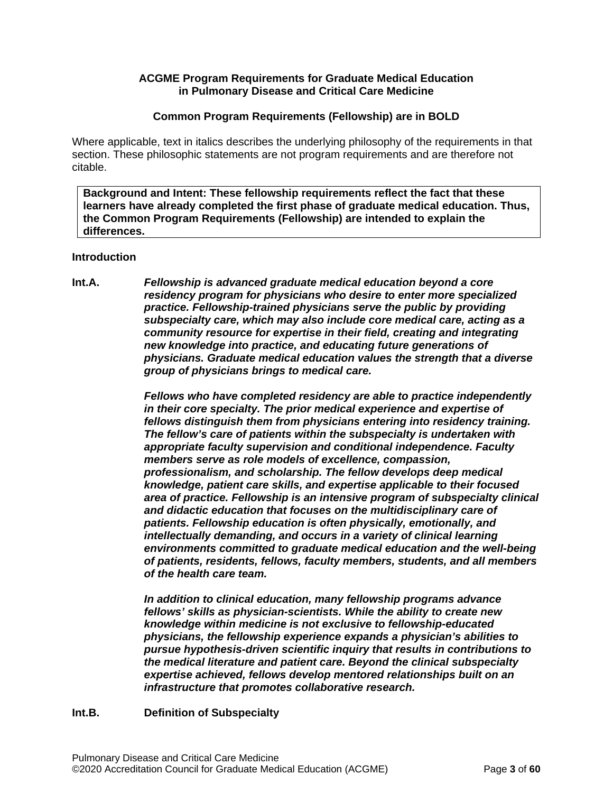### **ACGME Program Requirements for Graduate Medical Education in Pulmonary Disease and Critical Care Medicine**

#### **Common Program Requirements (Fellowship) are in BOLD**

Where applicable, text in italics describes the underlying philosophy of the requirements in that section. These philosophic statements are not program requirements and are therefore not citable.

**Background and Intent: These fellowship requirements reflect the fact that these learners have already completed the first phase of graduate medical education. Thus, the Common Program Requirements (Fellowship) are intended to explain the differences.**

#### <span id="page-2-0"></span>**Introduction**

<span id="page-2-1"></span>**Int.A.** *Fellowship is advanced graduate medical education beyond a core residency program for physicians who desire to enter more specialized practice. Fellowship-trained physicians serve the public by providing subspecialty care, which may also include core medical care, acting as a community resource for expertise in their field, creating and integrating new knowledge into practice, and educating future generations of physicians. Graduate medical education values the strength that a diverse group of physicians brings to medical care.*

> *Fellows who have completed residency are able to practice independently in their core specialty. The prior medical experience and expertise of fellows distinguish them from physicians entering into residency training. The fellow's care of patients within the subspecialty is undertaken with appropriate faculty supervision and conditional independence. Faculty members serve as role models of excellence, compassion, professionalism, and scholarship. The fellow develops deep medical knowledge, patient care skills, and expertise applicable to their focused area of practice. Fellowship is an intensive program of subspecialty clinical and didactic education that focuses on the multidisciplinary care of patients. Fellowship education is often physically, emotionally, and intellectually demanding, and occurs in a variety of clinical learning environments committed to graduate medical education and the well-being of patients, residents, fellows, faculty members, students, and all members of the health care team.*

*In addition to clinical education, many fellowship programs advance fellows' skills as physician-scientists. While the ability to create new knowledge within medicine is not exclusive to fellowship-educated physicians, the fellowship experience expands a physician's abilities to pursue hypothesis-driven scientific inquiry that results in contributions to the medical literature and patient care. Beyond the clinical subspecialty expertise achieved, fellows develop mentored relationships built on an infrastructure that promotes collaborative research.*

## <span id="page-2-2"></span>**Int.B. Definition of Subspecialty**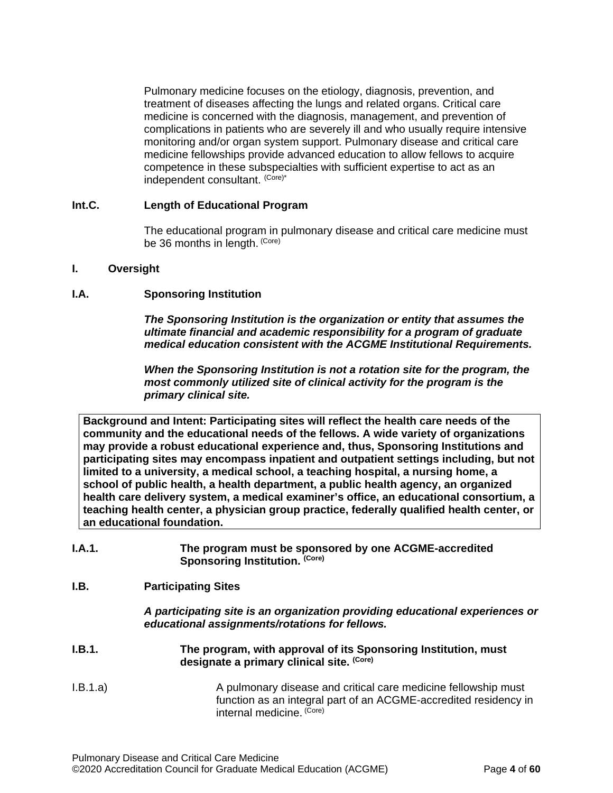Pulmonary medicine focuses on the etiology, diagnosis, prevention, and treatment of diseases affecting the lungs and related organs. Critical care medicine is concerned with the diagnosis, management, and prevention of complications in patients who are severely ill and who usually require intensive monitoring and/or organ system support. Pulmonary disease and critical care medicine fellowships provide advanced education to allow fellows to acquire competence in these subspecialties with sufficient expertise to act as an independent consultant. (Core)\*

## <span id="page-3-0"></span>**Int.C. Length of Educational Program**

The educational program in pulmonary disease and critical care medicine must be 36 months in length. (Core)

#### <span id="page-3-1"></span>**I. Oversight**

#### <span id="page-3-2"></span>**I.A. Sponsoring Institution**

*The Sponsoring Institution is the organization or entity that assumes the ultimate financial and academic responsibility for a program of graduate medical education consistent with the ACGME Institutional Requirements.*

*When the Sponsoring Institution is not a rotation site for the program, the most commonly utilized site of clinical activity for the program is the primary clinical site.*

**Background and Intent: Participating sites will reflect the health care needs of the community and the educational needs of the fellows. A wide variety of organizations may provide a robust educational experience and, thus, Sponsoring Institutions and participating sites may encompass inpatient and outpatient settings including, but not limited to a university, a medical school, a teaching hospital, a nursing home, a school of public health, a health department, a public health agency, an organized health care delivery system, a medical examiner's office, an educational consortium, a teaching health center, a physician group practice, federally qualified health center, or an educational foundation.**

| I.A.1. | The program must be sponsored by one ACGME-accredited |
|--------|-------------------------------------------------------|
|        | Sponsoring Institution. (Core)                        |

#### <span id="page-3-3"></span>**I.B. Participating Sites**

*A participating site is an organization providing educational experiences or educational assignments/rotations for fellows.*

- **I.B.1. The program, with approval of its Sponsoring Institution, must designate a primary clinical site. (Core)**
- I.B.1.a) A pulmonary disease and critical care medicine fellowship must function as an integral part of an ACGME-accredited residency in internal medicine. (Core)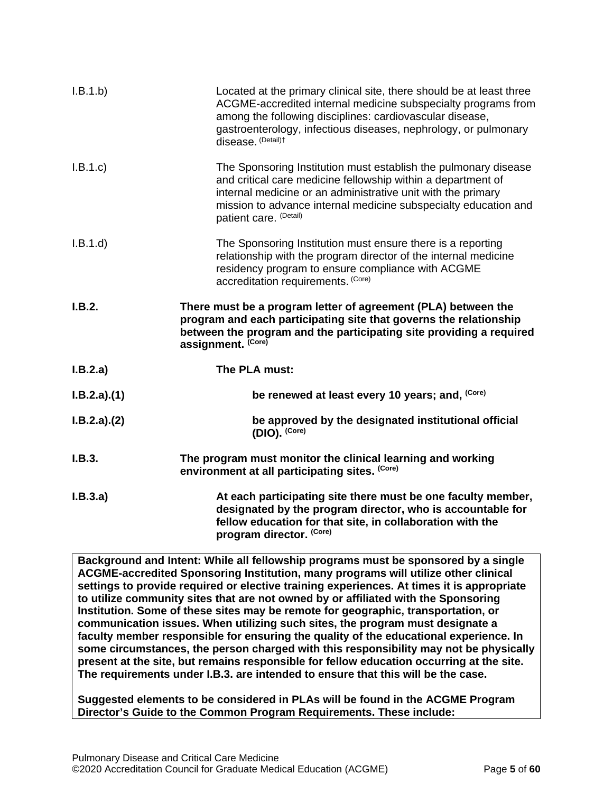| I.B.1.b)    | Located at the primary clinical site, there should be at least three<br>ACGME-accredited internal medicine subspecialty programs from<br>among the following disciplines: cardiovascular disease,<br>gastroenterology, infectious diseases, nephrology, or pulmonary<br>disease. (Detail)t   |
|-------------|----------------------------------------------------------------------------------------------------------------------------------------------------------------------------------------------------------------------------------------------------------------------------------------------|
| I.B.1.c     | The Sponsoring Institution must establish the pulmonary disease<br>and critical care medicine fellowship within a department of<br>internal medicine or an administrative unit with the primary<br>mission to advance internal medicine subspecialty education and<br>patient care. (Detail) |
| I.B.1.d     | The Sponsoring Institution must ensure there is a reporting<br>relationship with the program director of the internal medicine<br>residency program to ensure compliance with ACGME<br>accreditation requirements. (Core)                                                                    |
| I.B.2.      | There must be a program letter of agreement (PLA) between the<br>program and each participating site that governs the relationship<br>between the program and the participating site providing a required<br>assignment. (Core)                                                              |
| I.B.2.a)    | The PLA must:                                                                                                                                                                                                                                                                                |
| I.B.2.a)(1) | be renewed at least every 10 years; and, (Core)                                                                                                                                                                                                                                              |
| I.B.2.a)(2) | be approved by the designated institutional official<br>(DIO). (Core)                                                                                                                                                                                                                        |
| I.B.3.      | The program must monitor the clinical learning and working<br>environment at all participating sites. (Core)                                                                                                                                                                                 |
| I.B.3.a)    | At each participating site there must be one faculty member,<br>designated by the program director, who is accountable for<br>fellow education for that site, in collaboration with the<br>program director. (Core)                                                                          |

**Background and Intent: While all fellowship programs must be sponsored by a single ACGME-accredited Sponsoring Institution, many programs will utilize other clinical settings to provide required or elective training experiences. At times it is appropriate to utilize community sites that are not owned by or affiliated with the Sponsoring Institution. Some of these sites may be remote for geographic, transportation, or communication issues. When utilizing such sites, the program must designate a faculty member responsible for ensuring the quality of the educational experience. In some circumstances, the person charged with this responsibility may not be physically present at the site, but remains responsible for fellow education occurring at the site. The requirements under I.B.3. are intended to ensure that this will be the case.**

**Suggested elements to be considered in PLAs will be found in the ACGME Program Director's Guide to the Common Program Requirements. These include:**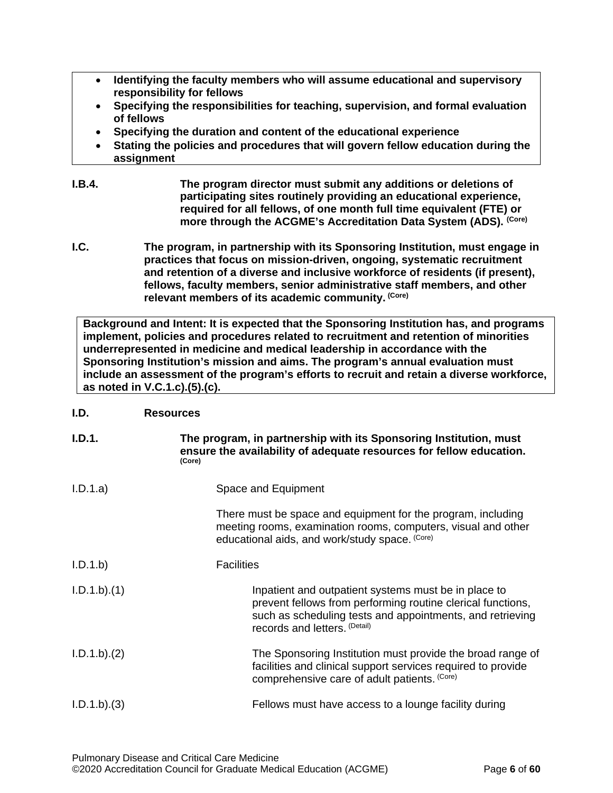- **Identifying the faculty members who will assume educational and supervisory responsibility for fellows**
- **Specifying the responsibilities for teaching, supervision, and formal evaluation of fellows**
- **Specifying the duration and content of the educational experience**
- **Stating the policies and procedures that will govern fellow education during the assignment**
- **I.B.4. The program director must submit any additions or deletions of participating sites routinely providing an educational experience, required for all fellows, of one month full time equivalent (FTE) or more through the ACGME's Accreditation Data System (ADS). (Core)**
- <span id="page-5-0"></span>**I.C. The program, in partnership with its Sponsoring Institution, must engage in practices that focus on mission-driven, ongoing, systematic recruitment and retention of a diverse and inclusive workforce of residents (if present), fellows, faculty members, senior administrative staff members, and other relevant members of its academic community. (Core)**

**Background and Intent: It is expected that the Sponsoring Institution has, and programs implement, policies and procedures related to recruitment and retention of minorities underrepresented in medicine and medical leadership in accordance with the Sponsoring Institution's mission and aims. The program's annual evaluation must include an assessment of the program's efforts to recruit and retain a diverse workforce, as noted in V.C.1.c).(5).(c).**

## <span id="page-5-1"></span>**I.D. Resources**

| I.D.1.          | The program, in partnership with its Sponsoring Institution, must<br>ensure the availability of adequate resources for fellow education.<br>(Core)                                                                |
|-----------------|-------------------------------------------------------------------------------------------------------------------------------------------------------------------------------------------------------------------|
| I.D.1.a)        | Space and Equipment                                                                                                                                                                                               |
|                 | There must be space and equipment for the program, including<br>meeting rooms, examination rooms, computers, visual and other<br>educational aids, and work/study space. (Core)                                   |
| I.D.1.b         | <b>Facilities</b>                                                                                                                                                                                                 |
| $I.D.1.b$ $(1)$ | Inpatient and outpatient systems must be in place to<br>prevent fellows from performing routine clerical functions,<br>such as scheduling tests and appointments, and retrieving<br>records and letters. (Detail) |
| I.D.1.b). (2)   | The Sponsoring Institution must provide the broad range of<br>facilities and clinical support services required to provide<br>comprehensive care of adult patients. (Core)                                        |
| $I.D.1.b).$ (3) | Fellows must have access to a lounge facility during                                                                                                                                                              |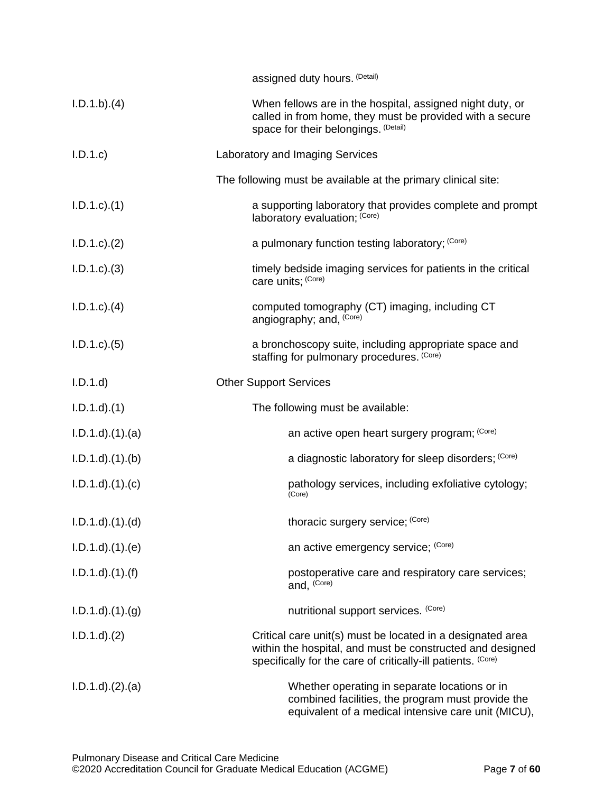|                        | assigned duty hours. (Detail)                                                                                                                                                           |
|------------------------|-----------------------------------------------------------------------------------------------------------------------------------------------------------------------------------------|
| I.D.1.b).(4)           | When fellows are in the hospital, assigned night duty, or<br>called in from home, they must be provided with a secure<br>space for their belongings. (Detail)                           |
| I.D.1.c                | Laboratory and Imaging Services                                                                                                                                                         |
|                        | The following must be available at the primary clinical site:                                                                                                                           |
| $I.D.1.c$ $(1)$        | a supporting laboratory that provides complete and prompt<br>laboratory evaluation; (Core)                                                                                              |
| $I.D.1.c$ $(2)$        | a pulmonary function testing laboratory; (Core)                                                                                                                                         |
| $I.D.1.c$ $(3)$        | timely bedside imaging services for patients in the critical<br>care units; (Core)                                                                                                      |
| $I.D.1.c$ $(4)$        | computed tomography (CT) imaging, including CT<br>angiography; and, (Core)                                                                                                              |
| $I.D.1.c$ $(5)$        | a bronchoscopy suite, including appropriate space and<br>staffing for pulmonary procedures. (Core)                                                                                      |
| I.D.1.d                | <b>Other Support Services</b>                                                                                                                                                           |
| $I.D.1.d$ $(1)$        | The following must be available:                                                                                                                                                        |
| $I.D.1.d$ $(1).$ $(a)$ | an active open heart surgery program; (Core)                                                                                                                                            |
| $I.D.1.d$ $(1).$ (b)   | a diagnostic laboratory for sleep disorders; (Core)                                                                                                                                     |
| $I.D.1.d$ $(1).$ $(c)$ | pathology services, including exfoliative cytology;<br>(Core)                                                                                                                           |
| $I.D.1.d$ $(1).d$      | thoracic surgery service; (Core)                                                                                                                                                        |
| $I.D.1.d$ $(1).e)$     | an active emergency service; (Core)                                                                                                                                                     |
| $I.D.1.d$ $(1).(f)$    | postoperative care and respiratory care services;<br>and, (Core)                                                                                                                        |
| $I.D.1.d$ $(1).(g)$    | nutritional support services. (Core)                                                                                                                                                    |
| $I.D.1.d$ $(2)$        | Critical care unit(s) must be located in a designated area<br>within the hospital, and must be constructed and designed<br>specifically for the care of critically-ill patients. (Core) |
| $I.D.1.d$ $(2).$ $(a)$ | Whether operating in separate locations or in<br>combined facilities, the program must provide the<br>equivalent of a medical intensive care unit (MICU),                               |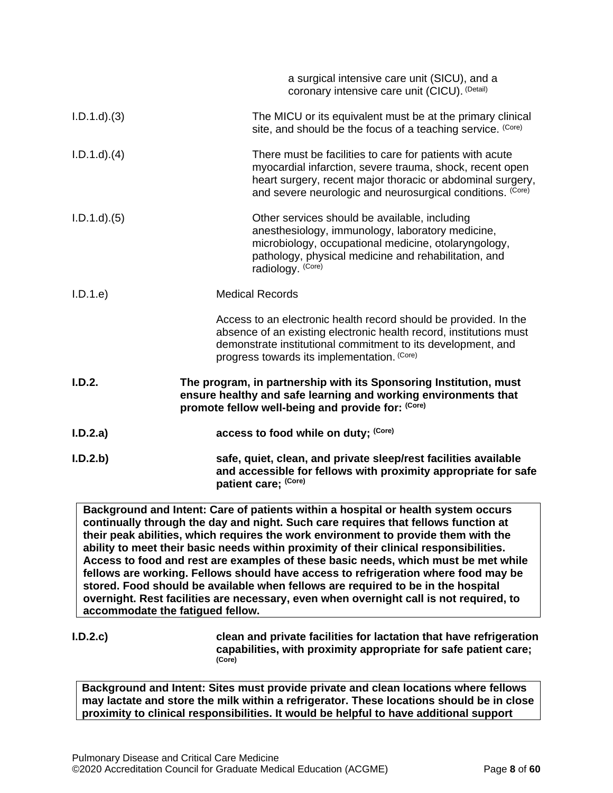|                 | a surgical intensive care unit (SICU), and a<br>coronary intensive care unit (CICU). (Detail)                                                                                                                                                         |
|-----------------|-------------------------------------------------------------------------------------------------------------------------------------------------------------------------------------------------------------------------------------------------------|
| $I.D.1.d$ $(3)$ | The MICU or its equivalent must be at the primary clinical<br>site, and should be the focus of a teaching service. (Core)                                                                                                                             |
| $I.D.1.d$ $(4)$ | There must be facilities to care for patients with acute<br>myocardial infarction, severe trauma, shock, recent open<br>heart surgery, recent major thoracic or abdominal surgery,<br>and severe neurologic and neurosurgical conditions. (Core)      |
| $I.D.1.d$ $(5)$ | Other services should be available, including<br>anesthesiology, immunology, laboratory medicine,<br>microbiology, occupational medicine, otolaryngology,<br>pathology, physical medicine and rehabilitation, and<br>radiology. (Core)                |
| I.D.1.e         | <b>Medical Records</b>                                                                                                                                                                                                                                |
|                 | Access to an electronic health record should be provided. In the<br>absence of an existing electronic health record, institutions must<br>demonstrate institutional commitment to its development, and<br>progress towards its implementation. (Core) |
| I.D.2.          | The program, in partnership with its Sponsoring Institution, must<br>ensure healthy and safe learning and working environments that<br>promote fellow well-being and provide for: (Core)                                                              |
| I.D.2.a)        | access to food while on duty; (Core)                                                                                                                                                                                                                  |
| I.D.2.b)        | safe, quiet, clean, and private sleep/rest facilities available<br>and accessible for fellows with proximity appropriate for safe<br>patient care; (Core)                                                                                             |

**Background and Intent: Care of patients within a hospital or health system occurs continually through the day and night. Such care requires that fellows function at their peak abilities, which requires the work environment to provide them with the ability to meet their basic needs within proximity of their clinical responsibilities. Access to food and rest are examples of these basic needs, which must be met while fellows are working. Fellows should have access to refrigeration where food may be stored. Food should be available when fellows are required to be in the hospital overnight. Rest facilities are necessary, even when overnight call is not required, to accommodate the fatigued fellow.**

**I.D.2.c) clean and private facilities for lactation that have refrigeration capabilities, with proximity appropriate for safe patient care; (Core)**

**Background and Intent: Sites must provide private and clean locations where fellows may lactate and store the milk within a refrigerator. These locations should be in close proximity to clinical responsibilities. It would be helpful to have additional support**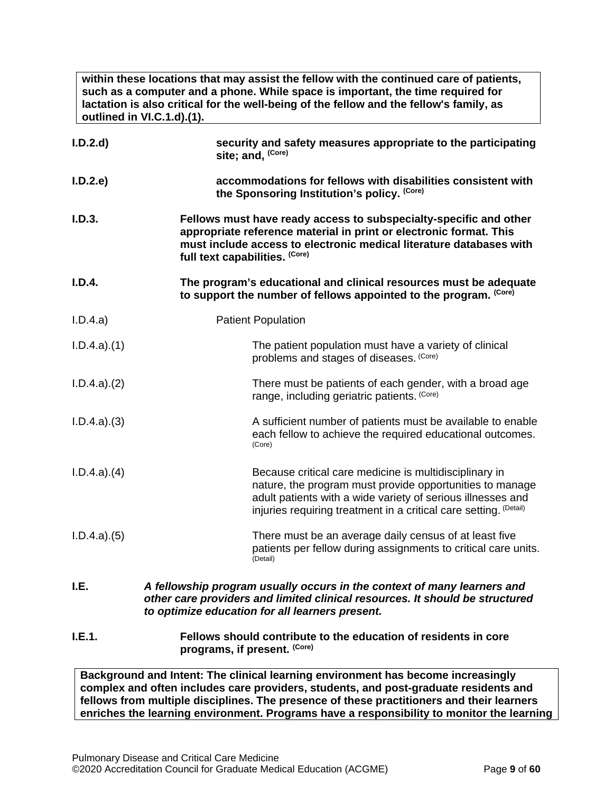**within these locations that may assist the fellow with the continued care of patients, such as a computer and a phone. While space is important, the time required for lactation is also critical for the well-being of the fellow and the fellow's family, as outlined in VI.C.1.d).(1).**

| I.D.2.d          | security and safety measures appropriate to the participating<br>site; and, (Core)                                                                                                                                                                     |
|------------------|--------------------------------------------------------------------------------------------------------------------------------------------------------------------------------------------------------------------------------------------------------|
| I.D.2.e          | accommodations for fellows with disabilities consistent with<br>the Sponsoring Institution's policy. (Core)                                                                                                                                            |
| I.D.3.           | Fellows must have ready access to subspecialty-specific and other<br>appropriate reference material in print or electronic format. This<br>must include access to electronic medical literature databases with<br>full text capabilities. (Core)       |
| I.D.4.           | The program's educational and clinical resources must be adequate<br>to support the number of fellows appointed to the program. (Core)                                                                                                                 |
| I.D.4.a)         | <b>Patient Population</b>                                                                                                                                                                                                                              |
| I.D.4.a)(1)      | The patient population must have a variety of clinical<br>problems and stages of diseases. (Core)                                                                                                                                                      |
| I.D.4.a)(2)      | There must be patients of each gender, with a broad age<br>range, including geriatric patients. (Core)                                                                                                                                                 |
| I.D.4.a)(3)      | A sufficient number of patients must be available to enable<br>each fellow to achieve the required educational outcomes.<br>(Core)                                                                                                                     |
| $I.D.4.a$ $.(4)$ | Because critical care medicine is multidisciplinary in<br>nature, the program must provide opportunities to manage<br>adult patients with a wide variety of serious illnesses and<br>injuries requiring treatment in a critical care setting. (Detail) |
| I.D.4.a)(5)      | There must be an average daily census of at least five<br>patients per fellow during assignments to critical care units.<br>(Detail)                                                                                                                   |
| I.E.             | A fellowship program usually occurs in the context of many learners and<br>other care providers and limited clinical resources. It should be structured<br>to optimize education for all learners present.                                             |

## <span id="page-8-0"></span>**I.E.1. Fellows should contribute to the education of residents in core programs, if present. (Core)**

**Background and Intent: The clinical learning environment has become increasingly complex and often includes care providers, students, and post-graduate residents and fellows from multiple disciplines. The presence of these practitioners and their learners enriches the learning environment. Programs have a responsibility to monitor the learning**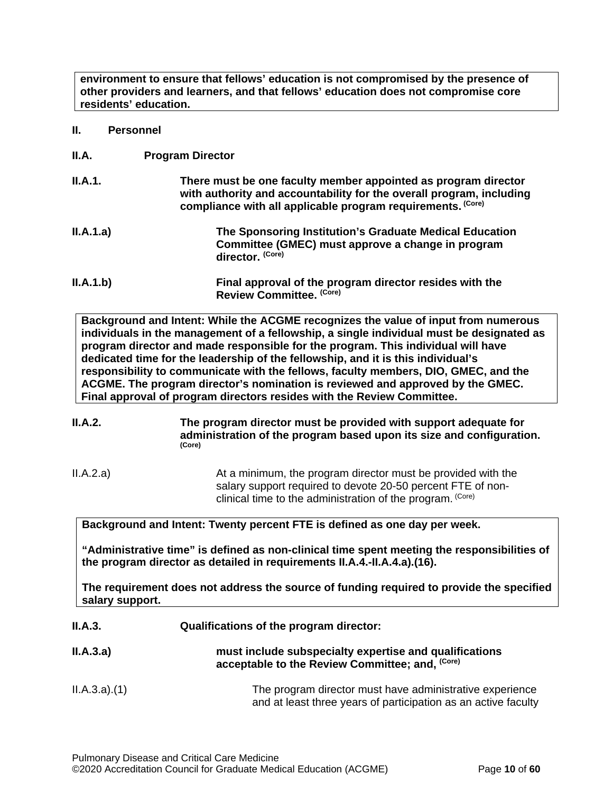**environment to ensure that fellows' education is not compromised by the presence of other providers and learners, and that fellows' education does not compromise core residents' education.**

- <span id="page-9-0"></span>**II. Personnel**
- <span id="page-9-1"></span>**II.A. Program Director**

| <b>II.A.1.</b> | There must be one faculty member appointed as program director<br>with authority and accountability for the overall program, including<br>compliance with all applicable program requirements. (Core) |
|----------------|-------------------------------------------------------------------------------------------------------------------------------------------------------------------------------------------------------|
| II.A.1.a)      | The Sponsoring Institution's Graduate Medical Education<br>Committee (GMEC) must approve a change in program<br>director. (Core)                                                                      |
| II.A.1.b)      | Final approval of the program director resides with the<br>Review Committee. (Core)                                                                                                                   |

**Background and Intent: While the ACGME recognizes the value of input from numerous individuals in the management of a fellowship, a single individual must be designated as program director and made responsible for the program. This individual will have dedicated time for the leadership of the fellowship, and it is this individual's responsibility to communicate with the fellows, faculty members, DIO, GMEC, and the ACGME. The program director's nomination is reviewed and approved by the GMEC. Final approval of program directors resides with the Review Committee.**

**II.A.2. The program director must be provided with support adequate for administration of the program based upon its size and configuration. (Core)**

II.A.2.a) At a minimum, the program director must be provided with the salary support required to devote 20-50 percent FTE of nonclinical time to the administration of the program. (Core)

**Background and Intent: Twenty percent FTE is defined as one day per week.** 

**"Administrative time" is defined as non-clinical time spent meeting the responsibilities of the program director as detailed in requirements II.A.4.-II.A.4.a).(16).** 

**The requirement does not address the source of funding required to provide the specified salary support.**

**II.A.3. Qualifications of the program director:**

| II.A.3.a) | must include subspecialty expertise and qualifications     |
|-----------|------------------------------------------------------------|
|           | acceptable to the Review Committee; and, <sup>(Core)</sup> |
|           |                                                            |

II.A.3.a).(1) The program director must have administrative experience and at least three years of participation as an active faculty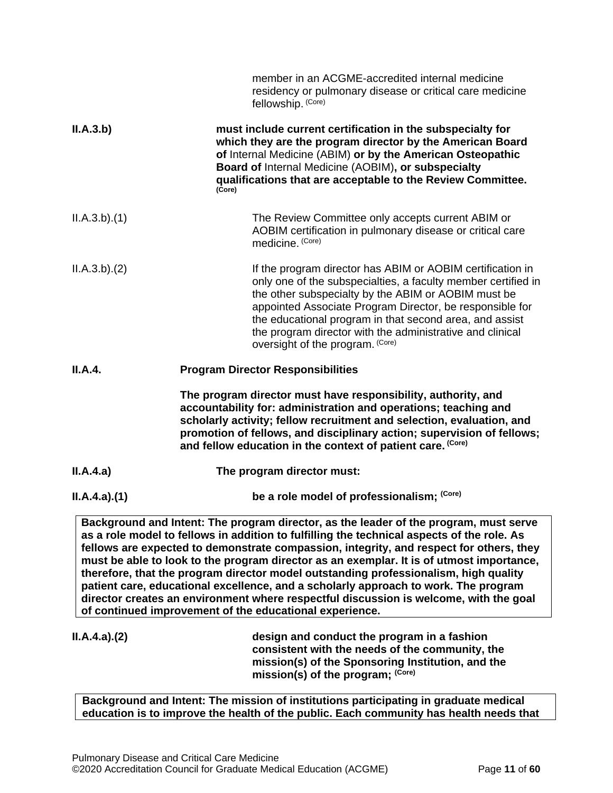| ILA.4.a)(1) | be a role model of professionalism; (Core)<br>Background and Intent: The program director, as the leader of the program, must serve                                                                                                                                                                                                                                                                        |
|-------------|------------------------------------------------------------------------------------------------------------------------------------------------------------------------------------------------------------------------------------------------------------------------------------------------------------------------------------------------------------------------------------------------------------|
| II.A.4.a)   | The program director must:                                                                                                                                                                                                                                                                                                                                                                                 |
|             | The program director must have responsibility, authority, and<br>accountability for: administration and operations; teaching and<br>scholarly activity; fellow recruitment and selection, evaluation, and<br>promotion of fellows, and disciplinary action; supervision of fellows;<br>and fellow education in the context of patient care. (Core)                                                         |
| II.A.4.     | <b>Program Director Responsibilities</b>                                                                                                                                                                                                                                                                                                                                                                   |
| ILA.3.b)(2) | If the program director has ABIM or AOBIM certification in<br>only one of the subspecialties, a faculty member certified in<br>the other subspecialty by the ABIM or AOBIM must be<br>appointed Associate Program Director, be responsible for<br>the educational program in that second area, and assist<br>the program director with the administrative and clinical<br>oversight of the program. (Core) |
| ILA.3.b)(1) | The Review Committee only accepts current ABIM or<br>AOBIM certification in pulmonary disease or critical care<br>medicine. (Core)                                                                                                                                                                                                                                                                         |
| ILA.3.b)    | must include current certification in the subspecialty for<br>which they are the program director by the American Board<br>of Internal Medicine (ABIM) or by the American Osteopathic<br>Board of Internal Medicine (AOBIM), or subspecialty<br>qualifications that are acceptable to the Review Committee.<br>(Core)                                                                                      |
|             | member in an ACGME-accredited internal medicine<br>residency or pulmonary disease or critical care medicine<br>fellowship. (Core)                                                                                                                                                                                                                                                                          |

**as a role model to fellows in addition to fulfilling the technical aspects of the role. As fellows are expected to demonstrate compassion, integrity, and respect for others, they must be able to look to the program director as an exemplar. It is of utmost importance, therefore, that the program director model outstanding professionalism, high quality patient care, educational excellence, and a scholarly approach to work. The program director creates an environment where respectful discussion is welcome, with the goal of continued improvement of the educational experience.**

**II.A.4.a).(2) design and conduct the program in a fashion consistent with the needs of the community, the mission(s) of the Sponsoring Institution, and the mission(s) of the program; (Core)**

**Background and Intent: The mission of institutions participating in graduate medical education is to improve the health of the public. Each community has health needs that**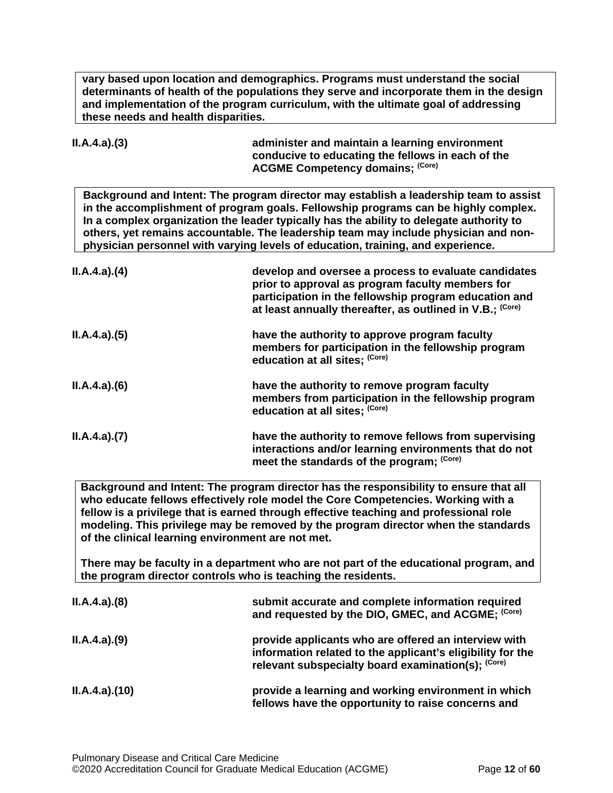**vary based upon location and demographics. Programs must understand the social determinants of health of the populations they serve and incorporate them in the design and implementation of the program curriculum, with the ultimate goal of addressing these needs and health disparities.**

| II.A.4.a).(3) | administer and maintain a learning environment    |
|---------------|---------------------------------------------------|
|               | conducive to educating the fellows in each of the |
|               | <b>ACGME Competency domains; (Core)</b>           |

**Background and Intent: The program director may establish a leadership team to assist in the accomplishment of program goals. Fellowship programs can be highly complex. In a complex organization the leader typically has the ability to delegate authority to others, yet remains accountable. The leadership team may include physician and nonphysician personnel with varying levels of education, training, and experience.**

| ILA.4.a)(4) | develop and oversee a process to evaluate candidates<br>prior to approval as program faculty members for<br>participation in the fellowship program education and<br>at least annually thereafter, as outlined in V.B.; (Core) |
|-------------|--------------------------------------------------------------------------------------------------------------------------------------------------------------------------------------------------------------------------------|
| ILA.4.a)(5) | have the authority to approve program faculty<br>members for participation in the fellowship program<br>education at all sites; (Core)                                                                                         |
| ILA.4.a)(6) | have the authority to remove program faculty<br>members from participation in the fellowship program<br>education at all sites; (Core)                                                                                         |
| ILA.4.a)(7) | have the authority to remove fellows from supervising<br>interactions and/or learning environments that do not<br>meet the standards of the program; (Core)                                                                    |

**Background and Intent: The program director has the responsibility to ensure that all who educate fellows effectively role model the Core Competencies. Working with a fellow is a privilege that is earned through effective teaching and professional role modeling. This privilege may be removed by the program director when the standards of the clinical learning environment are not met.**

**There may be faculty in a department who are not part of the educational program, and the program director controls who is teaching the residents.**

| ILA.4.a)(8)  | submit accurate and complete information required<br>and requested by the DIO, GMEC, and ACGME; (Core)                                                                   |
|--------------|--------------------------------------------------------------------------------------------------------------------------------------------------------------------------|
| ILA.4.a)(9)  | provide applicants who are offered an interview with<br>information related to the applicant's eligibility for the<br>relevant subspecialty board examination(s); (Core) |
| ILA.4.a)(10) | provide a learning and working environment in which<br>fellows have the opportunity to raise concerns and                                                                |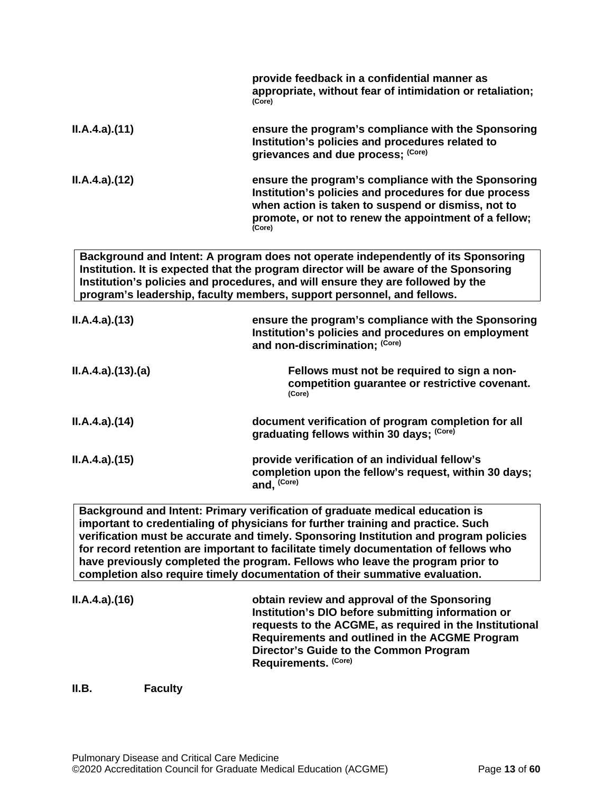|                 | provide feedback in a confidential manner as<br>appropriate, without fear of intimidation or retaliation;<br>(Core)                                                                                                                                                                                                                     |
|-----------------|-----------------------------------------------------------------------------------------------------------------------------------------------------------------------------------------------------------------------------------------------------------------------------------------------------------------------------------------|
| ILA.4.a)(11)    | ensure the program's compliance with the Sponsoring<br>Institution's policies and procedures related to<br>grievances and due process; (Core)                                                                                                                                                                                           |
| ILA.4.a)(12)    | ensure the program's compliance with the Sponsoring<br>Institution's policies and procedures for due process<br>when action is taken to suspend or dismiss, not to<br>promote, or not to renew the appointment of a fellow;<br>(Core)                                                                                                   |
|                 | Background and Intent: A program does not operate independently of its Sponsoring<br>Institution. It is expected that the program director will be aware of the Sponsoring<br>Institution's policies and procedures, and will ensure they are followed by the<br>program's leadership, faculty members, support personnel, and fellows. |
| ILA.4.a)(13)    | ensure the program's compliance with the Sponsoring<br>Institution's policies and procedures on employment<br>and non-discrimination; (Core)                                                                                                                                                                                            |
| ILA.4.a)(13)(a) | Fellows must not be required to sign a non-<br>competition guarantee or restrictive covenant.<br>(Core)                                                                                                                                                                                                                                 |
| ILA.4.a)(14)    | document verification of program completion for all<br>graduating fellows within 30 days; (Core)                                                                                                                                                                                                                                        |
| II.A.4.a)(15)   | provide verification of an individual fellow's<br>completion upon the fellow's request, within 30 days;<br>and, (Core)                                                                                                                                                                                                                  |
|                 | Background and Intent: Primary verification of graduate medical education is                                                                                                                                                                                                                                                            |

**important to credentialing of physicians for further training and practice. Such verification must be accurate and timely. Sponsoring Institution and program policies for record retention are important to facilitate timely documentation of fellows who have previously completed the program. Fellows who leave the program prior to completion also require timely documentation of their summative evaluation.**

| ILA.4.a)(16) | obtain review and approval of the Sponsoring<br>Institution's DIO before submitting information or |
|--------------|----------------------------------------------------------------------------------------------------|
|              | requests to the ACGME, as required in the Institutional                                            |
|              | Requirements and outlined in the ACGME Program                                                     |
|              | Director's Guide to the Common Program                                                             |
|              | Requirements. (Core)                                                                               |

<span id="page-12-0"></span>**II.B. Faculty**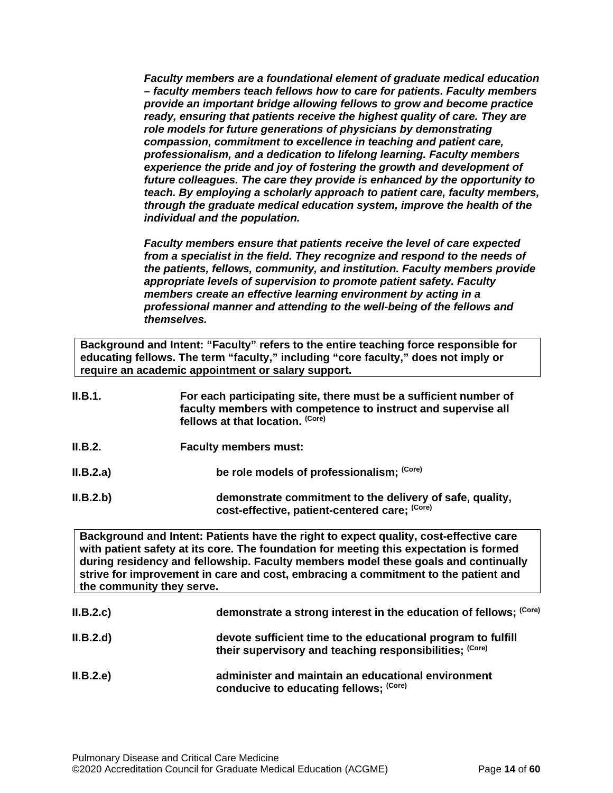*Faculty members are a foundational element of graduate medical education – faculty members teach fellows how to care for patients. Faculty members provide an important bridge allowing fellows to grow and become practice ready, ensuring that patients receive the highest quality of care. They are role models for future generations of physicians by demonstrating compassion, commitment to excellence in teaching and patient care, professionalism, and a dedication to lifelong learning. Faculty members experience the pride and joy of fostering the growth and development of future colleagues. The care they provide is enhanced by the opportunity to teach. By employing a scholarly approach to patient care, faculty members, through the graduate medical education system, improve the health of the individual and the population.*

*Faculty members ensure that patients receive the level of care expected from a specialist in the field. They recognize and respond to the needs of the patients, fellows, community, and institution. Faculty members provide appropriate levels of supervision to promote patient safety. Faculty members create an effective learning environment by acting in a professional manner and attending to the well-being of the fellows and themselves.*

**Background and Intent: "Faculty" refers to the entire teaching force responsible for educating fellows. The term "faculty," including "core faculty," does not imply or require an academic appointment or salary support.**

| II.B.1.   | For each participating site, there must be a sufficient number of<br>faculty members with competence to instruct and supervise all<br>fellows at that location. (Core)                                                                                                                                                                                                                   |
|-----------|------------------------------------------------------------------------------------------------------------------------------------------------------------------------------------------------------------------------------------------------------------------------------------------------------------------------------------------------------------------------------------------|
| II.B.2.   | <b>Faculty members must:</b>                                                                                                                                                                                                                                                                                                                                                             |
| II.B.2.a) | be role models of professionalism; (Core)                                                                                                                                                                                                                                                                                                                                                |
| II.B.2.b) | demonstrate commitment to the delivery of safe, quality,<br>cost-effective, patient-centered care: (Core)                                                                                                                                                                                                                                                                                |
|           | Background and Intent: Patients have the right to expect quality, cost-effective care<br>with patient safety at its core. The foundation for meeting this expectation is formed<br>during residency and fellowship. Faculty members model these goals and continually<br>strive for improvement in care and cost, embracing a commitment to the patient and<br>the community they serve. |
| II.B.2.c  | demonstrate a strong interest in the education of fellows; (Core)                                                                                                                                                                                                                                                                                                                        |

- **II.B.2.d) devote sufficient time to the educational program to fulfill their supervisory and teaching responsibilities; (Core)**
- **II.B.2.e) administer and maintain an educational environment conducive to educating fellows; (Core)**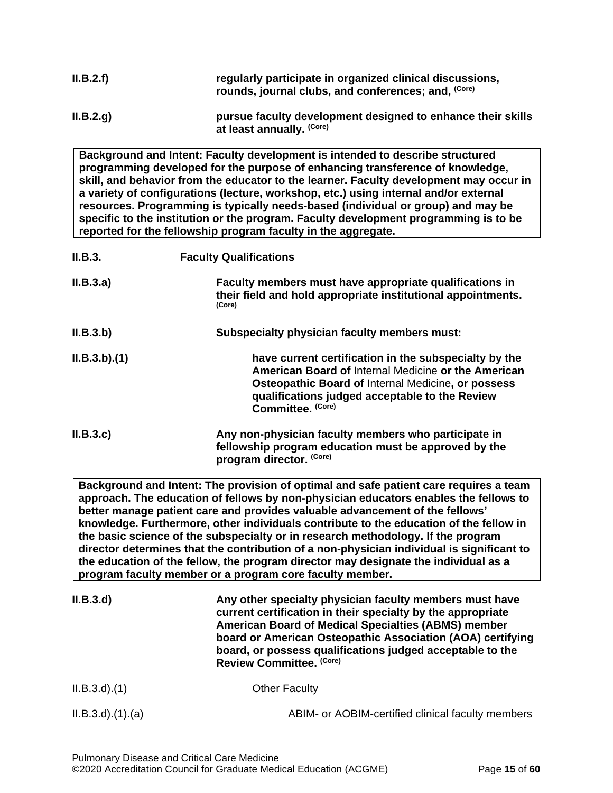| II.B.2.f) | regularly participate in organized clinical discussions,<br>rounds, journal clubs, and conferences; and, (Core) |
|-----------|-----------------------------------------------------------------------------------------------------------------|
| II.B.2.q) | pursue faculty development designed to enhance their skills<br>at least annually. (Core)                        |

**Background and Intent: Faculty development is intended to describe structured programming developed for the purpose of enhancing transference of knowledge, skill, and behavior from the educator to the learner. Faculty development may occur in a variety of configurations (lecture, workshop, etc.) using internal and/or external resources. Programming is typically needs-based (individual or group) and may be specific to the institution or the program. Faculty development programming is to be reported for the fellowship program faculty in the aggregate.**

| II.B.3.     | <b>Faculty Qualifications</b>                                                                                                                                                                                                                    |
|-------------|--------------------------------------------------------------------------------------------------------------------------------------------------------------------------------------------------------------------------------------------------|
| II.B.3.a)   | Faculty members must have appropriate qualifications in<br>their field and hold appropriate institutional appointments.<br>(Core)                                                                                                                |
| II.B.3.b)   | Subspecialty physician faculty members must:                                                                                                                                                                                                     |
| ILB.3.b)(1) | have current certification in the subspecialty by the<br><b>American Board of Internal Medicine or the American</b><br>Osteopathic Board of Internal Medicine, or possess<br>qualifications judged acceptable to the Review<br>Committee. (Core) |
| II.B.3.c    | Any non-physician faculty members who participate in<br>fellowship program education must be approved by the<br>program director. (Core)                                                                                                         |

**Background and Intent: The provision of optimal and safe patient care requires a team approach. The education of fellows by non-physician educators enables the fellows to better manage patient care and provides valuable advancement of the fellows' knowledge. Furthermore, other individuals contribute to the education of the fellow in the basic science of the subspecialty or in research methodology. If the program director determines that the contribution of a non-physician individual is significant to the education of the fellow, the program director may designate the individual as a program faculty member or a program core faculty member.**

| II.B.3.d            | Any other specialty physician faculty members must have<br>current certification in their specialty by the appropriate<br><b>American Board of Medical Specialties (ABMS) member</b><br>board or American Osteopathic Association (AOA) certifying<br>board, or possess qualifications judged acceptable to the<br>Review Committee. (Core) |
|---------------------|---------------------------------------------------------------------------------------------------------------------------------------------------------------------------------------------------------------------------------------------------------------------------------------------------------------------------------------------|
| $ILB.3.d$ $(1)$     | <b>Other Faculty</b>                                                                                                                                                                                                                                                                                                                        |
| $ILB.3.d$ $(1).(a)$ | ABIM- or AOBIM-certified clinical faculty members                                                                                                                                                                                                                                                                                           |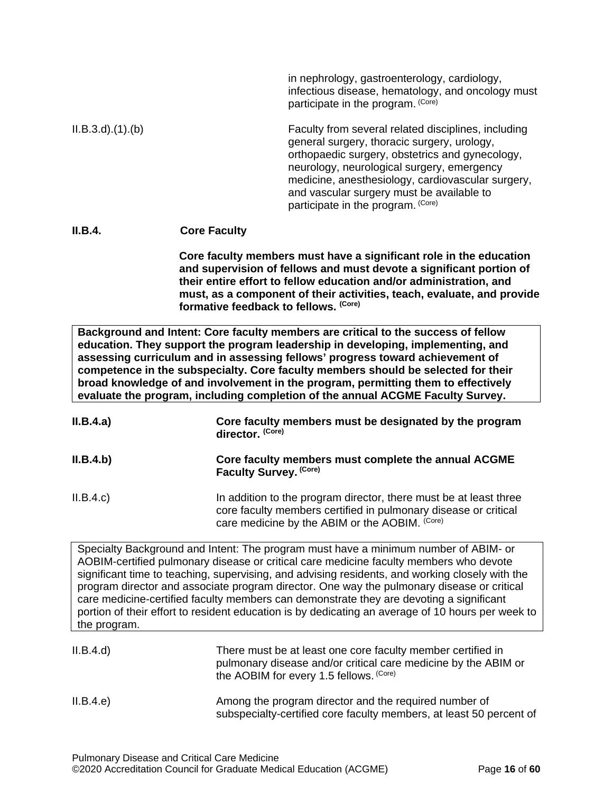|                        | in nephrology, gastroenterology, cardiology,<br>infectious disease, hematology, and oncology must<br>participate in the program. (Core)                                                                                                                                                                                                     |
|------------------------|---------------------------------------------------------------------------------------------------------------------------------------------------------------------------------------------------------------------------------------------------------------------------------------------------------------------------------------------|
| $ILB.3.d$ $(1).$ $(b)$ | Faculty from several related disciplines, including<br>general surgery, thoracic surgery, urology,<br>orthopaedic surgery, obstetrics and gynecology,<br>neurology, neurological surgery, emergency<br>medicine, anesthesiology, cardiovascular surgery,<br>and vascular surgery must be available to<br>participate in the program. (Core) |
|                        |                                                                                                                                                                                                                                                                                                                                             |

#### **II.B.4. Core Faculty**

**Core faculty members must have a significant role in the education and supervision of fellows and must devote a significant portion of their entire effort to fellow education and/or administration, and must, as a component of their activities, teach, evaluate, and provide formative feedback to fellows. (Core)**

**Background and Intent: Core faculty members are critical to the success of fellow education. They support the program leadership in developing, implementing, and assessing curriculum and in assessing fellows' progress toward achievement of competence in the subspecialty. Core faculty members should be selected for their broad knowledge of and involvement in the program, permitting them to effectively evaluate the program, including completion of the annual ACGME Faculty Survey.**

| II.B.4.a) | Core faculty members must be designated by the program<br>director. (Core)                                                                                                             |
|-----------|----------------------------------------------------------------------------------------------------------------------------------------------------------------------------------------|
| II.B.4.b) | Core faculty members must complete the annual ACGME<br>Faculty Survey. (Core)                                                                                                          |
| II.B.4.c  | In addition to the program director, there must be at least three<br>core faculty members certified in pulmonary disease or critical<br>care medicine by the ABIM or the AOBIM. (Core) |

Specialty Background and Intent: The program must have a minimum number of ABIM- or AOBIM-certified pulmonary disease or critical care medicine faculty members who devote significant time to teaching, supervising, and advising residents, and working closely with the program director and associate program director. One way the pulmonary disease or critical care medicine-certified faculty members can demonstrate they are devoting a significant portion of their effort to resident education is by dedicating an average of 10 hours per week to the program.

| II.B.4.d) | There must be at least one core faculty member certified in<br>pulmonary disease and/or critical care medicine by the ABIM or<br>the AOBIM for every 1.5 fellows. (Core) |
|-----------|--------------------------------------------------------------------------------------------------------------------------------------------------------------------------|
| II.B.4.e  | Among the program director and the required number of                                                                                                                    |

subspecialty-certified core faculty members, at least 50 percent of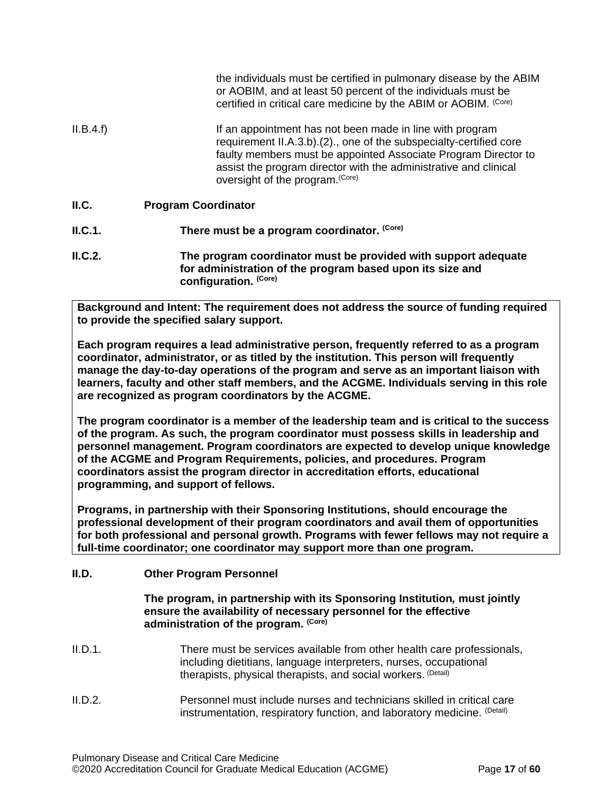|           | or AOBIM, and at least 50 percent of the individuals must be<br>certified in critical care medicine by the ABIM or AOBIM. (Core)                                                                                                                                                                         |
|-----------|----------------------------------------------------------------------------------------------------------------------------------------------------------------------------------------------------------------------------------------------------------------------------------------------------------|
| II.B.4.f) | If an appointment has not been made in line with program<br>requirement II.A.3.b).(2)., one of the subspecialty-certified core<br>faulty members must be appointed Associate Program Director to<br>assist the program director with the administrative and clinical<br>oversight of the program. (Core) |
| II.C.     | <b>Program Coordinator</b>                                                                                                                                                                                                                                                                               |
| ILC.1.    | There must be a program coordinator. (Core)                                                                                                                                                                                                                                                              |
| ILC.2.    | The program coordinator must be provided with support adequate<br>for administration of the program based upon its size and                                                                                                                                                                              |

<span id="page-16-0"></span>**Background and Intent: The requirement does not address the source of funding required to provide the specified salary support.**

**configuration. (Core)**

**Each program requires a lead administrative person, frequently referred to as a program coordinator, administrator, or as titled by the institution. This person will frequently manage the day-to-day operations of the program and serve as an important liaison with learners, faculty and other staff members, and the ACGME. Individuals serving in this role are recognized as program coordinators by the ACGME.**

**The program coordinator is a member of the leadership team and is critical to the success of the program. As such, the program coordinator must possess skills in leadership and personnel management. Program coordinators are expected to develop unique knowledge of the ACGME and Program Requirements, policies, and procedures. Program coordinators assist the program director in accreditation efforts, educational programming, and support of fellows.**

**Programs, in partnership with their Sponsoring Institutions, should encourage the professional development of their program coordinators and avail them of opportunities for both professional and personal growth. Programs with fewer fellows may not require a full-time coordinator; one coordinator may support more than one program.** 

## <span id="page-16-1"></span>**II.D. Other Program Personnel**

#### **The program, in partnership with its Sponsoring Institution***,* **must jointly ensure the availability of necessary personnel for the effective administration of the program. (Core)**

- II.D.1. There must be services available from other health care professionals, including dietitians, language interpreters, nurses, occupational therapists, physical therapists, and social workers. (Detail)
- II.D.2. Personnel must include nurses and technicians skilled in critical care instrumentation, respiratory function, and laboratory medicine. (Detail)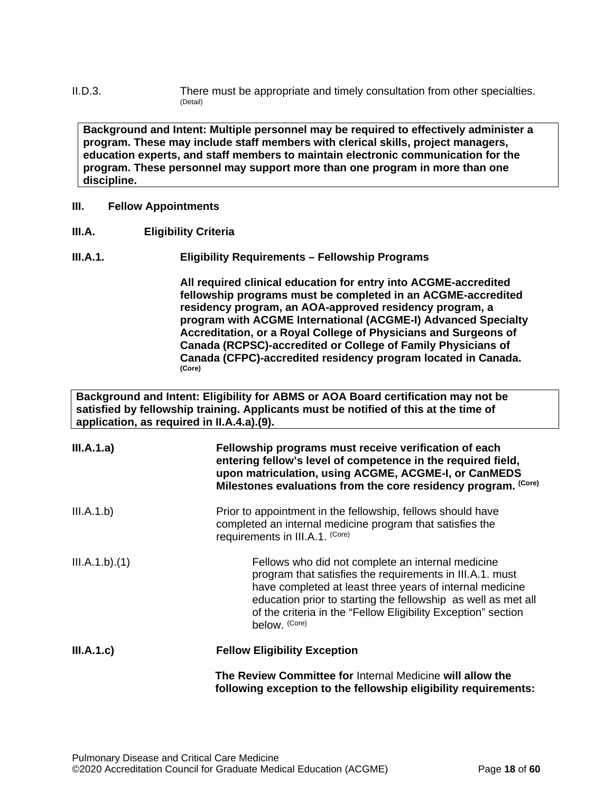II.D.3. There must be appropriate and timely consultation from other specialties. (Detail)

**Background and Intent: Multiple personnel may be required to effectively administer a program. These may include staff members with clerical skills, project managers, education experts, and staff members to maintain electronic communication for the program. These personnel may support more than one program in more than one discipline.**

#### <span id="page-17-0"></span>**III. Fellow Appointments**

<span id="page-17-1"></span>**III.A. Eligibility Criteria**

## **III.A.1. Eligibility Requirements – Fellowship Programs**

**All required clinical education for entry into ACGME-accredited fellowship programs must be completed in an ACGME-accredited residency program, an AOA-approved residency program, a program with ACGME International (ACGME-I) Advanced Specialty Accreditation, or a Royal College of Physicians and Surgeons of Canada (RCPSC)-accredited or College of Family Physicians of Canada (CFPC)-accredited residency program located in Canada. (Core)**

**Background and Intent: Eligibility for ABMS or AOA Board certification may not be satisfied by fellowship training. Applicants must be notified of this at the time of application, as required in II.A.4.a).(9).**

| III.A.1.a)    | Fellowship programs must receive verification of each<br>entering fellow's level of competence in the required field,<br>upon matriculation, using ACGME, ACGME-I, or CanMEDS<br>Milestones evaluations from the core residency program. (Core)                                                                              |
|---------------|------------------------------------------------------------------------------------------------------------------------------------------------------------------------------------------------------------------------------------------------------------------------------------------------------------------------------|
| III.A.1.b)    | Prior to appointment in the fellowship, fellows should have<br>completed an internal medicine program that satisfies the<br>requirements in III.A.1. (Core)                                                                                                                                                                  |
| III.A.1.b)(1) | Fellows who did not complete an internal medicine<br>program that satisfies the requirements in III.A.1. must<br>have completed at least three years of internal medicine<br>education prior to starting the fellowship as well as met all<br>of the criteria in the "Fellow Eligibility Exception" section<br>below. (Core) |
| III.A.1.c)    | <b>Fellow Eligibility Exception</b>                                                                                                                                                                                                                                                                                          |
|               | The Review Committee for Internal Medicine will allow the<br>following exception to the fellowship eligibility requirements:                                                                                                                                                                                                 |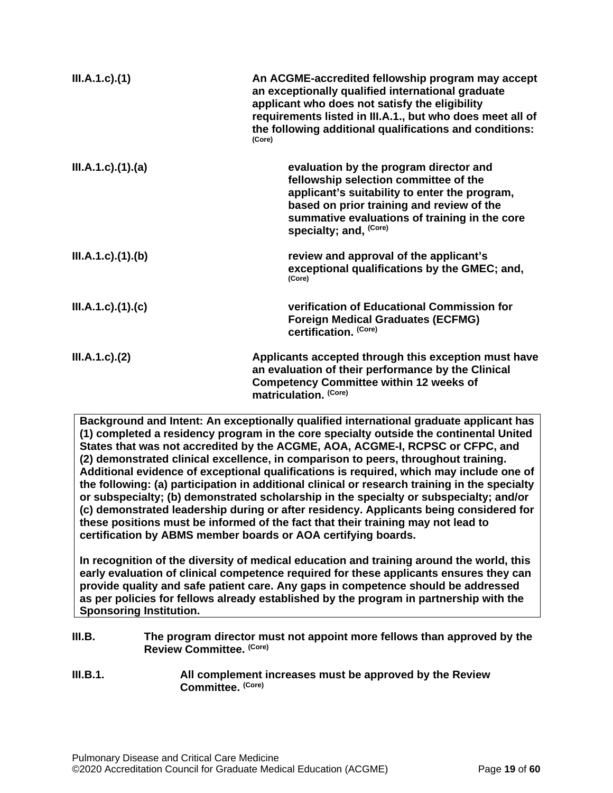| $III.A.1.c$ ). $(1)$  | An ACGME-accredited fellowship program may accept<br>an exceptionally qualified international graduate<br>applicant who does not satisfy the eligibility<br>requirements listed in III.A.1., but who does meet all of<br>the following additional qualifications and conditions:<br>(Core) |
|-----------------------|--------------------------------------------------------------------------------------------------------------------------------------------------------------------------------------------------------------------------------------------------------------------------------------------|
| III.A.1.c)(1)(a)      | evaluation by the program director and<br>fellowship selection committee of the<br>applicant's suitability to enter the program,<br>based on prior training and review of the<br>summative evaluations of training in the core<br>specialty; and, (Core)                                   |
| III.A.1.c)(1)(b)      | review and approval of the applicant's<br>exceptional qualifications by the GMEC; and,<br>(Core)                                                                                                                                                                                           |
| $III.A.1.c$ ). $(1).$ | verification of Educational Commission for<br><b>Foreign Medical Graduates (ECFMG)</b><br>certification. (Core)                                                                                                                                                                            |
| $III.A.1.c$ ). $(2)$  | Applicants accepted through this exception must have<br>an evaluation of their performance by the Clinical<br><b>Competency Committee within 12 weeks of</b><br>matriculation. (Core)                                                                                                      |

**Background and Intent: An exceptionally qualified international graduate applicant has (1) completed a residency program in the core specialty outside the continental United States that was not accredited by the ACGME, AOA, ACGME-I, RCPSC or CFPC, and (2) demonstrated clinical excellence, in comparison to peers, throughout training. Additional evidence of exceptional qualifications is required, which may include one of the following: (a) participation in additional clinical or research training in the specialty or subspecialty; (b) demonstrated scholarship in the specialty or subspecialty; and/or (c) demonstrated leadership during or after residency. Applicants being considered for these positions must be informed of the fact that their training may not lead to certification by ABMS member boards or AOA certifying boards.**

**In recognition of the diversity of medical education and training around the world, this early evaluation of clinical competence required for these applicants ensures they can provide quality and safe patient care. Any gaps in competence should be addressed as per policies for fellows already established by the program in partnership with the Sponsoring Institution.**

<span id="page-18-0"></span>

| III.B.   | The program director must not appoint more fellows than approved by the<br>Review Committee. (Core) |
|----------|-----------------------------------------------------------------------------------------------------|
| III.B.1. | All complement increases must be approved by the Review<br>Committee. (Core)                        |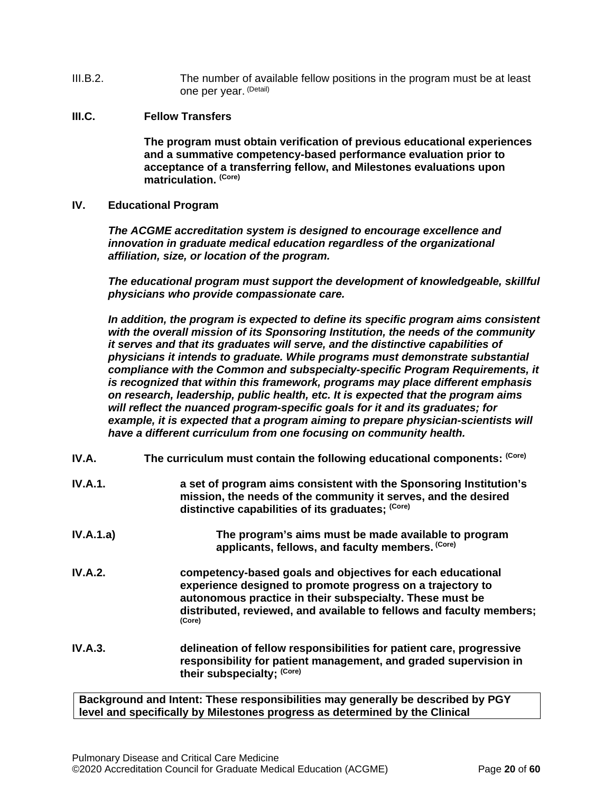- III.B.2. The number of available fellow positions in the program must be at least one per year. (Detail)
- <span id="page-19-0"></span>**III.C. Fellow Transfers**

**The program must obtain verification of previous educational experiences and a summative competency-based performance evaluation prior to acceptance of a transferring fellow, and Milestones evaluations upon matriculation. (Core)**

<span id="page-19-1"></span>**IV. Educational Program**

*The ACGME accreditation system is designed to encourage excellence and innovation in graduate medical education regardless of the organizational affiliation, size, or location of the program.*

*The educational program must support the development of knowledgeable, skillful physicians who provide compassionate care.*

*In addition, the program is expected to define its specific program aims consistent with the overall mission of its Sponsoring Institution, the needs of the community it serves and that its graduates will serve, and the distinctive capabilities of physicians it intends to graduate. While programs must demonstrate substantial compliance with the Common and subspecialty-specific Program Requirements, it is recognized that within this framework, programs may place different emphasis on research, leadership, public health, etc. It is expected that the program aims will reflect the nuanced program-specific goals for it and its graduates; for example, it is expected that a program aiming to prepare physician-scientists will have a different curriculum from one focusing on community health.*

<span id="page-19-2"></span>

| IV.A.          | The curriculum must contain the following educational components: (Core)                                                                                                                                                                                               |
|----------------|------------------------------------------------------------------------------------------------------------------------------------------------------------------------------------------------------------------------------------------------------------------------|
| IV.A.1.        | a set of program aims consistent with the Sponsoring Institution's<br>mission, the needs of the community it serves, and the desired<br>distinctive capabilities of its graduates; (Core)                                                                              |
| IV.A.1.a)      | The program's aims must be made available to program<br>applicants, fellows, and faculty members. (Core)                                                                                                                                                               |
| <b>IV.A.2.</b> | competency-based goals and objectives for each educational<br>experience designed to promote progress on a trajectory to<br>autonomous practice in their subspecialty. These must be<br>distributed, reviewed, and available to fellows and faculty members;<br>(Core) |
| IV.A.3.        | delineation of fellow responsibilities for patient care, progressive<br>responsibility for patient management, and graded supervision in<br>their subspecialty; (Core)                                                                                                 |

**Background and Intent: These responsibilities may generally be described by PGY level and specifically by Milestones progress as determined by the Clinical**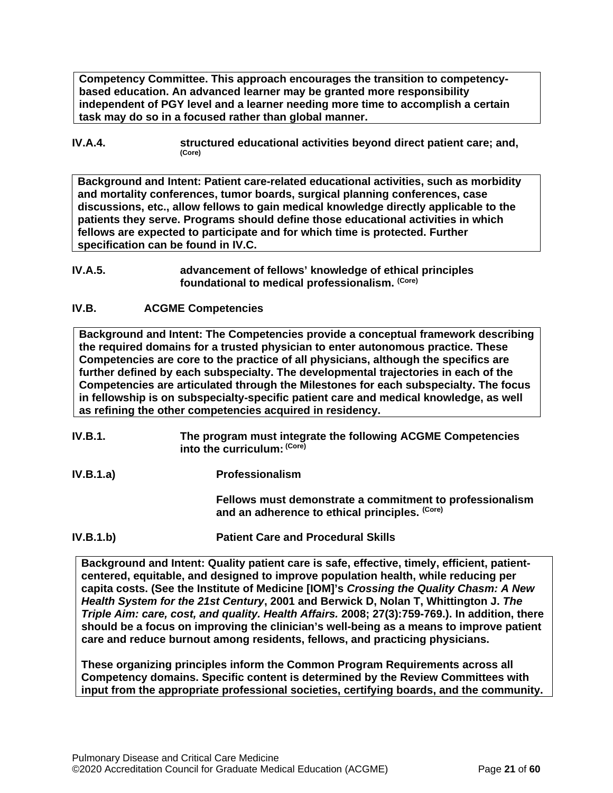**Competency Committee. This approach encourages the transition to competencybased education. An advanced learner may be granted more responsibility independent of PGY level and a learner needing more time to accomplish a certain task may do so in a focused rather than global manner.**

**IV.A.4. structured educational activities beyond direct patient care; and,**  $(Core)$ 

**Background and Intent: Patient care-related educational activities, such as morbidity and mortality conferences, tumor boards, surgical planning conferences, case discussions, etc., allow fellows to gain medical knowledge directly applicable to the patients they serve. Programs should define those educational activities in which fellows are expected to participate and for which time is protected. Further specification can be found in IV.C.**

## <span id="page-20-0"></span>**IV.B. ACGME Competencies**

**Background and Intent: The Competencies provide a conceptual framework describing the required domains for a trusted physician to enter autonomous practice. These Competencies are core to the practice of all physicians, although the specifics are further defined by each subspecialty. The developmental trajectories in each of the Competencies are articulated through the Milestones for each subspecialty. The focus in fellowship is on subspecialty-specific patient care and medical knowledge, as well as refining the other competencies acquired in residency.**

- **IV.B.1. The program must integrate the following ACGME Competencies into the curriculum: (Core)**
- **IV.B.1.a) Professionalism**

**Fellows must demonstrate a commitment to professionalism and an adherence to ethical principles. (Core)**

**IV.B.1.b) Patient Care and Procedural Skills**

**Background and Intent: Quality patient care is safe, effective, timely, efficient, patientcentered, equitable, and designed to improve population health, while reducing per capita costs. (See the Institute of Medicine [IOM]'s** *Crossing the Quality Chasm: A New Health System for the 21st Century***, 2001 and Berwick D, Nolan T, Whittington J.** *The Triple Aim: care, cost, and quality. Health Affairs.* **2008; 27(3):759-769.). In addition, there should be a focus on improving the clinician's well-being as a means to improve patient care and reduce burnout among residents, fellows, and practicing physicians.**

**These organizing principles inform the Common Program Requirements across all Competency domains. Specific content is determined by the Review Committees with input from the appropriate professional societies, certifying boards, and the community.**

**IV.A.5. advancement of fellows' knowledge of ethical principles foundational to medical professionalism. (Core)**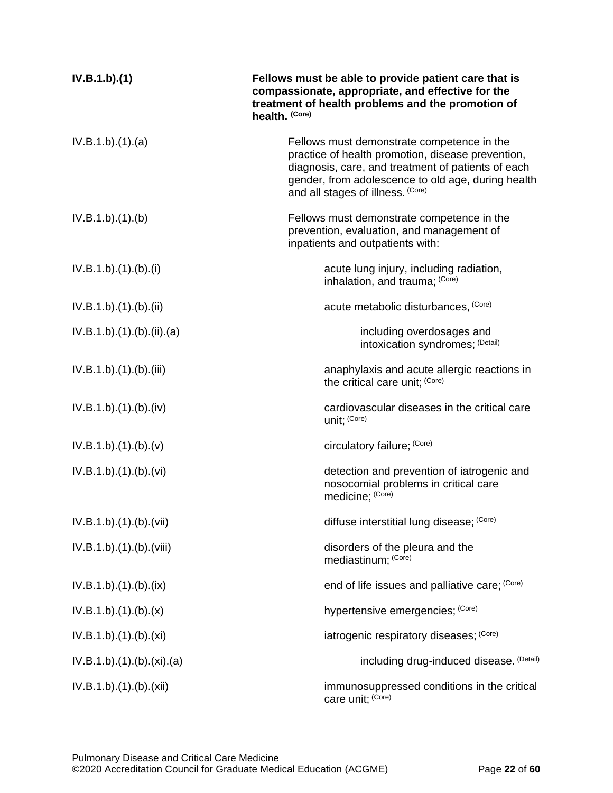| IV.B.1.b)(1)             | Fellows must be able to provide patient care that is<br>compassionate, appropriate, and effective for the<br>treatment of health problems and the promotion of<br>health. (Core)                                                                 |
|--------------------------|--------------------------------------------------------------------------------------------------------------------------------------------------------------------------------------------------------------------------------------------------|
| IV.B.1.b)(1)(a)          | Fellows must demonstrate competence in the<br>practice of health promotion, disease prevention,<br>diagnosis, care, and treatment of patients of each<br>gender, from adolescence to old age, during health<br>and all stages of illness. (Core) |
| IV.B.1.b)(1)(b)          | Fellows must demonstrate competence in the<br>prevention, evaluation, and management of<br>inpatients and outpatients with:                                                                                                                      |
| IV.B.1.b)(1)(b)(i)       | acute lung injury, including radiation,<br>inhalation, and trauma; (Core)                                                                                                                                                                        |
| IV.B.1.b)(1)(b)(ii)      | acute metabolic disturbances, (Core)                                                                                                                                                                                                             |
| IV.B.1.b)(1)(b)(ii)(a)   | including overdosages and<br>intoxication syndromes; (Detail)                                                                                                                                                                                    |
| IV.B.1.b).(1).(b).(iii)  | anaphylaxis and acute allergic reactions in<br>the critical care unit; (Core)                                                                                                                                                                    |
| IV.B.1.b)(1)(b)(iv)      | cardiovascular diseases in the critical care<br>unit; (Core)                                                                                                                                                                                     |
| IV.B.1.b)(1)(b)(v)       | circulatory failure; (Core)                                                                                                                                                                                                                      |
| IV.B.1.b)(1)(b)(vi)      | detection and prevention of iatrogenic and<br>nosocomial problems in critical care<br>medicine; (Core)                                                                                                                                           |
| IV.B.1.b).(1).(b).(vii)  | diffuse interstitial lung disease; (Core)                                                                                                                                                                                                        |
| IV.B.1.b).(1).(b).(viii) | disorders of the pleura and the<br>mediastinum; (Core)                                                                                                                                                                                           |
| IV.B.1.b)(1)(b)(ix)      | end of life issues and palliative care; (Core)                                                                                                                                                                                                   |
| IV.B.1.b)(1)(b)(x)       | hypertensive emergencies; (Core)                                                                                                                                                                                                                 |
| IV.B.1.b)(1)(b)(xi)      | iatrogenic respiratory diseases; (Core)                                                                                                                                                                                                          |
| IV.B.1.b)(1)(b)(xi)(a)   | including drug-induced disease. (Detail)                                                                                                                                                                                                         |
| IV.B.1.b)(1)(b)(xii)     | immunosuppressed conditions in the critical<br>care unit; (Core)                                                                                                                                                                                 |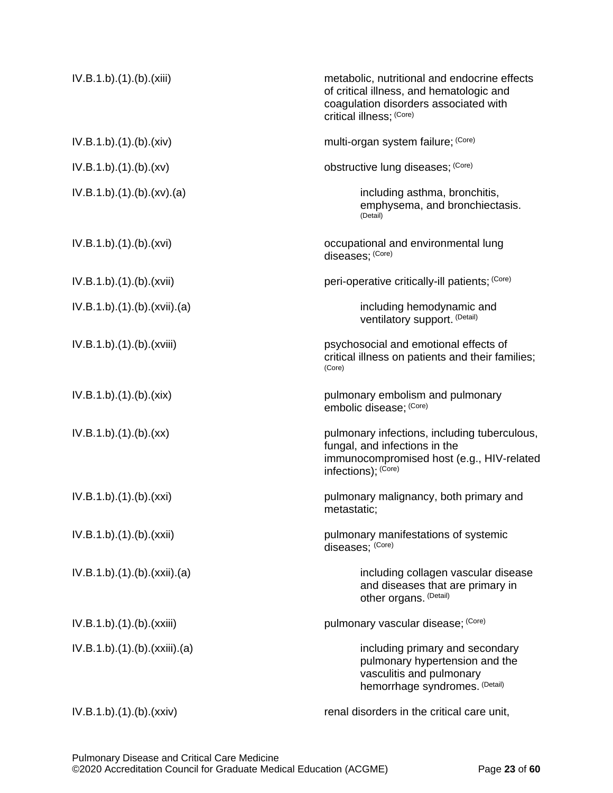| IV.B.1.b)(1)(b)(xiii)     | metabolic, nutritional and endocrine effects<br>of critical illness, and hematologic and<br>coagulation disorders associated with<br>critical illness; (Core) |
|---------------------------|---------------------------------------------------------------------------------------------------------------------------------------------------------------|
| IV.B.1.b)(1)(b)(xiv)      | multi-organ system failure; (Core)                                                                                                                            |
| IV.B.1.b)(1)(b)(xv)       | obstructive lung diseases; (Core)                                                                                                                             |
| IV.B.1.b)(1)(b)(xv)(a)    | including asthma, bronchitis,<br>emphysema, and bronchiectasis.<br>(Detail)                                                                                   |
| IV.B.1.b)(1)(b)(xvi)      | occupational and environmental lung<br>diseases; (Core)                                                                                                       |
| IV.B.1.b).(1).(b).(xvii)  | peri-operative critically-ill patients; (Core)                                                                                                                |
| IV.B.1.b)(1)(b)(xvii)(a)  | including hemodynamic and<br>ventilatory support. (Detail)                                                                                                    |
| IV.B.1.b).(1).(b).(xviii) | psychosocial and emotional effects of<br>critical illness on patients and their families;<br>(Core)                                                           |
| IV.B.1.b)(1)(b)(xix)      | pulmonary embolism and pulmonary<br>embolic disease; (Core)                                                                                                   |
| IV.B.1.b)(1)(b)(xx)       | pulmonary infections, including tuberculous,<br>fungal, and infections in the<br>immunocompromised host (e.g., HIV-related<br>infections); (Core)             |
| IV.B.1.b)(1)(b)(xxi)      | pulmonary malignancy, both primary and<br>metastatic;                                                                                                         |
| IV.B.1.b).(1).(b).(xxii)  | pulmonary manifestations of systemic<br>diseases; (Core)                                                                                                      |
| IV.B.1.b)(1)(b)(xxii)(a)  | including collagen vascular disease<br>and diseases that are primary in<br>other organs. (Detail)                                                             |
| IV.B.1.b)(1)(b)(xxiii)    | pulmonary vascular disease; (Core)                                                                                                                            |
| IV.B.1.b)(1)(b)(xxiii)(a) | including primary and secondary<br>pulmonary hypertension and the<br>vasculitis and pulmonary<br>hemorrhage syndromes. (Detail)                               |
| IV.B.1.b)(1)(b)(xxiv)     | renal disorders in the critical care unit,                                                                                                                    |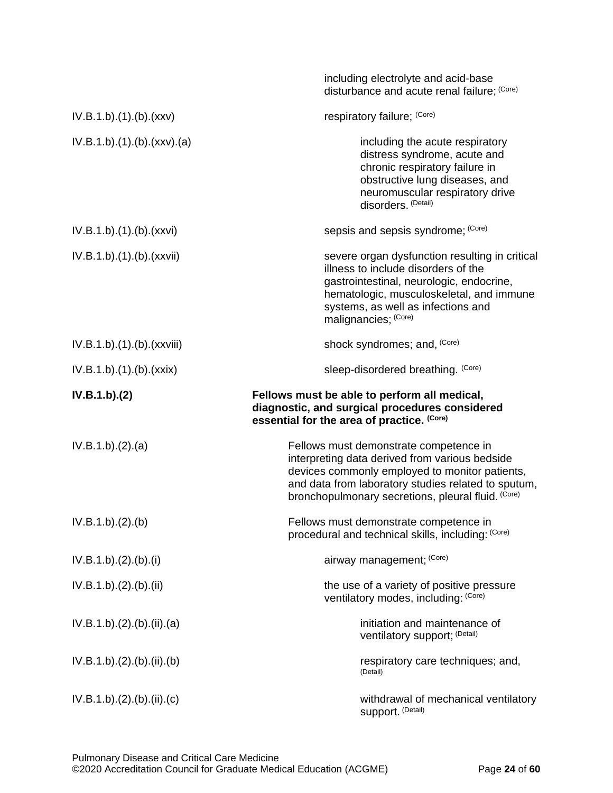|                         | including electrolyte and acid-base<br>disturbance and acute renal failure; (Core)                                                                                                                                                          |
|-------------------------|---------------------------------------------------------------------------------------------------------------------------------------------------------------------------------------------------------------------------------------------|
| IV.B.1.b)(1)(b)(xxx)    | respiratory failure; (Core)                                                                                                                                                                                                                 |
| IV.B.1.b)(1)(b)(xxx)(a) | including the acute respiratory<br>distress syndrome, acute and<br>chronic respiratory failure in<br>obstructive lung diseases, and<br>neuromuscular respiratory drive<br>disorders. (Detail)                                               |
| IV.B.1.b)(1)(b)(xxx)    | sepsis and sepsis syndrome; (Core)                                                                                                                                                                                                          |
| IV.B.1.b)(1)(b)(xxxii)  | severe organ dysfunction resulting in critical<br>illness to include disorders of the<br>gastrointestinal, neurologic, endocrine,<br>hematologic, musculoskeletal, and immune<br>systems, as well as infections and<br>malignancies; (Core) |
| IV.B.1.b)(1)(b)(xxxiii) | shock syndromes; and, (Core)                                                                                                                                                                                                                |
| IV.B.1.b)(1)(b)(xxx)    | sleep-disordered breathing. (Core)                                                                                                                                                                                                          |
| IV.B.1.b)(2)            | Fellows must be able to perform all medical,<br>diagnostic, and surgical procedures considered<br>essential for the area of practice. (Core)                                                                                                |
| IV.B.1.b)(2).(a)        | Fellows must demonstrate competence in                                                                                                                                                                                                      |
|                         | interpreting data derived from various bedside<br>devices commonly employed to monitor patients,<br>and data from laboratory studies related to sputum,<br>bronchopulmonary secretions, pleural fluid. (Core)                               |
| IV.B.1.b)(2)(b)         | Fellows must demonstrate competence in<br>procedural and technical skills, including: (Core)                                                                                                                                                |
| IV.B.1.b)(2)(b)(i)      | airway management; (Core)                                                                                                                                                                                                                   |
| IV.B.1.b)(2).(b).(ii)   | the use of a variety of positive pressure<br>ventilatory modes, including: (Core)                                                                                                                                                           |
| IV.B.1.b)(2)(b)(ii)(a)  | initiation and maintenance of<br>ventilatory support; (Detail)                                                                                                                                                                              |
| IV.B.1.b)(2)(b)(ii)(b)  | respiratory care techniques; and,<br>(Detail)                                                                                                                                                                                               |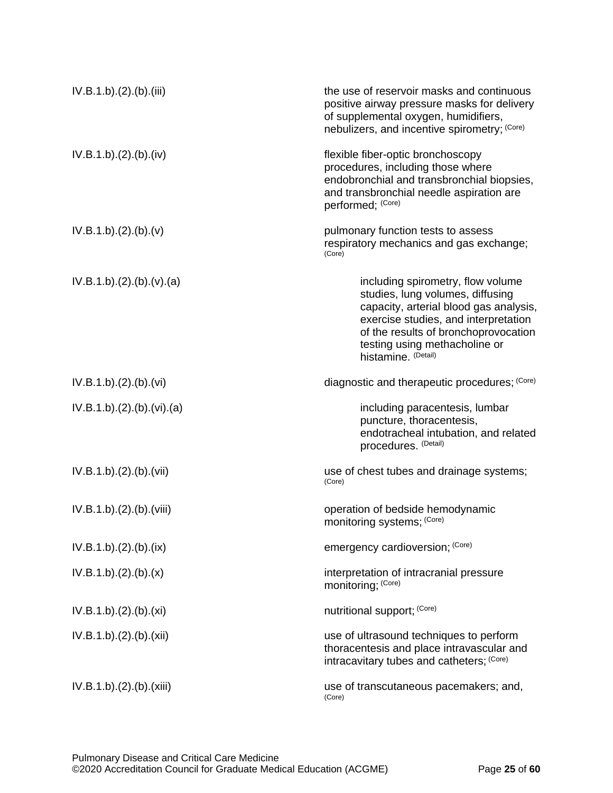| IV.B.1.b)(2)(b)(iii)   | the use of reservoir masks and continuous<br>positive airway pressure masks for delivery<br>of supplemental oxygen, humidifiers,<br>nebulizers, and incentive spirometry; (Core)                                                                        |
|------------------------|---------------------------------------------------------------------------------------------------------------------------------------------------------------------------------------------------------------------------------------------------------|
| IV.B.1.b)(2)(b)(iv)    | flexible fiber-optic bronchoscopy<br>procedures, including those where<br>endobronchial and transbronchial biopsies,<br>and transbronchial needle aspiration are<br>performed; (Core)                                                                   |
| IV.B.1.b)(2)(b)(v)     | pulmonary function tests to assess<br>respiratory mechanics and gas exchange;<br>(Core)                                                                                                                                                                 |
| IV.B.1.b)(2)(b)(v)(a)  | including spirometry, flow volume<br>studies, lung volumes, diffusing<br>capacity, arterial blood gas analysis,<br>exercise studies, and interpretation<br>of the results of bronchoprovocation<br>testing using methacholine or<br>histamine. (Detail) |
| IV.B.1.b)(2)(b)(vi)    | diagnostic and therapeutic procedures; (Core)                                                                                                                                                                                                           |
| IV.B.1.b)(2)(b)(vi)(a) | including paracentesis, lumbar<br>puncture, thoracentesis,<br>endotracheal intubation, and related<br>procedures. (Detail)                                                                                                                              |
| IV.B.1.b)(2)(b)(vii)   | use of chest tubes and drainage systems;<br>(Core)                                                                                                                                                                                                      |
| IV.B.1.b)(2)(b)(viii)  | operation of bedside hemodynamic<br>monitoring systems; (Core)                                                                                                                                                                                          |
| IV.B.1.b)(2)(b)(ix)    | emergency cardioversion; (Core)                                                                                                                                                                                                                         |
| IV.B.1.b)(2)(b)(x)     | interpretation of intracranial pressure<br>monitoring; (Core)                                                                                                                                                                                           |
| IV.B.1.b)(2)(b)(xi)    | nutritional support; (Core)                                                                                                                                                                                                                             |
| IV.B.1.b)(2)(b)(xii)   | use of ultrasound techniques to perform<br>thoracentesis and place intravascular and<br>intracavitary tubes and catheters; (Core)                                                                                                                       |
| IV.B.1.b)(2)(b)(xiii)  | use of transcutaneous pacemakers; and,<br>(Core)                                                                                                                                                                                                        |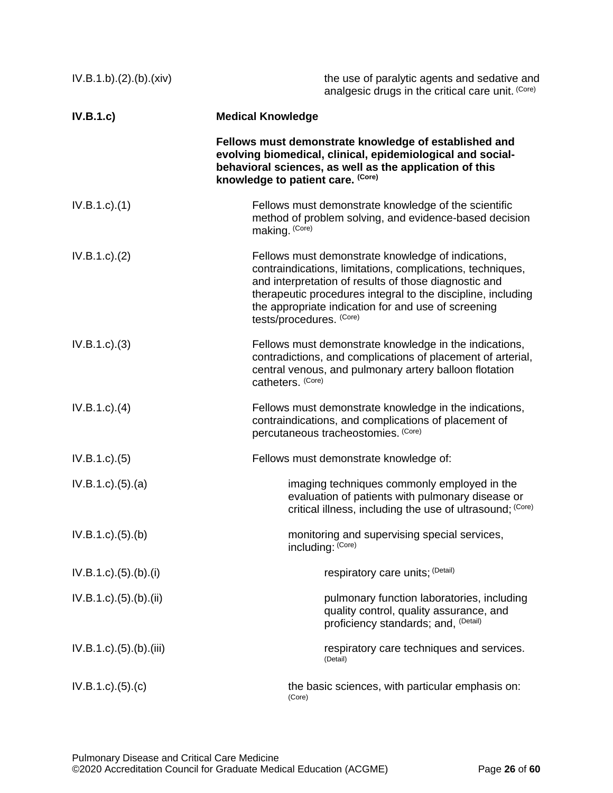| IV.B.1.b)(2)(b)(xiv)                 | the use of paralytic agents and sedative and<br>analgesic drugs in the critical care unit. (Core)                                                                                                                                                                                                                            |
|--------------------------------------|------------------------------------------------------------------------------------------------------------------------------------------------------------------------------------------------------------------------------------------------------------------------------------------------------------------------------|
| IV.B.1.c)                            | <b>Medical Knowledge</b>                                                                                                                                                                                                                                                                                                     |
|                                      | Fellows must demonstrate knowledge of established and<br>evolving biomedical, clinical, epidemiological and social-<br>behavioral sciences, as well as the application of this<br>knowledge to patient care. (Core)                                                                                                          |
| $IV.B.1.c.$ (1)                      | Fellows must demonstrate knowledge of the scientific<br>method of problem solving, and evidence-based decision<br>making. (Core)                                                                                                                                                                                             |
| IV.B.1.c. (2)                        | Fellows must demonstrate knowledge of indications,<br>contraindications, limitations, complications, techniques,<br>and interpretation of results of those diagnostic and<br>therapeutic procedures integral to the discipline, including<br>the appropriate indication for and use of screening<br>tests/procedures. (Core) |
| IV.B.1.c.3)                          | Fellows must demonstrate knowledge in the indications,<br>contradictions, and complications of placement of arterial,<br>central venous, and pulmonary artery balloon flotation<br>catheters. (Core)                                                                                                                         |
| $IV.B.1.c.$ (4)                      | Fellows must demonstrate knowledge in the indications,<br>contraindications, and complications of placement of<br>percutaneous tracheostomies. (Core)                                                                                                                                                                        |
| IV.B.1.c. (5)                        | Fellows must demonstrate knowledge of:                                                                                                                                                                                                                                                                                       |
| IV.B.1.c)(5).(a)                     | imaging techniques commonly employed in the<br>evaluation of patients with pulmonary disease or<br>critical illness, including the use of ultrasound; (Core)                                                                                                                                                                 |
| IV.B.1.c). (5). (b)                  | monitoring and supervising special services,<br>including: (Core)                                                                                                                                                                                                                                                            |
| $IV.B.1.c$ ). $(5)$ . $(b)$ . $(i)$  | respiratory care units; (Detail)                                                                                                                                                                                                                                                                                             |
| $IV.B.1.c$ ). $(5)$ . $(b)$ . $(ii)$ | pulmonary function laboratories, including<br>quality control, quality assurance, and<br>proficiency standards; and, <sup>(Detail)</sup>                                                                                                                                                                                     |
| $IV.B.1.c$ . $(5)$ . $(b)$ . $(iii)$ | respiratory care techniques and services.<br>(Detail)                                                                                                                                                                                                                                                                        |
| IV.B.1.c.)(5).(c)                    | the basic sciences, with particular emphasis on:<br>(Core)                                                                                                                                                                                                                                                                   |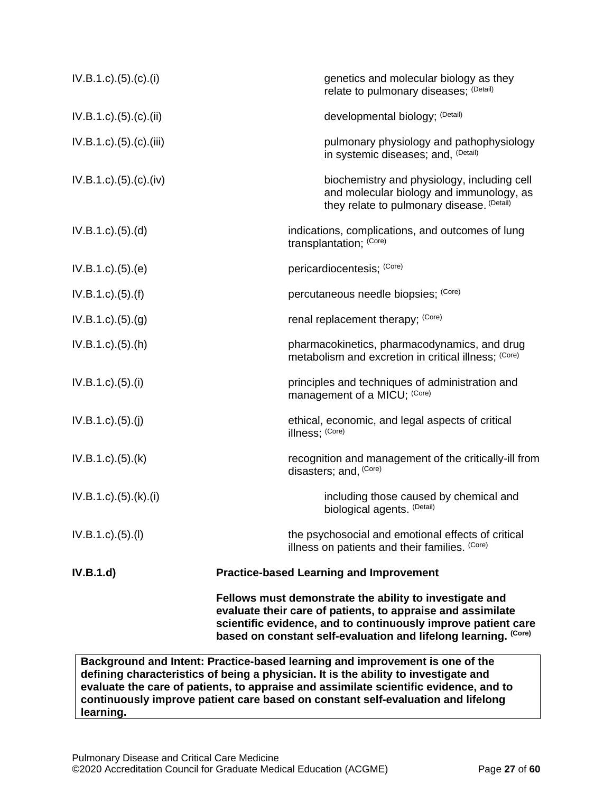|                                      | Fellows must demonstrate the ability to investigate and<br>evaluate their care of patients, to appraise and assimilate<br>scientific evidence, and to continuously improve patient care<br>based on constant self-evaluation and lifelong learning. (Core) |
|--------------------------------------|------------------------------------------------------------------------------------------------------------------------------------------------------------------------------------------------------------------------------------------------------------|
| IV.B.1.d)                            | <b>Practice-based Learning and Improvement</b>                                                                                                                                                                                                             |
| $IV.B.1.c$ ) $(5)(I)$                | the psychosocial and emotional effects of critical<br>illness on patients and their families. (Core)                                                                                                                                                       |
| $IV.B.1.c$ ). $(5)$ . $(k)$ . $(i)$  | including those caused by chemical and<br>biological agents. (Detail)                                                                                                                                                                                      |
| $IV.B.1.c$ . $(5)$ . $(k)$           | recognition and management of the critically-ill from<br>disasters; and, (Core)                                                                                                                                                                            |
| IV.B.1.c)(5)(j)                      | ethical, economic, and legal aspects of critical<br>illness; (Core)                                                                                                                                                                                        |
| IV.B.1.c). (5). (i)                  | principles and techniques of administration and<br>management of a MICU; (Core)                                                                                                                                                                            |
| $IV.B.1.c$ . $(5)$ . $(h)$           | pharmacokinetics, pharmacodynamics, and drug<br>metabolism and excretion in critical illness; (Core)                                                                                                                                                       |
| IV.B.1.c). (5). (g)                  | renal replacement therapy; (Core)                                                                                                                                                                                                                          |
| IV.B.1.c)(5.(f)                      | percutaneous needle biopsies; (Core)                                                                                                                                                                                                                       |
| IV.B.1.c). (5). (e)                  | pericardiocentesis; (Core)                                                                                                                                                                                                                                 |
| IV.B.1.c)(5)(d)                      | indications, complications, and outcomes of lung<br>transplantation; (Core)                                                                                                                                                                                |
| IV.B.1.c).(5).(c).(iv)               | biochemistry and physiology, including cell<br>and molecular biology and immunology, as<br>they relate to pulmonary disease. (Detail)                                                                                                                      |
| IV.B.1.c).(5).(c).(iii)              | pulmonary physiology and pathophysiology<br>in systemic diseases; and, (Detail)                                                                                                                                                                            |
| $IV.B.1.c$ ). $(5)$ . $(c)$ . $(ii)$ | developmental biology; (Detail)                                                                                                                                                                                                                            |
| IV.B.1.c). (5). (c). (i)             | genetics and molecular biology as they<br>relate to pulmonary diseases; (Detail)                                                                                                                                                                           |

**defining characteristics of being a physician. It is the ability to investigate and evaluate the care of patients, to appraise and assimilate scientific evidence, and to continuously improve patient care based on constant self-evaluation and lifelong learning.**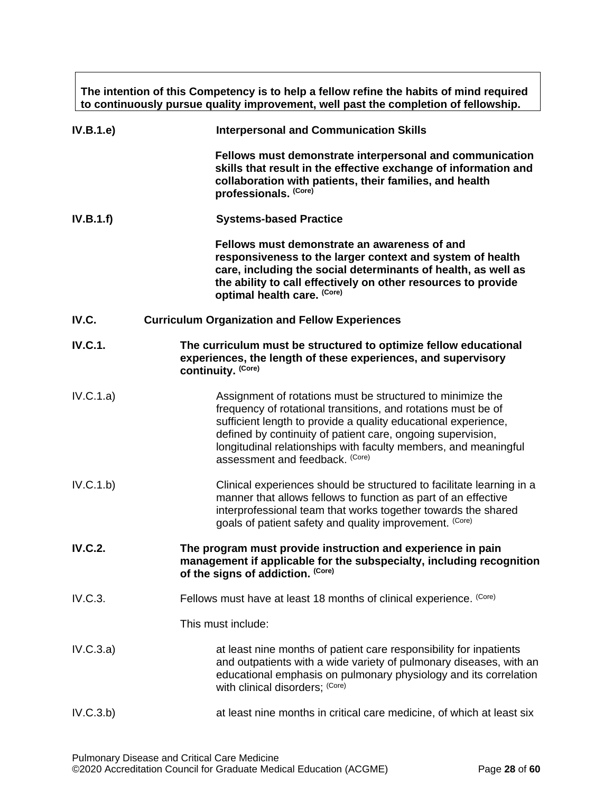**The intention of this Competency is to help a fellow refine the habits of mind required to continuously pursue quality improvement, well past the completion of fellowship.**

<span id="page-27-0"></span>

| IV.B.1.e       | <b>Interpersonal and Communication Skills</b>                                                                                                                                                                                                                                                                                                                      |
|----------------|--------------------------------------------------------------------------------------------------------------------------------------------------------------------------------------------------------------------------------------------------------------------------------------------------------------------------------------------------------------------|
|                | Fellows must demonstrate interpersonal and communication<br>skills that result in the effective exchange of information and<br>collaboration with patients, their families, and health<br>professionals. (Core)                                                                                                                                                    |
| IV.B.1.f)      | <b>Systems-based Practice</b>                                                                                                                                                                                                                                                                                                                                      |
|                | Fellows must demonstrate an awareness of and<br>responsiveness to the larger context and system of health<br>care, including the social determinants of health, as well as<br>the ability to call effectively on other resources to provide<br>optimal health care. (Core)                                                                                         |
| IV.C.          | <b>Curriculum Organization and Fellow Experiences</b>                                                                                                                                                                                                                                                                                                              |
| <b>IV.C.1.</b> | The curriculum must be structured to optimize fellow educational<br>experiences, the length of these experiences, and supervisory<br>continuity. (Core)                                                                                                                                                                                                            |
| IV.C.1.a)      | Assignment of rotations must be structured to minimize the<br>frequency of rotational transitions, and rotations must be of<br>sufficient length to provide a quality educational experience,<br>defined by continuity of patient care, ongoing supervision,<br>longitudinal relationships with faculty members, and meaningful<br>assessment and feedback. (Core) |
| IV.C.1.b)      | Clinical experiences should be structured to facilitate learning in a<br>manner that allows fellows to function as part of an effective<br>interprofessional team that works together towards the shared<br>goals of patient safety and quality improvement. (Core)                                                                                                |
| <b>IV.C.2.</b> | The program must provide instruction and experience in pain<br>management if applicable for the subspecialty, including recognition<br>of the signs of addiction. (Core)                                                                                                                                                                                           |
| IV.C.3.        | Fellows must have at least 18 months of clinical experience. (Core)                                                                                                                                                                                                                                                                                                |
|                | This must include:                                                                                                                                                                                                                                                                                                                                                 |
| IV.C.3.a)      | at least nine months of patient care responsibility for inpatients<br>and outpatients with a wide variety of pulmonary diseases, with an<br>educational emphasis on pulmonary physiology and its correlation<br>with clinical disorders; (Core)                                                                                                                    |
| IV.C.3.b)      | at least nine months in critical care medicine, of which at least six                                                                                                                                                                                                                                                                                              |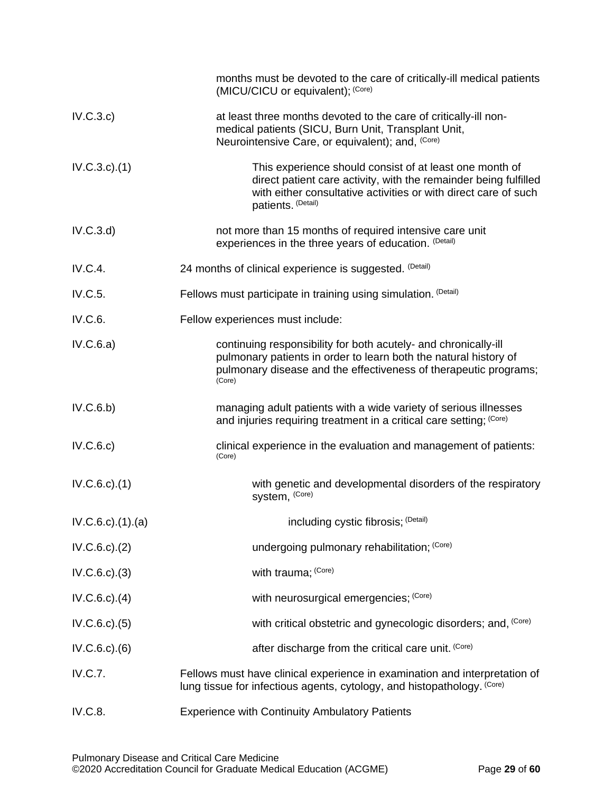|                           | months must be devoted to the care of critically-ill medical patients<br>(MICU/CICU or equivalent); (Core)                                                                                                           |
|---------------------------|----------------------------------------------------------------------------------------------------------------------------------------------------------------------------------------------------------------------|
| IV.C.3.c)                 | at least three months devoted to the care of critically-ill non-<br>medical patients (SICU, Burn Unit, Transplant Unit,<br>Neurointensive Care, or equivalent); and, (Core)                                          |
| $IV.C.3.c$ . $(1)$        | This experience should consist of at least one month of<br>direct patient care activity, with the remainder being fulfilled<br>with either consultative activities or with direct care of such<br>patients. (Detail) |
| IV.C.3.d                  | not more than 15 months of required intensive care unit<br>experiences in the three years of education. (Detail)                                                                                                     |
| IV.C.4.                   | 24 months of clinical experience is suggested. (Detail)                                                                                                                                                              |
| IV.C.5.                   | Fellows must participate in training using simulation. (Detail)                                                                                                                                                      |
| IV.C.6.                   | Fellow experiences must include:                                                                                                                                                                                     |
| IV.C.6.a)                 | continuing responsibility for both acutely- and chronically-ill<br>pulmonary patients in order to learn both the natural history of<br>pulmonary disease and the effectiveness of therapeutic programs;<br>(Core)    |
| IV.C.6.b)                 | managing adult patients with a wide variety of serious illnesses<br>and injuries requiring treatment in a critical care setting; (Core)                                                                              |
| IV.C.6.c)                 | clinical experience in the evaluation and management of patients:<br>(Core)                                                                                                                                          |
| $IV.C.6.c$ . $(1)$        | with genetic and developmental disorders of the respiratory<br>system, (Core)                                                                                                                                        |
| $IV.C.6.c$ . $(1).$ $(a)$ | including cystic fibrosis; (Detail)                                                                                                                                                                                  |
| $IV.C.6.c$ . $(2)$        | undergoing pulmonary rehabilitation; (Core)                                                                                                                                                                          |
| IV.C.6.c.)(3)             | with trauma; (Core)                                                                                                                                                                                                  |
| $IV.C.6.c$ . $(4)$        | with neurosurgical emergencies; (Core)                                                                                                                                                                               |
| IV.C.6.c.3(5)             | with critical obstetric and gynecologic disorders; and, (Core)                                                                                                                                                       |
| $IV.C.6.c.$ $(6)$         | after discharge from the critical care unit. (Core)                                                                                                                                                                  |
| <b>IV.C.7.</b>            | Fellows must have clinical experience in examination and interpretation of<br>lung tissue for infectious agents, cytology, and histopathology. (Core)                                                                |
| <b>IV.C.8.</b>            | <b>Experience with Continuity Ambulatory Patients</b>                                                                                                                                                                |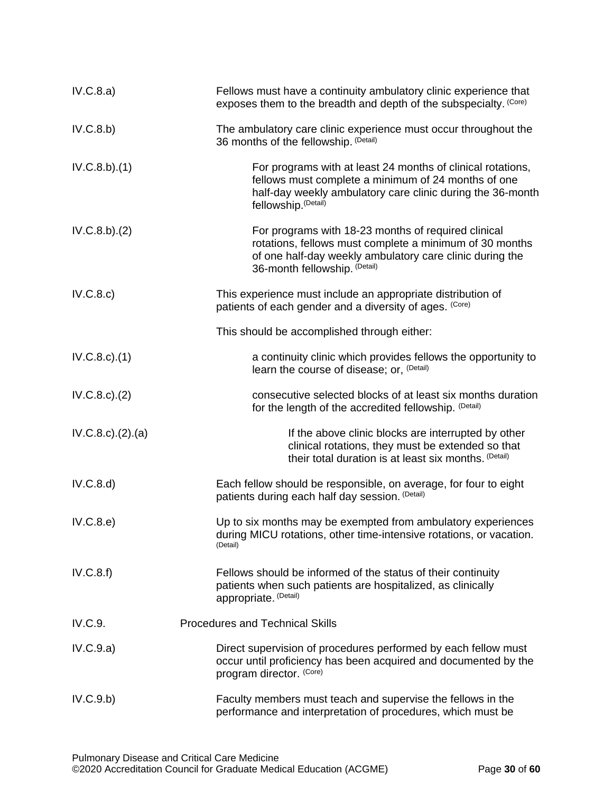| IV.C.8.a)                 | Fellows must have a continuity ambulatory clinic experience that<br>exposes them to the breadth and depth of the subspecialty. (Core)                                                                       |
|---------------------------|-------------------------------------------------------------------------------------------------------------------------------------------------------------------------------------------------------------|
| IV.C.8.b)                 | The ambulatory care clinic experience must occur throughout the<br>36 months of the fellowship. (Detail)                                                                                                    |
| IV.C.8.b)(1)              | For programs with at least 24 months of clinical rotations,<br>fellows must complete a minimum of 24 months of one<br>half-day weekly ambulatory care clinic during the 36-month<br>fellowship. (Detail)    |
| IV.C.8.b)(2)              | For programs with 18-23 months of required clinical<br>rotations, fellows must complete a minimum of 30 months<br>of one half-day weekly ambulatory care clinic during the<br>36-month fellowship. (Detail) |
| IV.C.8.c)                 | This experience must include an appropriate distribution of<br>patients of each gender and a diversity of ages. (Core)                                                                                      |
|                           | This should be accomplished through either:                                                                                                                                                                 |
| $IV.C.8.c$ . $(1)$        | a continuity clinic which provides fellows the opportunity to<br>learn the course of disease; or, (Detail)                                                                                                  |
| $IV.C.8.c$ . $(2)$        | consecutive selected blocks of at least six months duration<br>for the length of the accredited fellowship. (Detail)                                                                                        |
| $IV.C.8.c$ . $(2).$ $(a)$ | If the above clinic blocks are interrupted by other<br>clinical rotations, they must be extended so that<br>their total duration is at least six months. (Detail)                                           |
| IV.C.8.d)                 | Each fellow should be responsible, on average, for four to eight<br>patients during each half day session. (Detail)                                                                                         |
| IV.C.8.e)                 | Up to six months may be exempted from ambulatory experiences<br>during MICU rotations, other time-intensive rotations, or vacation.<br>(Detail)                                                             |
| IV.C.8.f)                 | Fellows should be informed of the status of their continuity<br>patients when such patients are hospitalized, as clinically<br>appropriate. (Detail)                                                        |
| IV.C.9.                   | <b>Procedures and Technical Skills</b>                                                                                                                                                                      |
| IV.C.9.a)                 | Direct supervision of procedures performed by each fellow must<br>occur until proficiency has been acquired and documented by the<br>program director. (Core)                                               |
| IV.C.9.b)                 | Faculty members must teach and supervise the fellows in the<br>performance and interpretation of procedures, which must be                                                                                  |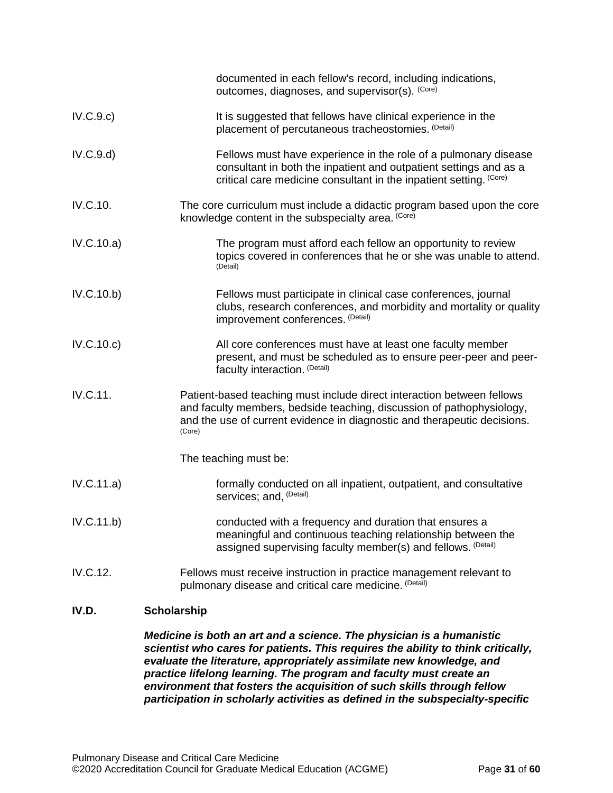| IV.D.      | <b>Scholarship</b>                                                                                                                                                                                                                    |
|------------|---------------------------------------------------------------------------------------------------------------------------------------------------------------------------------------------------------------------------------------|
| IV.C.12.   | Fellows must receive instruction in practice management relevant to<br>pulmonary disease and critical care medicine. (Detail)                                                                                                         |
| IV.C.11.b) | conducted with a frequency and duration that ensures a<br>meaningful and continuous teaching relationship between the<br>assigned supervising faculty member(s) and fellows. (Detail)                                                 |
| IV.C.11.a) | formally conducted on all inpatient, outpatient, and consultative<br>services; and, (Detail)                                                                                                                                          |
|            | The teaching must be:                                                                                                                                                                                                                 |
| IV.C.11.   | Patient-based teaching must include direct interaction between fellows<br>and faculty members, bedside teaching, discussion of pathophysiology,<br>and the use of current evidence in diagnostic and therapeutic decisions.<br>(Core) |
| IV.C.10.c) | All core conferences must have at least one faculty member<br>present, and must be scheduled as to ensure peer-peer and peer-<br>faculty interaction. (Detail)                                                                        |
| IV.C.10.b) | Fellows must participate in clinical case conferences, journal<br>clubs, research conferences, and morbidity and mortality or quality<br>improvement conferences. (Detail)                                                            |
| IV.C.10.a) | The program must afford each fellow an opportunity to review<br>topics covered in conferences that he or she was unable to attend.<br>(Detail)                                                                                        |
| IV.C.10.   | The core curriculum must include a didactic program based upon the core<br>knowledge content in the subspecialty area. (Core)                                                                                                         |
| IV.C.9.d   | Fellows must have experience in the role of a pulmonary disease<br>consultant in both the inpatient and outpatient settings and as a<br>critical care medicine consultant in the inpatient setting. (Core)                            |
| IV.C.9.c)  | It is suggested that fellows have clinical experience in the<br>placement of percutaneous tracheostomies. (Detail)                                                                                                                    |
|            | documented in each fellow's record, including indications,<br>outcomes, diagnoses, and supervisor(s). (Core)                                                                                                                          |

<span id="page-30-0"></span>*Medicine is both an art and a science. The physician is a humanistic scientist who cares for patients. This requires the ability to think critically, evaluate the literature, appropriately assimilate new knowledge, and practice lifelong learning. The program and faculty must create an environment that fosters the acquisition of such skills through fellow participation in scholarly activities as defined in the subspecialty-specific*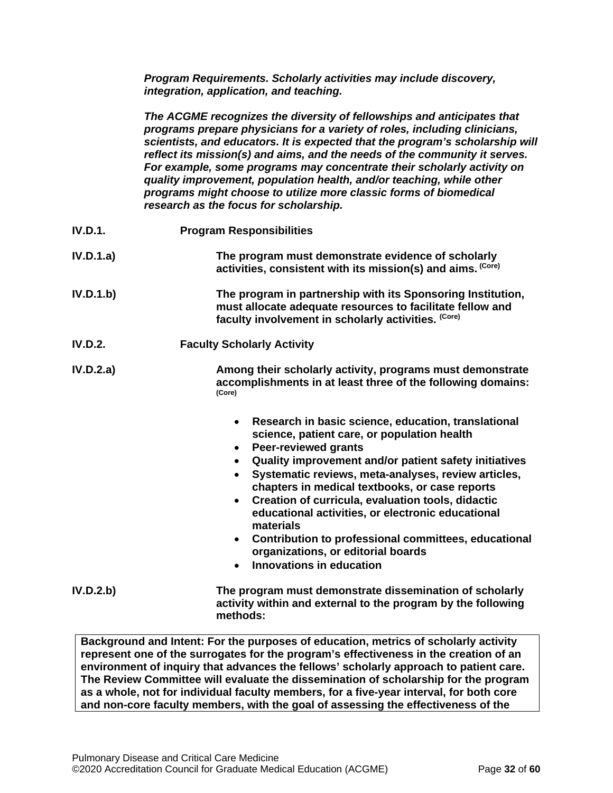*Program Requirements. Scholarly activities may include discovery, integration, application, and teaching.*

*The ACGME recognizes the diversity of fellowships and anticipates that programs prepare physicians for a variety of roles, including clinicians, scientists, and educators. It is expected that the program's scholarship will reflect its mission(s) and aims, and the needs of the community it serves. For example, some programs may concentrate their scholarly activity on quality improvement, population health, and/or teaching, while other programs might choose to utilize more classic forms of biomedical research as the focus for scholarship.*

| IV.D.1.        | <b>Program Responsibilities</b>                                                                                                                                                                                                                                                                                                                                                                                                                                                                                                                                                                              |  |
|----------------|--------------------------------------------------------------------------------------------------------------------------------------------------------------------------------------------------------------------------------------------------------------------------------------------------------------------------------------------------------------------------------------------------------------------------------------------------------------------------------------------------------------------------------------------------------------------------------------------------------------|--|
| IV.D.1.a)      | The program must demonstrate evidence of scholarly<br>activities, consistent with its mission(s) and aims. (Core)                                                                                                                                                                                                                                                                                                                                                                                                                                                                                            |  |
| IV.D.1.b)      | The program in partnership with its Sponsoring Institution,<br>must allocate adequate resources to facilitate fellow and<br>faculty involvement in scholarly activities. (Core)                                                                                                                                                                                                                                                                                                                                                                                                                              |  |
| <b>IV.D.2.</b> | <b>Faculty Scholarly Activity</b>                                                                                                                                                                                                                                                                                                                                                                                                                                                                                                                                                                            |  |
| IV.D.2.a)      | Among their scholarly activity, programs must demonstrate<br>accomplishments in at least three of the following domains:<br>(Core)                                                                                                                                                                                                                                                                                                                                                                                                                                                                           |  |
|                | Research in basic science, education, translational<br>$\bullet$<br>science, patient care, or population health<br><b>Peer-reviewed grants</b><br>$\bullet$<br>Quality improvement and/or patient safety initiatives<br>Systematic reviews, meta-analyses, review articles,<br>$\bullet$<br>chapters in medical textbooks, or case reports<br>Creation of curricula, evaluation tools, didactic<br>$\bullet$<br>educational activities, or electronic educational<br>materials<br>• Contribution to professional committees, educational<br>organizations, or editorial boards<br>• Innovations in education |  |
| IV.D.2.b       | The program must demonstrate dissemination of scholarly<br>activity within and external to the program by the following<br>methods:                                                                                                                                                                                                                                                                                                                                                                                                                                                                          |  |

**Background and Intent: For the purposes of education, metrics of scholarly activity represent one of the surrogates for the program's effectiveness in the creation of an environment of inquiry that advances the fellows' scholarly approach to patient care. The Review Committee will evaluate the dissemination of scholarship for the program as a whole, not for individual faculty members, for a five-year interval, for both core and non-core faculty members, with the goal of assessing the effectiveness of the**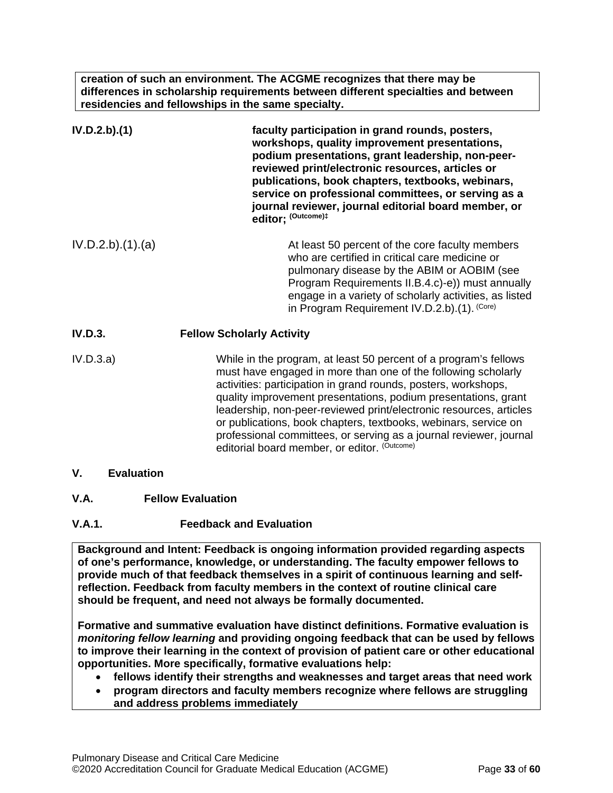**creation of such an environment. The ACGME recognizes that there may be differences in scholarship requirements between different specialties and between residencies and fellowships in the same specialty.**

| IV.D.2.b).(1)    | faculty participation in grand rounds, posters,<br>workshops, quality improvement presentations,<br>podium presentations, grant leadership, non-peer-<br>reviewed print/electronic resources, articles or<br>publications, book chapters, textbooks, webinars,<br>service on professional committees, or serving as a<br>journal reviewer, journal editorial board member, or<br>editor; (Outcome)#                                                                                                                                  |
|------------------|--------------------------------------------------------------------------------------------------------------------------------------------------------------------------------------------------------------------------------------------------------------------------------------------------------------------------------------------------------------------------------------------------------------------------------------------------------------------------------------------------------------------------------------|
| IV.D.2.b)(1).(a) | At least 50 percent of the core faculty members<br>who are certified in critical care medicine or<br>pulmonary disease by the ABIM or AOBIM (see<br>Program Requirements II.B.4.c)-e)) must annually<br>engage in a variety of scholarly activities, as listed<br>in Program Requirement IV.D.2.b).(1). (Core)                                                                                                                                                                                                                       |
| <b>IV.D.3.</b>   | <b>Fellow Scholarly Activity</b>                                                                                                                                                                                                                                                                                                                                                                                                                                                                                                     |
| IV.D.3.a)        | While in the program, at least 50 percent of a program's fellows<br>must have engaged in more than one of the following scholarly<br>activities: participation in grand rounds, posters, workshops,<br>quality improvement presentations, podium presentations, grant<br>leadership, non-peer-reviewed print/electronic resources, articles<br>or publications, book chapters, textbooks, webinars, service on<br>professional committees, or serving as a journal reviewer, journal<br>editorial board member, or editor. (Outcome) |

- <span id="page-32-0"></span>**V. Evaluation**
- <span id="page-32-1"></span>**V.A. Fellow Evaluation**
- **V.A.1. Feedback and Evaluation**

**Background and Intent: Feedback is ongoing information provided regarding aspects of one's performance, knowledge, or understanding. The faculty empower fellows to provide much of that feedback themselves in a spirit of continuous learning and selfreflection. Feedback from faculty members in the context of routine clinical care should be frequent, and need not always be formally documented.**

**Formative and summative evaluation have distinct definitions. Formative evaluation is**  *monitoring fellow learning* **and providing ongoing feedback that can be used by fellows to improve their learning in the context of provision of patient care or other educational opportunities. More specifically, formative evaluations help:**

- **fellows identify their strengths and weaknesses and target areas that need work**
- **program directors and faculty members recognize where fellows are struggling and address problems immediately**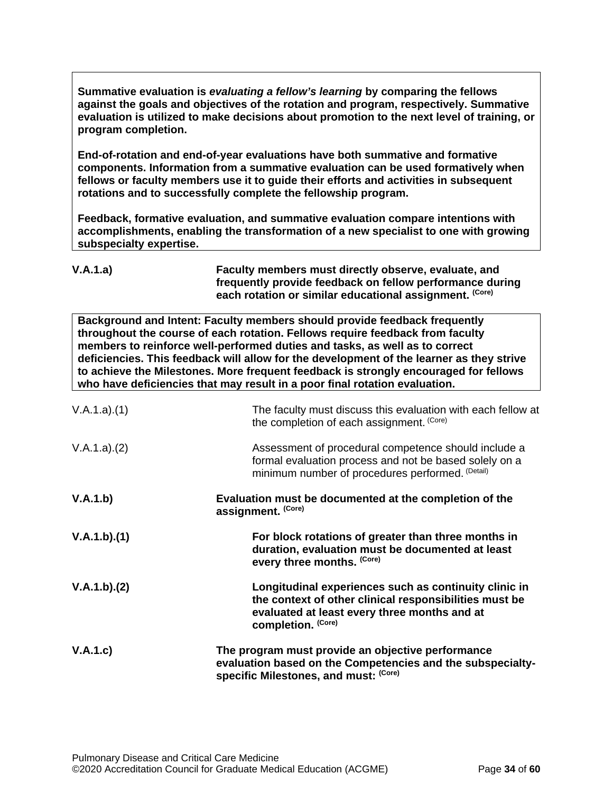**Summative evaluation is** *evaluating a fellow's learning* **by comparing the fellows against the goals and objectives of the rotation and program, respectively. Summative evaluation is utilized to make decisions about promotion to the next level of training, or program completion.**

**End-of-rotation and end-of-year evaluations have both summative and formative components. Information from a summative evaluation can be used formatively when fellows or faculty members use it to guide their efforts and activities in subsequent rotations and to successfully complete the fellowship program.**

**Feedback, formative evaluation, and summative evaluation compare intentions with accomplishments, enabling the transformation of a new specialist to one with growing subspecialty expertise.** 

| V.A.1.a) | Faculty members must directly observe, evaluate, and     |
|----------|----------------------------------------------------------|
|          | frequently provide feedback on fellow performance during |
|          | each rotation or similar educational assignment. (Core)  |

**Background and Intent: Faculty members should provide feedback frequently throughout the course of each rotation. Fellows require feedback from faculty members to reinforce well-performed duties and tasks, as well as to correct deficiencies. This feedback will allow for the development of the learner as they strive to achieve the Milestones. More frequent feedback is strongly encouraged for fellows who have deficiencies that may result in a poor final rotation evaluation.**

| V.A.1.a)(1) | The faculty must discuss this evaluation with each fellow at<br>the completion of each assignment. (Core)                                                                             |
|-------------|---------------------------------------------------------------------------------------------------------------------------------------------------------------------------------------|
| V.A.1.a)(2) | Assessment of procedural competence should include a<br>formal evaluation process and not be based solely on a<br>minimum number of procedures performed. (Detail)                    |
| V.A.1.b)    | Evaluation must be documented at the completion of the<br>assignment. (Core)                                                                                                          |
| V.A.1.b)(1) | For block rotations of greater than three months in<br>duration, evaluation must be documented at least<br>every three months. (Core)                                                 |
| V.A.1.b)(2) | Longitudinal experiences such as continuity clinic in<br>the context of other clinical responsibilities must be<br>evaluated at least every three months and at<br>completion. (Core) |
| V.A.1.c)    | The program must provide an objective performance<br>evaluation based on the Competencies and the subspecialty-<br>specific Milestones, and must: (Core)                              |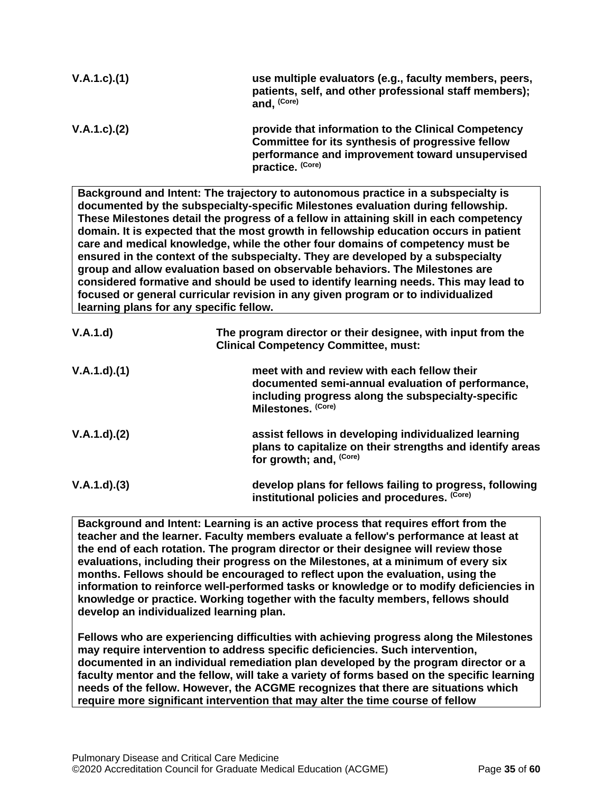| $V.A.1.c$ . $(1)$ | use multiple evaluators (e.g., faculty members, peers,<br>patients, self, and other professional staff members);<br>and, (Core)                                                 |
|-------------------|---------------------------------------------------------------------------------------------------------------------------------------------------------------------------------|
| $V.A.1.c$ . $(2)$ | provide that information to the Clinical Competency<br>Committee for its synthesis of progressive fellow<br>performance and improvement toward unsupervised<br>practice. (Core) |

**Background and Intent: The trajectory to autonomous practice in a subspecialty is documented by the subspecialty-specific Milestones evaluation during fellowship. These Milestones detail the progress of a fellow in attaining skill in each competency domain. It is expected that the most growth in fellowship education occurs in patient care and medical knowledge, while the other four domains of competency must be ensured in the context of the subspecialty. They are developed by a subspecialty group and allow evaluation based on observable behaviors. The Milestones are considered formative and should be used to identify learning needs. This may lead to focused or general curricular revision in any given program or to individualized learning plans for any specific fellow.**

| V.A.1.d)    | The program director or their designee, with input from the<br><b>Clinical Competency Committee, must:</b>                                                                   |
|-------------|------------------------------------------------------------------------------------------------------------------------------------------------------------------------------|
| V.A.1.d)(1) | meet with and review with each fellow their<br>documented semi-annual evaluation of performance,<br>including progress along the subspecialty-specific<br>Milestones. (Core) |
| V.A.1.d)(2) | assist fellows in developing individualized learning<br>plans to capitalize on their strengths and identify areas<br>for growth; and, <sup>(Core)</sup>                      |
| V.A.1.d)(3) | develop plans for fellows failing to progress, following<br>institutional policies and procedures. (Core)                                                                    |

**Background and Intent: Learning is an active process that requires effort from the teacher and the learner. Faculty members evaluate a fellow's performance at least at the end of each rotation. The program director or their designee will review those evaluations, including their progress on the Milestones, at a minimum of every six months. Fellows should be encouraged to reflect upon the evaluation, using the information to reinforce well-performed tasks or knowledge or to modify deficiencies in knowledge or practice. Working together with the faculty members, fellows should develop an individualized learning plan.**

**Fellows who are experiencing difficulties with achieving progress along the Milestones may require intervention to address specific deficiencies. Such intervention, documented in an individual remediation plan developed by the program director or a faculty mentor and the fellow, will take a variety of forms based on the specific learning needs of the fellow. However, the ACGME recognizes that there are situations which require more significant intervention that may alter the time course of fellow**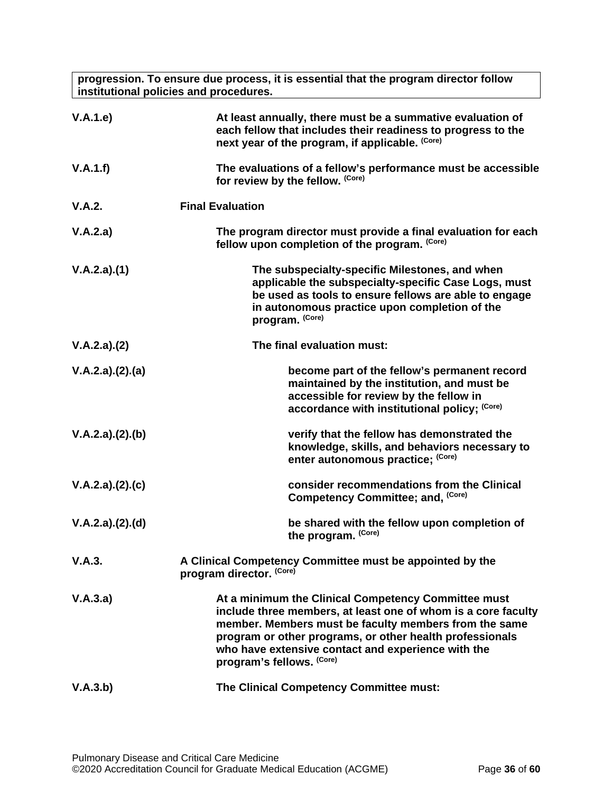**progression. To ensure due process, it is essential that the program director follow institutional policies and procedures.**

| V.A.1.e         | At least annually, there must be a summative evaluation of<br>each fellow that includes their readiness to progress to the<br>next year of the program, if applicable. (Core)                                                                                                                                                |  |
|-----------------|------------------------------------------------------------------------------------------------------------------------------------------------------------------------------------------------------------------------------------------------------------------------------------------------------------------------------|--|
| V.A.1.f)        | The evaluations of a fellow's performance must be accessible<br>for review by the fellow. (Core)                                                                                                                                                                                                                             |  |
| V.A.2.          | <b>Final Evaluation</b>                                                                                                                                                                                                                                                                                                      |  |
| V.A.2.a)        | The program director must provide a final evaluation for each<br>fellow upon completion of the program. (Core)                                                                                                                                                                                                               |  |
| V.A.2.a)(1)     | The subspecialty-specific Milestones, and when<br>applicable the subspecialty-specific Case Logs, must<br>be used as tools to ensure fellows are able to engage<br>in autonomous practice upon completion of the<br>program. (Core)                                                                                          |  |
| V.A.2.a)(2)     | The final evaluation must:                                                                                                                                                                                                                                                                                                   |  |
| V.A.2.a)(2).(a) | become part of the fellow's permanent record<br>maintained by the institution, and must be<br>accessible for review by the fellow in<br>accordance with institutional policy; (Core)                                                                                                                                         |  |
| V.A.2.a)(2).(b) | verify that the fellow has demonstrated the<br>knowledge, skills, and behaviors necessary to<br>enter autonomous practice; (Core)                                                                                                                                                                                            |  |
| V.A.2.a)(2).(c) | consider recommendations from the Clinical<br>Competency Committee; and, (Core)                                                                                                                                                                                                                                              |  |
| V.A.2.a)(2).(d) | be shared with the fellow upon completion of<br>the program. (Core)                                                                                                                                                                                                                                                          |  |
| V.A.3.          | A Clinical Competency Committee must be appointed by the<br>program director. (Core)                                                                                                                                                                                                                                         |  |
| V.A.3.a)        | At a minimum the Clinical Competency Committee must<br>include three members, at least one of whom is a core faculty<br>member. Members must be faculty members from the same<br>program or other programs, or other health professionals<br>who have extensive contact and experience with the<br>program's fellows. (Core) |  |
| V.A.3.b)        | The Clinical Competency Committee must:                                                                                                                                                                                                                                                                                      |  |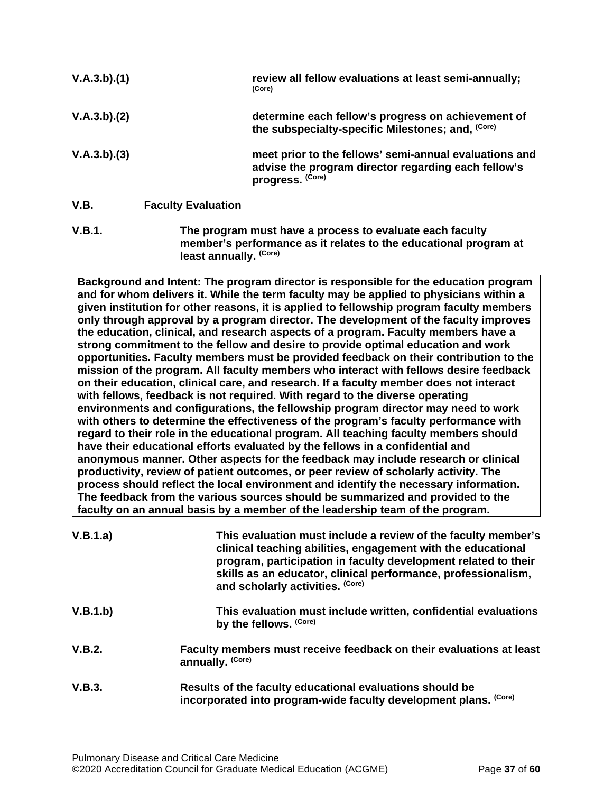| V.A.3.b)(1) |                           | review all fellow evaluations at least semi-annually;<br>(Core)                                                                   |
|-------------|---------------------------|-----------------------------------------------------------------------------------------------------------------------------------|
| V.A.3.b)(2) |                           | determine each fellow's progress on achievement of<br>the subspecialty-specific Milestones; and, (Core)                           |
| V.A.3.b)(3) |                           | meet prior to the fellows' semi-annual evaluations and<br>advise the program director regarding each fellow's<br>progress. (Core) |
| V.B.        | <b>Faculty Evaluation</b> |                                                                                                                                   |
| $\cdots$    |                           |                                                                                                                                   |

<span id="page-36-0"></span>**V.B.1. The program must have a process to evaluate each faculty member's performance as it relates to the educational program at least annually. (Core)**

**Background and Intent: The program director is responsible for the education program and for whom delivers it. While the term faculty may be applied to physicians within a given institution for other reasons, it is applied to fellowship program faculty members only through approval by a program director. The development of the faculty improves the education, clinical, and research aspects of a program. Faculty members have a strong commitment to the fellow and desire to provide optimal education and work opportunities. Faculty members must be provided feedback on their contribution to the mission of the program. All faculty members who interact with fellows desire feedback on their education, clinical care, and research. If a faculty member does not interact with fellows, feedback is not required. With regard to the diverse operating environments and configurations, the fellowship program director may need to work with others to determine the effectiveness of the program's faculty performance with regard to their role in the educational program. All teaching faculty members should have their educational efforts evaluated by the fellows in a confidential and anonymous manner. Other aspects for the feedback may include research or clinical productivity, review of patient outcomes, or peer review of scholarly activity. The process should reflect the local environment and identify the necessary information. The feedback from the various sources should be summarized and provided to the faculty on an annual basis by a member of the leadership team of the program.**

| V.B.1.a) | This evaluation must include a review of the faculty member's<br>clinical teaching abilities, engagement with the educational<br>program, participation in faculty development related to their<br>skills as an educator, clinical performance, professionalism,<br>and scholarly activities. (Core) |  |
|----------|------------------------------------------------------------------------------------------------------------------------------------------------------------------------------------------------------------------------------------------------------------------------------------------------------|--|
| V.B.1.b) | This evaluation must include written, confidential evaluations<br>by the fellows. (Core)                                                                                                                                                                                                             |  |
| V.B.2.   | Faculty members must receive feedback on their evaluations at least<br>annually. (Core)                                                                                                                                                                                                              |  |
| V.B.3.   | Results of the faculty educational evaluations should be<br>incorporated into program-wide faculty development plans. (Core)                                                                                                                                                                         |  |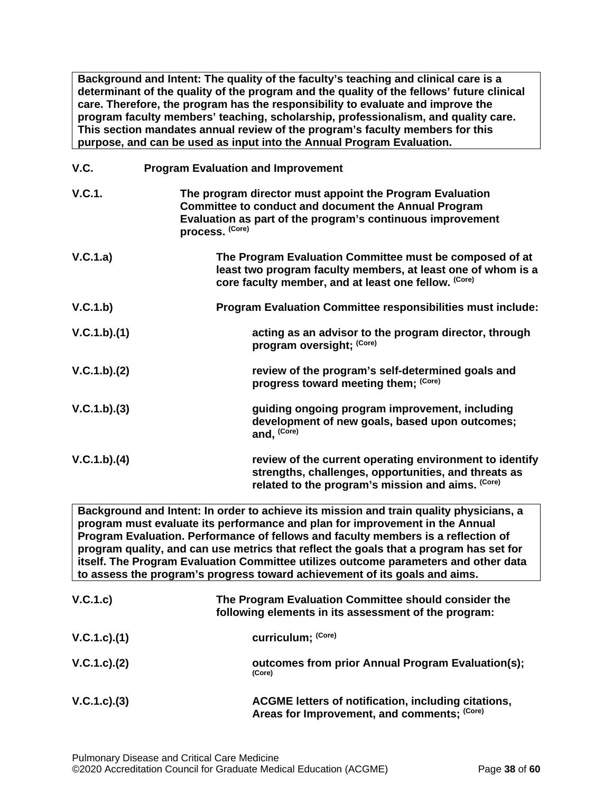**Background and Intent: The quality of the faculty's teaching and clinical care is a determinant of the quality of the program and the quality of the fellows' future clinical care. Therefore, the program has the responsibility to evaluate and improve the program faculty members' teaching, scholarship, professionalism, and quality care. This section mandates annual review of the program's faculty members for this purpose, and can be used as input into the Annual Program Evaluation.**

<span id="page-37-0"></span>

| V.C.        | <b>Program Evaluation and Improvement</b>                                                                                                                                                                |
|-------------|----------------------------------------------------------------------------------------------------------------------------------------------------------------------------------------------------------|
| V.C.1.      | The program director must appoint the Program Evaluation<br><b>Committee to conduct and document the Annual Program</b><br>Evaluation as part of the program's continuous improvement<br>process. (Core) |
| V.C.1.a)    | The Program Evaluation Committee must be composed of at<br>least two program faculty members, at least one of whom is a<br>core faculty member, and at least one fellow. (Core)                          |
| V.C.1.b)    | Program Evaluation Committee responsibilities must include:                                                                                                                                              |
| V.C.1.b)(1) | acting as an advisor to the program director, through<br>program oversight; (Core)                                                                                                                       |
| V.C.1.b)(2) | review of the program's self-determined goals and<br>progress toward meeting them; (Core)                                                                                                                |
| V.C.1.b)(3) | guiding ongoing program improvement, including<br>development of new goals, based upon outcomes;<br>and, (Core)                                                                                          |
| V.C.1.b)(4) | review of the current operating environment to identify<br>strengths, challenges, opportunities, and threats as<br>related to the program's mission and aims. (Core)                                     |

**Background and Intent: In order to achieve its mission and train quality physicians, a program must evaluate its performance and plan for improvement in the Annual Program Evaluation. Performance of fellows and faculty members is a reflection of program quality, and can use metrics that reflect the goals that a program has set for itself. The Program Evaluation Committee utilizes outcome parameters and other data to assess the program's progress toward achievement of its goals and aims.**

| V.C.1.c)      | The Program Evaluation Committee should consider the<br>following elements in its assessment of the program: |
|---------------|--------------------------------------------------------------------------------------------------------------|
| V.C.1.c).(1)  | curriculum; (Core)                                                                                           |
| V.C.1.c). (2) | outcomes from prior Annual Program Evaluation(s);<br>(Core)                                                  |
| V.C.1.c.3)    | ACGME letters of notification, including citations,<br>Areas for Improvement, and comments; (Core)           |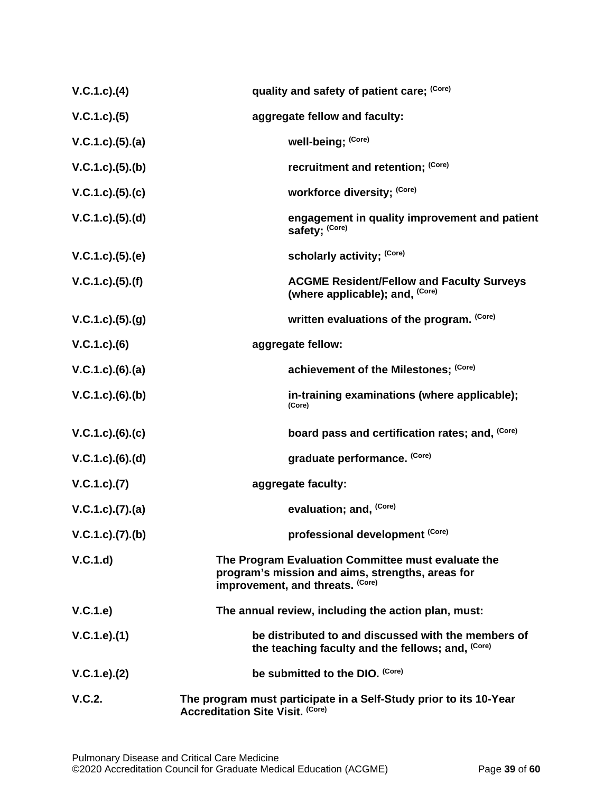| $V.C.1.c.$ (4)           | quality and safety of patient care; (Core)                                                                                                 |
|--------------------------|--------------------------------------------------------------------------------------------------------------------------------------------|
| V.C.1.c.3(5)             | aggregate fellow and faculty:                                                                                                              |
| V.C.1.c. (5). (a)        | well-being; (Core)                                                                                                                         |
| V.C.1.c. (5). (b)        | recruitment and retention; (Core)                                                                                                          |
| V.C.1.c. (5). (c)        | workforce diversity; (Core)                                                                                                                |
| V.C.1.c. (5). (d)        | engagement in quality improvement and patient<br>safety; (Core)                                                                            |
| V.C.1.c. (5). (e)        | scholarly activity; (Core)                                                                                                                 |
| V.C.1.c. (5). (f)        | <b>ACGME Resident/Fellow and Faculty Surveys</b><br>(where applicable); and, (Core)                                                        |
| V.C.1.c. (5). (g)        | written evaluations of the program. (Core)                                                                                                 |
| $V.C.1.c).$ (6)          | aggregate fellow:                                                                                                                          |
| $V.C.1.c.$ (6).(a)       | achievement of the Milestones; (Core)                                                                                                      |
| $V.C.1.c.$ (6).(b)       | in-training examinations (where applicable);<br>(Core)                                                                                     |
| $V.C.1.c).$ $(6).$ $(c)$ | board pass and certification rates; and, (Core)                                                                                            |
| $V.C.1.c.$ (6).(d)       | graduate performance. (Core)                                                                                                               |
| V.C.1.c.)(7)             | aggregate faculty:                                                                                                                         |
| V.C.1.c. (7). (a)        | evaluation; and, (Core)                                                                                                                    |
| V.C.1.c. (7). (b)        | professional development (Core)                                                                                                            |
| V.C.1.d                  | The Program Evaluation Committee must evaluate the<br>program's mission and aims, strengths, areas for<br>improvement, and threats. (Core) |
| V.C.1.e)                 | The annual review, including the action plan, must:                                                                                        |
| V.C.1.e).(1)             | be distributed to and discussed with the members of<br>the teaching faculty and the fellows; and, (Core)                                   |
| V.C.1.e). (2)            | be submitted to the DIO. (Core)                                                                                                            |
| V.C.2.                   | The program must participate in a Self-Study prior to its 10-Year<br><b>Accreditation Site Visit. (Core)</b>                               |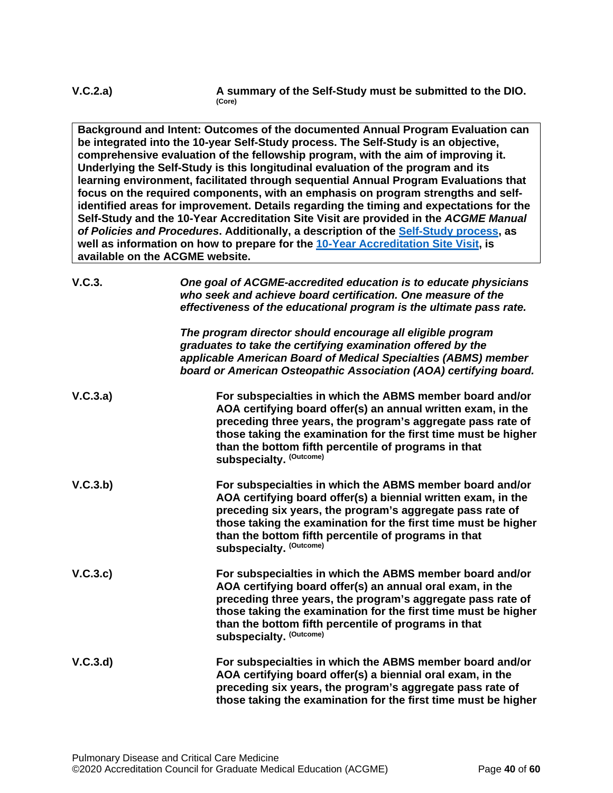**Background and Intent: Outcomes of the documented Annual Program Evaluation can be integrated into the 10-year Self-Study process. The Self-Study is an objective, comprehensive evaluation of the fellowship program, with the aim of improving it. Underlying the Self-Study is this longitudinal evaluation of the program and its learning environment, facilitated through sequential Annual Program Evaluations that focus on the required components, with an emphasis on program strengths and selfidentified areas for improvement. Details regarding the timing and expectations for the Self-Study and the 10-Year Accreditation Site Visit are provided in the** *ACGME Manual of Policies and Procedures***. Additionally, a description of the [Self-Study process,](http://acgme.org/What-We-Do/Accreditation/Self-Study) as well as information on how to prepare for the [10-Year Accreditation Site Visit,](http://www.acgme.org/What-We-Do/Accreditation/Site-Visit/Eight-Steps-to-Prepare-for-the-10-Year-Accreditation-Site-Visit) is available on the ACGME website.**

| V.C.3.   | One goal of ACGME-accredited education is to educate physicians<br>who seek and achieve board certification. One measure of the<br>effectiveness of the educational program is the ultimate pass rate.                                                                                                                                       |
|----------|----------------------------------------------------------------------------------------------------------------------------------------------------------------------------------------------------------------------------------------------------------------------------------------------------------------------------------------------|
|          | The program director should encourage all eligible program<br>graduates to take the certifying examination offered by the<br>applicable American Board of Medical Specialties (ABMS) member<br>board or American Osteopathic Association (AOA) certifying board.                                                                             |
| V.C.3.a) | For subspecialties in which the ABMS member board and/or<br>AOA certifying board offer(s) an annual written exam, in the<br>preceding three years, the program's aggregate pass rate of<br>those taking the examination for the first time must be higher<br>than the bottom fifth percentile of programs in that<br>subspecialty. (Outcome) |
| V.C.3.b) | For subspecialties in which the ABMS member board and/or<br>AOA certifying board offer(s) a biennial written exam, in the<br>preceding six years, the program's aggregate pass rate of<br>those taking the examination for the first time must be higher<br>than the bottom fifth percentile of programs in that<br>subspecialty. (Outcome)  |
| V.C.3.c  | For subspecialties in which the ABMS member board and/or<br>AOA certifying board offer(s) an annual oral exam, in the<br>preceding three years, the program's aggregate pass rate of<br>those taking the examination for the first time must be higher<br>than the bottom fifth percentile of programs in that<br>subspecialty. (Outcome)    |
| V.C.3.d  | For subspecialties in which the ABMS member board and/or<br>AOA certifying board offer(s) a biennial oral exam, in the<br>preceding six years, the program's aggregate pass rate of<br>those taking the examination for the first time must be higher                                                                                        |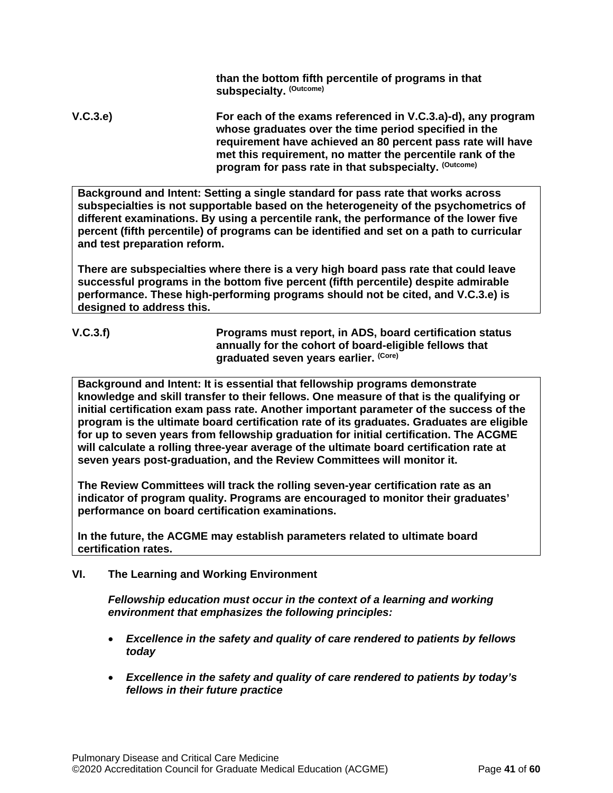**than the bottom fifth percentile of programs in that subspecialty. (Outcome)**

**V.C.3.e) For each of the exams referenced in V.C.3.a)-d), any program whose graduates over the time period specified in the requirement have achieved an 80 percent pass rate will have met this requirement, no matter the percentile rank of the program for pass rate in that subspecialty. (Outcome)**

**Background and Intent: Setting a single standard for pass rate that works across subspecialties is not supportable based on the heterogeneity of the psychometrics of different examinations. By using a percentile rank, the performance of the lower five percent (fifth percentile) of programs can be identified and set on a path to curricular and test preparation reform.**

**There are subspecialties where there is a very high board pass rate that could leave successful programs in the bottom five percent (fifth percentile) despite admirable performance. These high-performing programs should not be cited, and V.C.3.e) is designed to address this.**

**V.C.3.f) Programs must report, in ADS, board certification status annually for the cohort of board-eligible fellows that graduated seven years earlier. (Core)**

**Background and Intent: It is essential that fellowship programs demonstrate knowledge and skill transfer to their fellows. One measure of that is the qualifying or initial certification exam pass rate. Another important parameter of the success of the program is the ultimate board certification rate of its graduates. Graduates are eligible for up to seven years from fellowship graduation for initial certification. The ACGME will calculate a rolling three-year average of the ultimate board certification rate at seven years post-graduation, and the Review Committees will monitor it.**

**The Review Committees will track the rolling seven-year certification rate as an indicator of program quality. Programs are encouraged to monitor their graduates' performance on board certification examinations.**

**In the future, the ACGME may establish parameters related to ultimate board certification rates.**

<span id="page-40-0"></span>**VI. The Learning and Working Environment**

*Fellowship education must occur in the context of a learning and working environment that emphasizes the following principles:*

- *Excellence in the safety and quality of care rendered to patients by fellows today*
- *Excellence in the safety and quality of care rendered to patients by today's fellows in their future practice*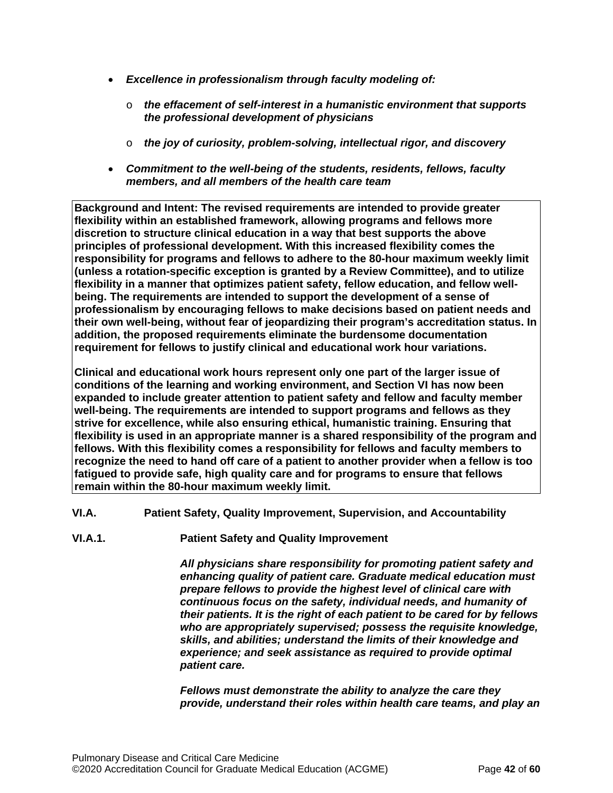- *Excellence in professionalism through faculty modeling of:*
	- o *the effacement of self-interest in a humanistic environment that supports the professional development of physicians*
	- o *the joy of curiosity, problem-solving, intellectual rigor, and discovery*
- *Commitment to the well-being of the students, residents, fellows, faculty members, and all members of the health care team*

**Background and Intent: The revised requirements are intended to provide greater flexibility within an established framework, allowing programs and fellows more discretion to structure clinical education in a way that best supports the above principles of professional development. With this increased flexibility comes the responsibility for programs and fellows to adhere to the 80-hour maximum weekly limit (unless a rotation-specific exception is granted by a Review Committee), and to utilize flexibility in a manner that optimizes patient safety, fellow education, and fellow wellbeing. The requirements are intended to support the development of a sense of professionalism by encouraging fellows to make decisions based on patient needs and their own well-being, without fear of jeopardizing their program's accreditation status. In addition, the proposed requirements eliminate the burdensome documentation requirement for fellows to justify clinical and educational work hour variations.**

**Clinical and educational work hours represent only one part of the larger issue of conditions of the learning and working environment, and Section VI has now been expanded to include greater attention to patient safety and fellow and faculty member well-being. The requirements are intended to support programs and fellows as they strive for excellence, while also ensuring ethical, humanistic training. Ensuring that flexibility is used in an appropriate manner is a shared responsibility of the program and fellows. With this flexibility comes a responsibility for fellows and faculty members to recognize the need to hand off care of a patient to another provider when a fellow is too fatigued to provide safe, high quality care and for programs to ensure that fellows remain within the 80-hour maximum weekly limit.**

<span id="page-41-0"></span>**VI.A. Patient Safety, Quality Improvement, Supervision, and Accountability**

**VI.A.1. Patient Safety and Quality Improvement**

*All physicians share responsibility for promoting patient safety and enhancing quality of patient care. Graduate medical education must prepare fellows to provide the highest level of clinical care with continuous focus on the safety, individual needs, and humanity of their patients. It is the right of each patient to be cared for by fellows who are appropriately supervised; possess the requisite knowledge, skills, and abilities; understand the limits of their knowledge and experience; and seek assistance as required to provide optimal patient care.*

*Fellows must demonstrate the ability to analyze the care they provide, understand their roles within health care teams, and play an*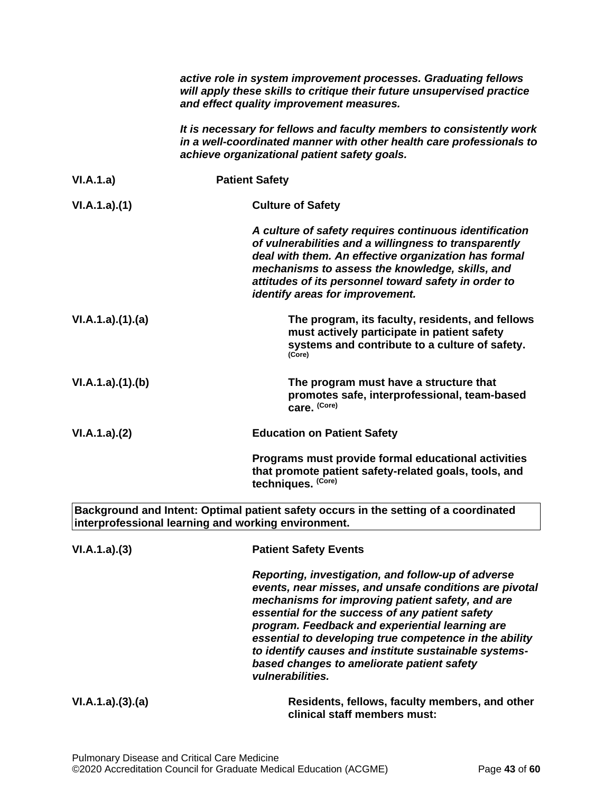|                 | active role in system improvement processes. Graduating fellows<br>will apply these skills to critique their future unsupervised practice<br>and effect quality improvement measures.                                                                                                                                                                                                                                                                       |
|-----------------|-------------------------------------------------------------------------------------------------------------------------------------------------------------------------------------------------------------------------------------------------------------------------------------------------------------------------------------------------------------------------------------------------------------------------------------------------------------|
|                 | It is necessary for fellows and faculty members to consistently work<br>in a well-coordinated manner with other health care professionals to<br>achieve organizational patient safety goals.                                                                                                                                                                                                                                                                |
| VI.A.1.a)       | <b>Patient Safety</b>                                                                                                                                                                                                                                                                                                                                                                                                                                       |
| VI.A.1.a)(1)    | <b>Culture of Safety</b>                                                                                                                                                                                                                                                                                                                                                                                                                                    |
|                 | A culture of safety requires continuous identification<br>of vulnerabilities and a willingness to transparently<br>deal with them. An effective organization has formal<br>mechanisms to assess the knowledge, skills, and<br>attitudes of its personnel toward safety in order to<br>identify areas for improvement.                                                                                                                                       |
| VI.A.1.a)(1)(a) | The program, its faculty, residents, and fellows<br>must actively participate in patient safety<br>systems and contribute to a culture of safety.<br>(Core)                                                                                                                                                                                                                                                                                                 |
| VI.A.1.a)(1)(b) | The program must have a structure that<br>promotes safe, interprofessional, team-based<br>care. (Core)                                                                                                                                                                                                                                                                                                                                                      |
| VI.A.1.a)(2)    | <b>Education on Patient Safety</b>                                                                                                                                                                                                                                                                                                                                                                                                                          |
|                 | Programs must provide formal educational activities<br>that promote patient safety-related goals, tools, and<br>techniques. (Core)                                                                                                                                                                                                                                                                                                                          |
|                 | Background and Intent: Optimal patient safety occurs in the setting of a coordinated<br>interprofessional learning and working environment.                                                                                                                                                                                                                                                                                                                 |
| VI.A.1.a)(3)    | <b>Patient Safety Events</b>                                                                                                                                                                                                                                                                                                                                                                                                                                |
|                 | Reporting, investigation, and follow-up of adverse<br>events, near misses, and unsafe conditions are pivotal<br>mechanisms for improving patient safety, and are<br>essential for the success of any patient safety<br>program. Feedback and experiential learning are<br>essential to developing true competence in the ability<br>to identify causes and institute sustainable systems-<br>based changes to ameliorate patient safety<br>vulnerabilities. |
| VI.A.1.a)(3)(a) | Residents, fellows, faculty members, and other<br>clinical staff members must:                                                                                                                                                                                                                                                                                                                                                                              |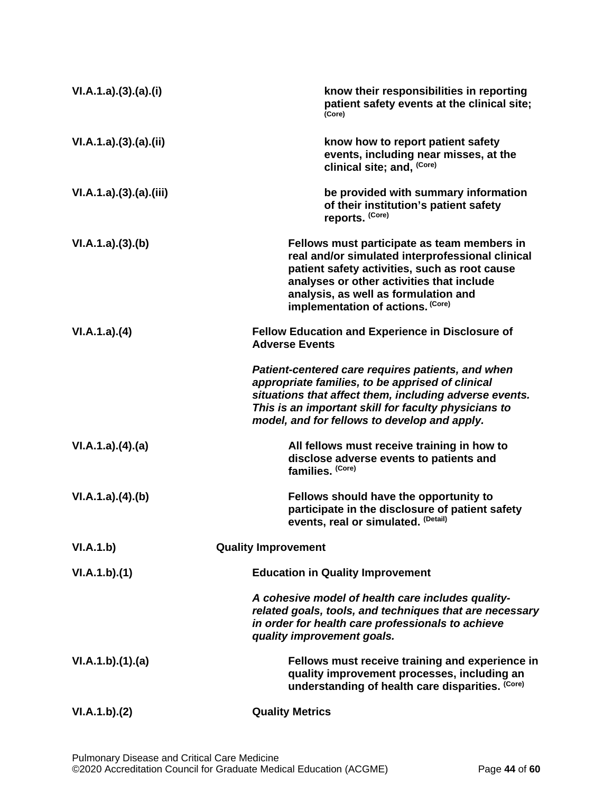| VI.A.1.a)(3).(a)(i)  | know their responsibilities in reporting<br>patient safety events at the clinical site;<br>(Core)                                                                                                                                                                          |
|----------------------|----------------------------------------------------------------------------------------------------------------------------------------------------------------------------------------------------------------------------------------------------------------------------|
| VI.A.1.a)(3)(a)(ii)  | know how to report patient safety<br>events, including near misses, at the<br>clinical site; and, (Core)                                                                                                                                                                   |
| VI.A.1.a)(3)(a)(iii) | be provided with summary information<br>of their institution's patient safety<br>reports. (Core)                                                                                                                                                                           |
| VI.A.1.a)(3)(b)      | Fellows must participate as team members in<br>real and/or simulated interprofessional clinical<br>patient safety activities, such as root cause<br>analyses or other activities that include<br>analysis, as well as formulation and<br>implementation of actions. (Core) |
| VI.A.1.a)(4)         | <b>Fellow Education and Experience in Disclosure of</b><br><b>Adverse Events</b>                                                                                                                                                                                           |
|                      | Patient-centered care requires patients, and when<br>appropriate families, to be apprised of clinical<br>situations that affect them, including adverse events.<br>This is an important skill for faculty physicians to<br>model, and for fellows to develop and apply.    |
| VI.A.1.a)(4)(a)      | All fellows must receive training in how to<br>disclose adverse events to patients and<br>families. (Core)                                                                                                                                                                 |
| VI.A.1.a)(4)(b)      | Fellows should have the opportunity to<br>participate in the disclosure of patient safety<br>events, real or simulated. (Detail)                                                                                                                                           |
| VI.A.1.b)            | <b>Quality Improvement</b>                                                                                                                                                                                                                                                 |
| VI.A.1.b)(1)         | <b>Education in Quality Improvement</b>                                                                                                                                                                                                                                    |
|                      | A cohesive model of health care includes quality-<br>related goals, tools, and techniques that are necessary<br>in order for health care professionals to achieve<br>quality improvement goals.                                                                            |
| VI.A.1.b)(1)(a)      | Fellows must receive training and experience in<br>quality improvement processes, including an<br>understanding of health care disparities. (Core)                                                                                                                         |
| VI.A.1.b)(2)         | <b>Quality Metrics</b>                                                                                                                                                                                                                                                     |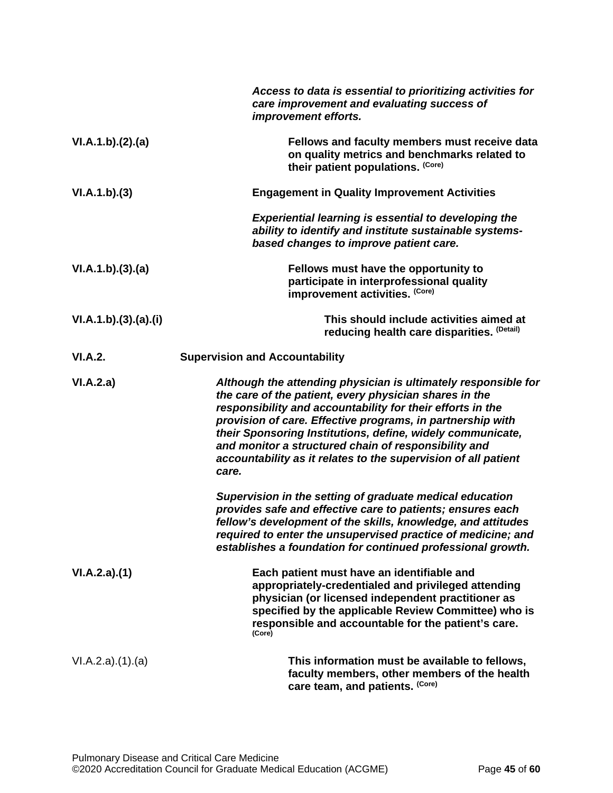|                      | Access to data is essential to prioritizing activities for<br>care improvement and evaluating success of<br>improvement efforts.                                                                                                                                                                                                                                                                                                                      |
|----------------------|-------------------------------------------------------------------------------------------------------------------------------------------------------------------------------------------------------------------------------------------------------------------------------------------------------------------------------------------------------------------------------------------------------------------------------------------------------|
| VI.A.1.b)(2).(a)     | Fellows and faculty members must receive data<br>on quality metrics and benchmarks related to<br>their patient populations. (Core)                                                                                                                                                                                                                                                                                                                    |
| VI.A.1.b)(3)         | <b>Engagement in Quality Improvement Activities</b>                                                                                                                                                                                                                                                                                                                                                                                                   |
|                      | <b>Experiential learning is essential to developing the</b><br>ability to identify and institute sustainable systems-<br>based changes to improve patient care.                                                                                                                                                                                                                                                                                       |
| VI.A.1.b)(3).(a)     | Fellows must have the opportunity to<br>participate in interprofessional quality<br>improvement activities. (Core)                                                                                                                                                                                                                                                                                                                                    |
| VI.A.1.b)(3).(a).(i) | This should include activities aimed at<br>reducing health care disparities. (Detail)                                                                                                                                                                                                                                                                                                                                                                 |
| VI.A.2.              | <b>Supervision and Accountability</b>                                                                                                                                                                                                                                                                                                                                                                                                                 |
| VI.A.2.a)            | Although the attending physician is ultimately responsible for<br>the care of the patient, every physician shares in the<br>responsibility and accountability for their efforts in the<br>provision of care. Effective programs, in partnership with<br>their Sponsoring Institutions, define, widely communicate,<br>and monitor a structured chain of responsibility and<br>accountability as it relates to the supervision of all patient<br>care. |
|                      | Supervision in the setting of graduate medical education<br>provides safe and effective care to patients; ensures each<br>fellow's development of the skills, knowledge, and attitudes<br>required to enter the unsupervised practice of medicine; and<br>establishes a foundation for continued professional growth.                                                                                                                                 |
| VI.A.2.a)(1)         | Each patient must have an identifiable and<br>appropriately-credentialed and privileged attending<br>physician (or licensed independent practitioner as<br>specified by the applicable Review Committee) who is<br>responsible and accountable for the patient's care.<br>(Core)                                                                                                                                                                      |
| VI.A.2.a)(1).(a)     | This information must be available to fellows,<br>faculty members, other members of the health<br>care team, and patients. (Core)                                                                                                                                                                                                                                                                                                                     |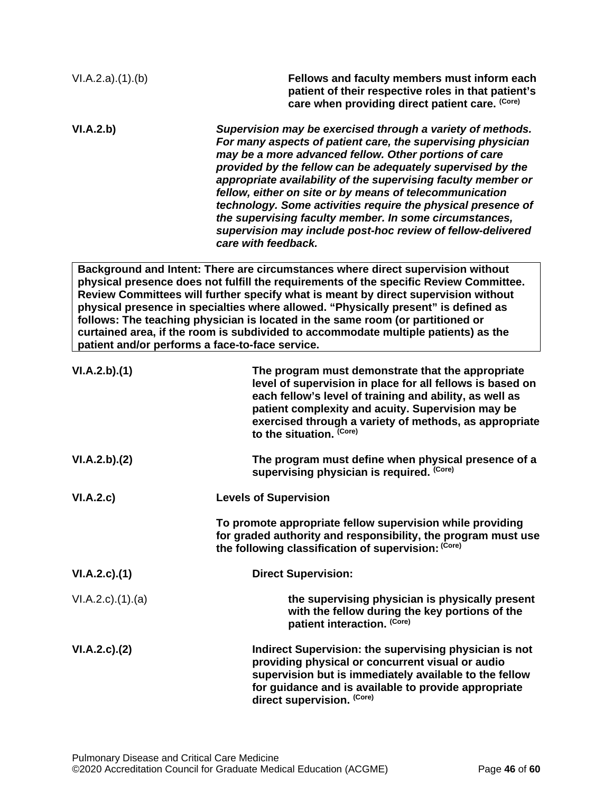| VI.A.2.a)(1).(b)          | Fellows and faculty members must inform each<br>patient of their respective roles in that patient's<br>care when providing direct patient care. (Core)                                                                                                                                                                                                                                                                                                                                                                                                                                       |
|---------------------------|----------------------------------------------------------------------------------------------------------------------------------------------------------------------------------------------------------------------------------------------------------------------------------------------------------------------------------------------------------------------------------------------------------------------------------------------------------------------------------------------------------------------------------------------------------------------------------------------|
| VI.A.2.b)                 | Supervision may be exercised through a variety of methods.<br>For many aspects of patient care, the supervising physician<br>may be a more advanced fellow. Other portions of care<br>provided by the fellow can be adequately supervised by the<br>appropriate availability of the supervising faculty member or<br>fellow, either on site or by means of telecommunication<br>technology. Some activities require the physical presence of<br>the supervising faculty member. In some circumstances,<br>supervision may include post-hoc review of fellow-delivered<br>care with feedback. |
|                           | Background and Intent: There are circumstances where direct supervision without<br>physical presence does not fulfill the requirements of the specific Review Committee.<br>Review Committees will further specify what is meant by direct supervision without<br>physical presence in specialties where allowed. "Physically present" is defined as<br>follows: The teaching physician is located in the same room (or partitioned or<br>curtained area, if the room is subdivided to accommodate multiple patients) as the<br>patient and/or performs a face-to-face service.              |
| VI.A.2.b)(1)              | The program must demonstrate that the appropriate<br>level of supervision in place for all fellows is based on<br>each fellow's level of training and ability, as well as<br>patient complexity and acuity. Supervision may be<br>exercised through a variety of methods, as appropriate<br>to the situation. (Core)                                                                                                                                                                                                                                                                         |
| VI.A.2.b)(2)              | The program must define when physical presence of a<br>supervising physician is required. (Core)                                                                                                                                                                                                                                                                                                                                                                                                                                                                                             |
| VI.A.2.c)                 | <b>Levels of Supervision</b>                                                                                                                                                                                                                                                                                                                                                                                                                                                                                                                                                                 |
|                           | To promote appropriate fellow supervision while providing<br>for graded authority and responsibility, the program must use<br>the following classification of supervision: (Core)                                                                                                                                                                                                                                                                                                                                                                                                            |
| $VI.A.2.c.$ (1)           | <b>Direct Supervision:</b>                                                                                                                                                                                                                                                                                                                                                                                                                                                                                                                                                                   |
| $VI.A.2.c$ . $(1).$ $(a)$ | the supervising physician is physically present<br>with the fellow during the key portions of the<br>patient interaction. (Core)                                                                                                                                                                                                                                                                                                                                                                                                                                                             |
| VI.A.2.c.2()              | Indirect Supervision: the supervising physician is not<br>providing physical or concurrent visual or audio<br>supervision but is immediately available to the fellow<br>for guidance and is available to provide appropriate<br>direct supervision. (Core)                                                                                                                                                                                                                                                                                                                                   |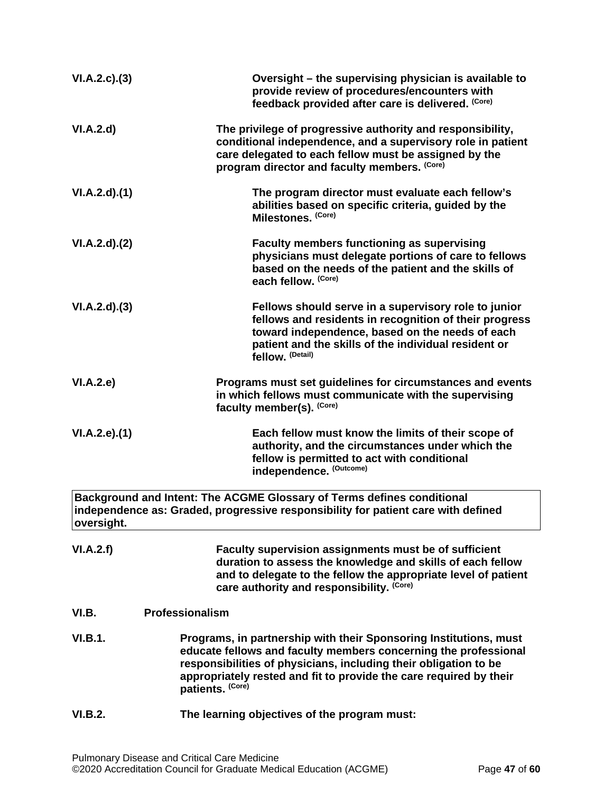<span id="page-46-0"></span>

| VI.A.2.c.3)    | Oversight - the supervising physician is available to<br>provide review of procedures/encounters with<br>feedback provided after care is delivered. (Core)                                                                                                                                         |
|----------------|----------------------------------------------------------------------------------------------------------------------------------------------------------------------------------------------------------------------------------------------------------------------------------------------------|
| VI.A.2.d       | The privilege of progressive authority and responsibility,<br>conditional independence, and a supervisory role in patient<br>care delegated to each fellow must be assigned by the<br>program director and faculty members. (Core)                                                                 |
| VI.A.2.d)(1)   | The program director must evaluate each fellow's<br>abilities based on specific criteria, guided by the<br>Milestones. (Core)                                                                                                                                                                      |
| VI.A.2.d)(2)   | <b>Faculty members functioning as supervising</b><br>physicians must delegate portions of care to fellows<br>based on the needs of the patient and the skills of<br>each fellow. (Core)                                                                                                            |
| VI.A.2.d)(3)   | Fellows should serve in a supervisory role to junior<br>fellows and residents in recognition of their progress<br>toward independence, based on the needs of each<br>patient and the skills of the individual resident or<br>fellow. (Detail)                                                      |
| VI.A.2.e       | Programs must set guidelines for circumstances and events<br>in which fellows must communicate with the supervising<br>faculty member(s). (Core)                                                                                                                                                   |
| VI.A.2.e.(1)   | Each fellow must know the limits of their scope of<br>authority, and the circumstances under which the<br>fellow is permitted to act with conditional<br>independence. (Outcome)                                                                                                                   |
| oversight.     | Background and Intent: The ACGME Glossary of Terms defines conditional<br>independence as: Graded, progressive responsibility for patient care with defined                                                                                                                                        |
| VI.A.2.f)      | Faculty supervision assignments must be of sufficient<br>duration to assess the knowledge and skills of each fellow<br>and to delegate to the fellow the appropriate level of patient<br>care authority and responsibility. (Core)                                                                 |
| VI.B.          | <b>Professionalism</b>                                                                                                                                                                                                                                                                             |
| VI.B.1.        | Programs, in partnership with their Sponsoring Institutions, must<br>educate fellows and faculty members concerning the professional<br>responsibilities of physicians, including their obligation to be<br>appropriately rested and fit to provide the care required by their<br>patients. (Core) |
| <b>VI.B.2.</b> | The learning objectives of the program must:                                                                                                                                                                                                                                                       |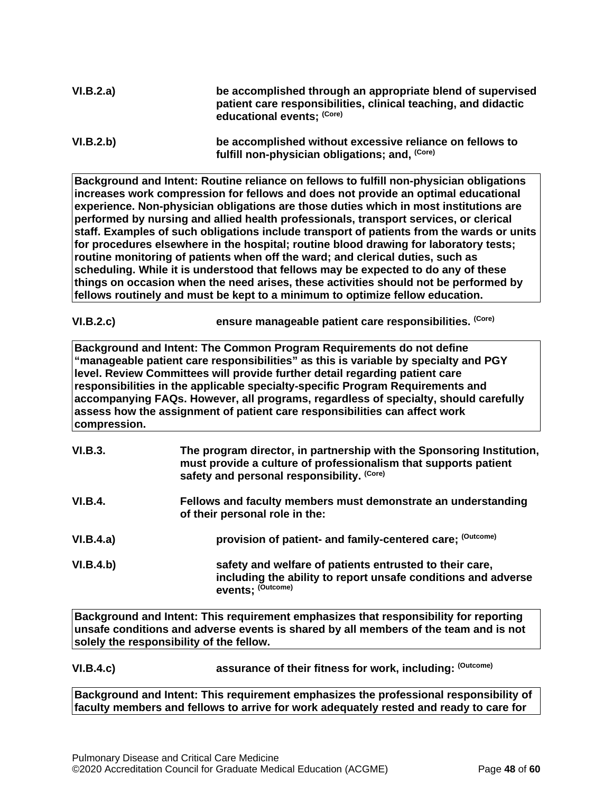| VI.B.2.a) | be accomplished through an appropriate blend of supervised<br>patient care responsibilities, clinical teaching, and didactic |
|-----------|------------------------------------------------------------------------------------------------------------------------------|
|           | educational events; (Core)                                                                                                   |

```
VI.B.2.b) be accomplished without excessive reliance on fellows to 
            fulfill non-physician obligations; and, (Core)
```
**Background and Intent: Routine reliance on fellows to fulfill non-physician obligations increases work compression for fellows and does not provide an optimal educational experience. Non-physician obligations are those duties which in most institutions are performed by nursing and allied health professionals, transport services, or clerical staff. Examples of such obligations include transport of patients from the wards or units for procedures elsewhere in the hospital; routine blood drawing for laboratory tests; routine monitoring of patients when off the ward; and clerical duties, such as scheduling. While it is understood that fellows may be expected to do any of these things on occasion when the need arises, these activities should not be performed by fellows routinely and must be kept to a minimum to optimize fellow education.**

**VI.B.2.c) ensure manageable patient care responsibilities. (Core)**

**Background and Intent: The Common Program Requirements do not define "manageable patient care responsibilities" as this is variable by specialty and PGY level. Review Committees will provide further detail regarding patient care responsibilities in the applicable specialty-specific Program Requirements and accompanying FAQs. However, all programs, regardless of specialty, should carefully assess how the assignment of patient care responsibilities can affect work compression.**

| VI.B.3.        | The program director, in partnership with the Sponsoring Institution,<br>must provide a culture of professionalism that supports patient<br>safety and personal responsibility. (Core) |
|----------------|----------------------------------------------------------------------------------------------------------------------------------------------------------------------------------------|
| <b>VI.B.4.</b> | Fellows and faculty members must demonstrate an understanding<br>of their personal role in the:                                                                                        |
| VI.B.4.a)      | provision of patient- and family-centered care; (Outcome)                                                                                                                              |
| VI.B.4.b)      | safety and welfare of patients entrusted to their care,<br>including the ability to report unsafe conditions and adverse<br>events: (Outcome)                                          |

**Background and Intent: This requirement emphasizes that responsibility for reporting unsafe conditions and adverse events is shared by all members of the team and is not solely the responsibility of the fellow.**

## **VI.B.4.c) assurance of their fitness for work, including: (Outcome)**

**Background and Intent: This requirement emphasizes the professional responsibility of faculty members and fellows to arrive for work adequately rested and ready to care for**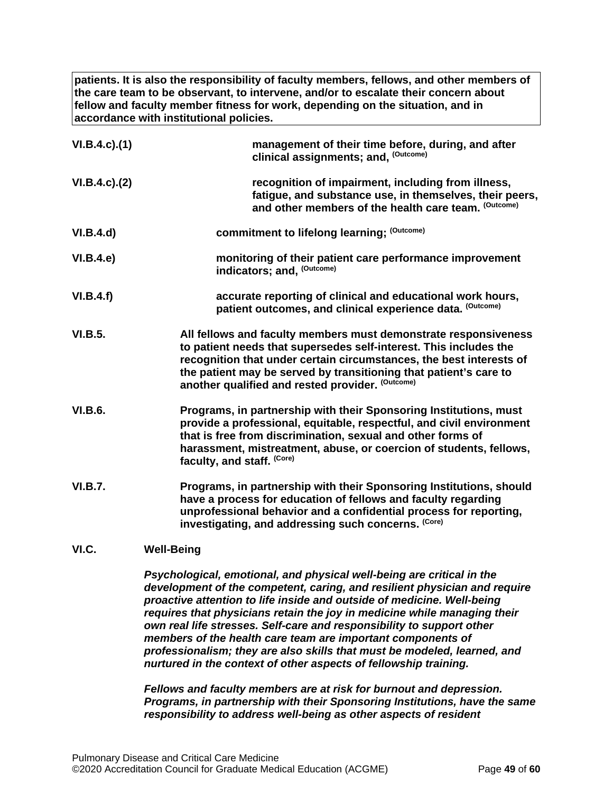**patients. It is also the responsibility of faculty members, fellows, and other members of the care team to be observant, to intervene, and/or to escalate their concern about fellow and faculty member fitness for work, depending on the situation, and in accordance with institutional policies.**

| $VI.B.4.c$ ). $(1)$ | management of their time before, during, and after<br>clinical assignments; and, (Outcome)                                                                                                                                                                                                                                           |
|---------------------|--------------------------------------------------------------------------------------------------------------------------------------------------------------------------------------------------------------------------------------------------------------------------------------------------------------------------------------|
| $VI.B.4.c$ ). $(2)$ | recognition of impairment, including from illness,<br>fatigue, and substance use, in themselves, their peers,<br>and other members of the health care team. (Outcome)                                                                                                                                                                |
| VI.B.4.d)           | commitment to lifelong learning; (Outcome)                                                                                                                                                                                                                                                                                           |
| VI.B.4.e            | monitoring of their patient care performance improvement<br>indicators; and, (Outcome)                                                                                                                                                                                                                                               |
| VI.B.4.f)           | accurate reporting of clinical and educational work hours,<br>patient outcomes, and clinical experience data. (Outcome)                                                                                                                                                                                                              |
| <b>VI.B.5.</b>      | All fellows and faculty members must demonstrate responsiveness<br>to patient needs that supersedes self-interest. This includes the<br>recognition that under certain circumstances, the best interests of<br>the patient may be served by transitioning that patient's care to<br>another qualified and rested provider. (Outcome) |
| <b>VI.B.6.</b>      | Programs, in partnership with their Sponsoring Institutions, must<br>provide a professional, equitable, respectful, and civil environment<br>that is free from discrimination, sexual and other forms of<br>harassment, mistreatment, abuse, or coercion of students, fellows,<br>faculty, and staff. (Core)                         |
| <b>VI.B.7.</b>      | Programs, in partnership with their Sponsoring Institutions, should<br>have a process for education of fellows and faculty regarding<br>unprofessional behavior and a confidential process for reporting,<br>investigating, and addressing such concerns. (Core)                                                                     |
| VI.C.               | <b>Well-Being</b>                                                                                                                                                                                                                                                                                                                    |

<span id="page-48-0"></span>*Psychological, emotional, and physical well-being are critical in the development of the competent, caring, and resilient physician and require proactive attention to life inside and outside of medicine. Well-being requires that physicians retain the joy in medicine while managing their own real life stresses. Self-care and responsibility to support other members of the health care team are important components of professionalism; they are also skills that must be modeled, learned, and nurtured in the context of other aspects of fellowship training.*

*Fellows and faculty members are at risk for burnout and depression. Programs, in partnership with their Sponsoring Institutions, have the same responsibility to address well-being as other aspects of resident*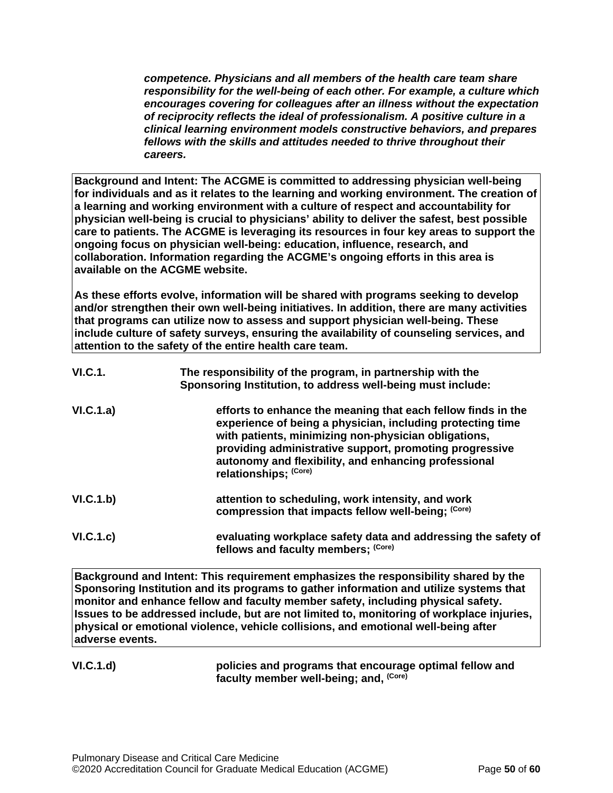*competence. Physicians and all members of the health care team share responsibility for the well-being of each other. For example, a culture which encourages covering for colleagues after an illness without the expectation of reciprocity reflects the ideal of professionalism. A positive culture in a clinical learning environment models constructive behaviors, and prepares fellows with the skills and attitudes needed to thrive throughout their careers.*

**Background and Intent: The ACGME is committed to addressing physician well-being for individuals and as it relates to the learning and working environment. The creation of a learning and working environment with a culture of respect and accountability for physician well-being is crucial to physicians' ability to deliver the safest, best possible care to patients. The ACGME is leveraging its resources in four key areas to support the ongoing focus on physician well-being: education, influence, research, and collaboration. Information regarding the ACGME's ongoing efforts in this area is available on the ACGME website.**

**As these efforts evolve, information will be shared with programs seeking to develop and/or strengthen their own well-being initiatives. In addition, there are many activities that programs can utilize now to assess and support physician well-being. These include culture of safety surveys, ensuring the availability of counseling services, and attention to the safety of the entire health care team.**

| <b>VI.C.1.</b> | The responsibility of the program, in partnership with the<br>Sponsoring Institution, to address well-being must include:                                                                                                                                                                                                      |
|----------------|--------------------------------------------------------------------------------------------------------------------------------------------------------------------------------------------------------------------------------------------------------------------------------------------------------------------------------|
| VI.C.1.a)      | efforts to enhance the meaning that each fellow finds in the<br>experience of being a physician, including protecting time<br>with patients, minimizing non-physician obligations,<br>providing administrative support, promoting progressive<br>autonomy and flexibility, and enhancing professional<br>relationships; (Core) |
| VI.C.1.b)      | attention to scheduling, work intensity, and work<br>compression that impacts fellow well-being; (Core)                                                                                                                                                                                                                        |
| VI.C.1.c)      | evaluating workplace safety data and addressing the safety of<br>fellows and faculty members; (Core)                                                                                                                                                                                                                           |

**Background and Intent: This requirement emphasizes the responsibility shared by the Sponsoring Institution and its programs to gather information and utilize systems that monitor and enhance fellow and faculty member safety, including physical safety. Issues to be addressed include, but are not limited to, monitoring of workplace injuries, physical or emotional violence, vehicle collisions, and emotional well-being after adverse events.**

## **VI.C.1.d) policies and programs that encourage optimal fellow and faculty member well-being; and, (Core)**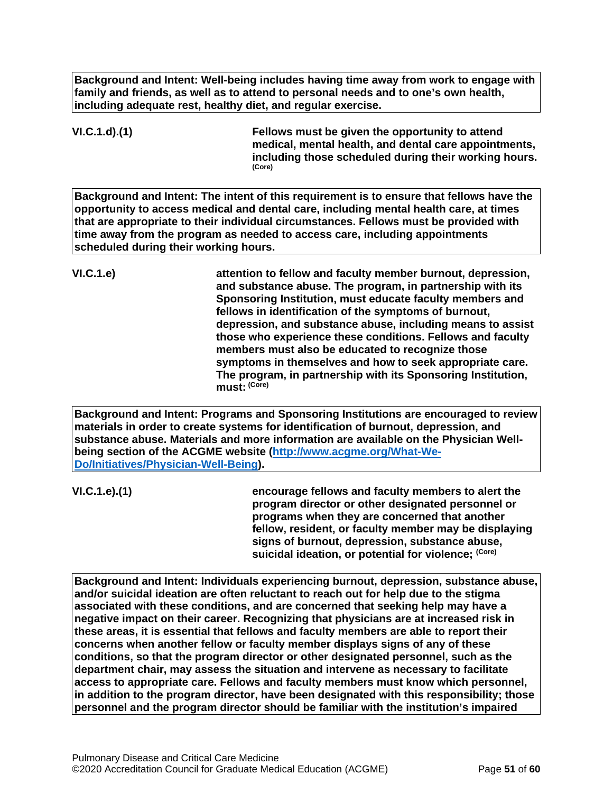**Background and Intent: Well-being includes having time away from work to engage with family and friends, as well as to attend to personal needs and to one's own health, including adequate rest, healthy diet, and regular exercise.**

**VI.C.1.d).(1) Fellows must be given the opportunity to attend medical, mental health, and dental care appointments, including those scheduled during their working hours. (Core)**

**Background and Intent: The intent of this requirement is to ensure that fellows have the opportunity to access medical and dental care, including mental health care, at times that are appropriate to their individual circumstances. Fellows must be provided with time away from the program as needed to access care, including appointments scheduled during their working hours.**

**VI.C.1.e) attention to fellow and faculty member burnout, depression, and substance abuse. The program, in partnership with its Sponsoring Institution, must educate faculty members and fellows in identification of the symptoms of burnout, depression, and substance abuse, including means to assist those who experience these conditions. Fellows and faculty members must also be educated to recognize those symptoms in themselves and how to seek appropriate care. The program, in partnership with its Sponsoring Institution, must: (Core)**

**Background and Intent: Programs and Sponsoring Institutions are encouraged to review materials in order to create systems for identification of burnout, depression, and substance abuse. Materials and more information are available on the Physician Wellbeing section of the ACGME website [\(http://www.acgme.org/What-We-](http://www.acgme.org/What-We-Do/Initiatives/Physician-Well-Being)[Do/Initiatives/Physician-Well-Being\)](http://www.acgme.org/What-We-Do/Initiatives/Physician-Well-Being).**

**VI.C.1.e).(1) encourage fellows and faculty members to alert the program director or other designated personnel or programs when they are concerned that another fellow, resident, or faculty member may be displaying signs of burnout, depression, substance abuse, suicidal ideation, or potential for violence; (Core)**

**Background and Intent: Individuals experiencing burnout, depression, substance abuse, and/or suicidal ideation are often reluctant to reach out for help due to the stigma associated with these conditions, and are concerned that seeking help may have a negative impact on their career. Recognizing that physicians are at increased risk in these areas, it is essential that fellows and faculty members are able to report their concerns when another fellow or faculty member displays signs of any of these conditions, so that the program director or other designated personnel, such as the department chair, may assess the situation and intervene as necessary to facilitate access to appropriate care. Fellows and faculty members must know which personnel, in addition to the program director, have been designated with this responsibility; those personnel and the program director should be familiar with the institution's impaired**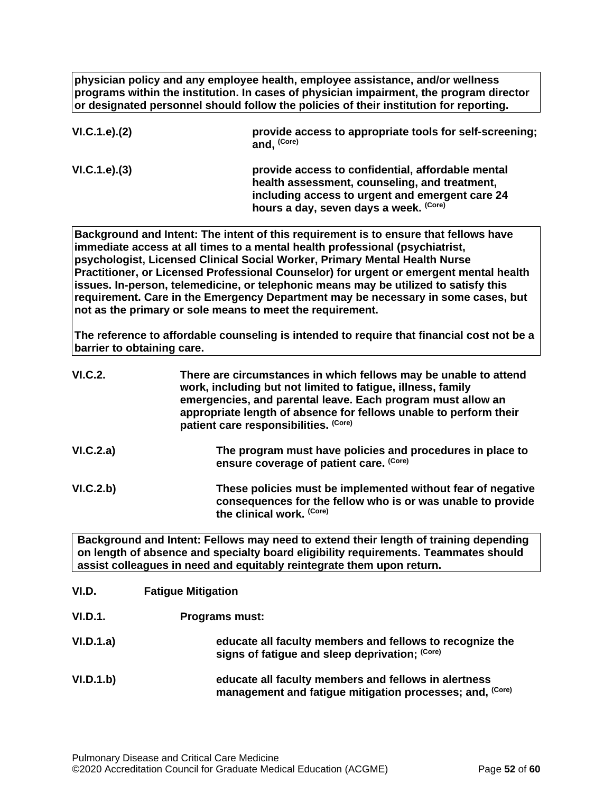**physician policy and any employee health, employee assistance, and/or wellness programs within the institution. In cases of physician impairment, the program director or designated personnel should follow the policies of their institution for reporting.**

| VI.C.1.e). (2) | provide access to appropriate tools for self-screening;<br>and, (Core)                                                                                                                          |
|----------------|-------------------------------------------------------------------------------------------------------------------------------------------------------------------------------------------------|
| VI.C.1.e). (3) | provide access to confidential, affordable mental<br>health assessment, counseling, and treatment,<br>including access to urgent and emergent care 24<br>hours a day, seven days a week. (Core) |

**Background and Intent: The intent of this requirement is to ensure that fellows have immediate access at all times to a mental health professional (psychiatrist, psychologist, Licensed Clinical Social Worker, Primary Mental Health Nurse Practitioner, or Licensed Professional Counselor) for urgent or emergent mental health issues. In-person, telemedicine, or telephonic means may be utilized to satisfy this requirement. Care in the Emergency Department may be necessary in some cases, but not as the primary or sole means to meet the requirement.**

**The reference to affordable counseling is intended to require that financial cost not be a barrier to obtaining care.**

| VI.C.2.   | There are circumstances in which fellows may be unable to attend<br>work, including but not limited to fatigue, illness, family<br>emergencies, and parental leave. Each program must allow an<br>appropriate length of absence for fellows unable to perform their<br>patient care responsibilities. (Core) |
|-----------|--------------------------------------------------------------------------------------------------------------------------------------------------------------------------------------------------------------------------------------------------------------------------------------------------------------|
| VI.C.2.a) | The program must have policies and procedures in place to<br>ensure coverage of patient care. (Core)                                                                                                                                                                                                         |
| VI.C.2.b) | These policies must be implemented without fear of negative<br>consequences for the fellow who is or was unable to provide<br>the clinical work. (Core)                                                                                                                                                      |

**Background and Intent: Fellows may need to extend their length of training depending on length of absence and specialty board eligibility requirements. Teammates should assist colleagues in need and equitably reintegrate them upon return.**

<span id="page-51-0"></span>

| VI.D.          | <b>Fatigue Mitigation</b>                                                                                        |
|----------------|------------------------------------------------------------------------------------------------------------------|
| <b>VI.D.1.</b> | <b>Programs must:</b>                                                                                            |
| VI.D.1.a)      | educate all faculty members and fellows to recognize the<br>signs of fatigue and sleep deprivation; (Core)       |
| VI.D.1.b)      | educate all faculty members and fellows in alertness<br>management and fatigue mitigation processes; and, (Core) |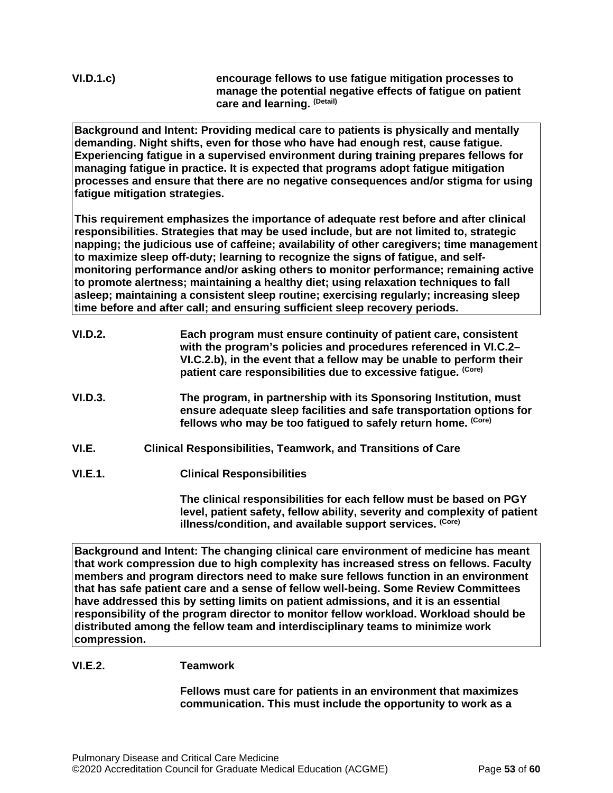**VI.D.1.c) encourage fellows to use fatigue mitigation processes to manage the potential negative effects of fatigue on patient care and learning. (Detail)**

**Background and Intent: Providing medical care to patients is physically and mentally demanding. Night shifts, even for those who have had enough rest, cause fatigue. Experiencing fatigue in a supervised environment during training prepares fellows for managing fatigue in practice. It is expected that programs adopt fatigue mitigation processes and ensure that there are no negative consequences and/or stigma for using fatigue mitigation strategies.**

**This requirement emphasizes the importance of adequate rest before and after clinical responsibilities. Strategies that may be used include, but are not limited to, strategic napping; the judicious use of caffeine; availability of other caregivers; time management to maximize sleep off-duty; learning to recognize the signs of fatigue, and selfmonitoring performance and/or asking others to monitor performance; remaining active to promote alertness; maintaining a healthy diet; using relaxation techniques to fall asleep; maintaining a consistent sleep routine; exercising regularly; increasing sleep time before and after call; and ensuring sufficient sleep recovery periods.**

| <b>VI.D.2.</b> | Each program must ensure continuity of patient care, consistent<br>with the program's policies and procedures referenced in VI.C.2-<br>VI.C.2.b), in the event that a fellow may be unable to perform their<br>patient care responsibilities due to excessive fatigue. (Core) |
|----------------|-------------------------------------------------------------------------------------------------------------------------------------------------------------------------------------------------------------------------------------------------------------------------------|
| VI.D.3.        | The program, in partnership with its Sponsoring Institution, must<br>ensure adequate sleep facilities and safe transportation options for<br>fellows who may be too fatigued to safely return home. (Core)                                                                    |
| ,,, ,          | Oliniaal Daamamaikilikkaa. Taamuusuksanal Tusmakkana af Osua.                                                                                                                                                                                                                 |

- <span id="page-52-0"></span>**VI.E. Clinical Responsibilities, Teamwork, and Transitions of Care**
- **VI.E.1. Clinical Responsibilities**

**The clinical responsibilities for each fellow must be based on PGY level, patient safety, fellow ability, severity and complexity of patient illness/condition, and available support services. (Core)**

**Background and Intent: The changing clinical care environment of medicine has meant that work compression due to high complexity has increased stress on fellows. Faculty members and program directors need to make sure fellows function in an environment that has safe patient care and a sense of fellow well-being. Some Review Committees have addressed this by setting limits on patient admissions, and it is an essential responsibility of the program director to monitor fellow workload. Workload should be distributed among the fellow team and interdisciplinary teams to minimize work compression.**

## **VI.E.2. Teamwork**

**Fellows must care for patients in an environment that maximizes communication. This must include the opportunity to work as a**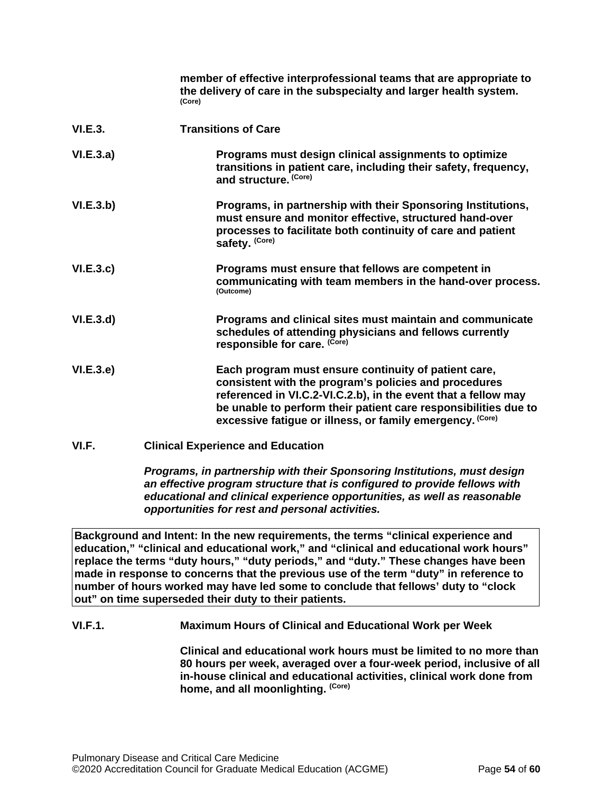|           | member of effective interprofessional teams that are appropriate to<br>the delivery of care in the subspecialty and larger health system.<br>(Core)                                                                                                                                                             |
|-----------|-----------------------------------------------------------------------------------------------------------------------------------------------------------------------------------------------------------------------------------------------------------------------------------------------------------------|
| VI.E.3.   | <b>Transitions of Care</b>                                                                                                                                                                                                                                                                                      |
| VI.E.3.a) | Programs must design clinical assignments to optimize<br>transitions in patient care, including their safety, frequency,<br>and structure. (Core)                                                                                                                                                               |
| VI.E.3.b) | Programs, in partnership with their Sponsoring Institutions,<br>must ensure and monitor effective, structured hand-over<br>processes to facilitate both continuity of care and patient<br>safety. (Core)                                                                                                        |
| VI.E.3.c  | Programs must ensure that fellows are competent in<br>communicating with team members in the hand-over process.<br>(Outcome)                                                                                                                                                                                    |
| VI.E.3.d  | Programs and clinical sites must maintain and communicate<br>schedules of attending physicians and fellows currently<br>responsible for care. (Core)                                                                                                                                                            |
| VI.E.3.e) | Each program must ensure continuity of patient care,<br>consistent with the program's policies and procedures<br>referenced in VI.C.2-VI.C.2.b), in the event that a fellow may<br>be unable to perform their patient care responsibilities due to<br>excessive fatigue or illness, or family emergency. (Core) |
| VI.F.     | <b>Clinical Experience and Education</b>                                                                                                                                                                                                                                                                        |
|           | Programs, in partnership with their Sponsoring Institutions, must design                                                                                                                                                                                                                                        |

<span id="page-53-0"></span>*an effective program structure that is configured to provide fellows with educational and clinical experience opportunities, as well as reasonable opportunities for rest and personal activities.*

**Background and Intent: In the new requirements, the terms "clinical experience and education," "clinical and educational work," and "clinical and educational work hours" replace the terms "duty hours," "duty periods," and "duty." These changes have been made in response to concerns that the previous use of the term "duty" in reference to number of hours worked may have led some to conclude that fellows' duty to "clock out" on time superseded their duty to their patients.**

**VI.F.1. Maximum Hours of Clinical and Educational Work per Week**

**Clinical and educational work hours must be limited to no more than 80 hours per week, averaged over a four-week period, inclusive of all in-house clinical and educational activities, clinical work done from home, and all moonlighting. (Core)**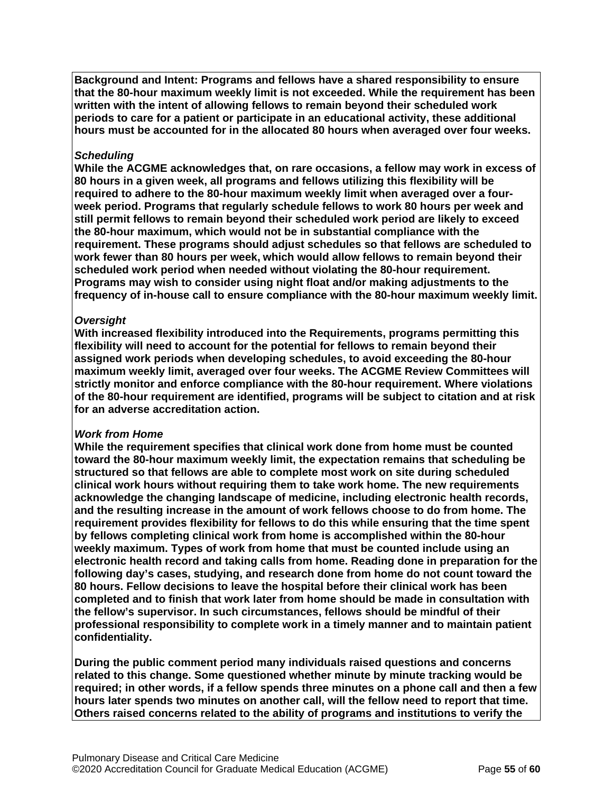**Background and Intent: Programs and fellows have a shared responsibility to ensure that the 80-hour maximum weekly limit is not exceeded. While the requirement has been written with the intent of allowing fellows to remain beyond their scheduled work periods to care for a patient or participate in an educational activity, these additional hours must be accounted for in the allocated 80 hours when averaged over four weeks.**

#### *Scheduling*

**While the ACGME acknowledges that, on rare occasions, a fellow may work in excess of 80 hours in a given week, all programs and fellows utilizing this flexibility will be required to adhere to the 80-hour maximum weekly limit when averaged over a fourweek period. Programs that regularly schedule fellows to work 80 hours per week and still permit fellows to remain beyond their scheduled work period are likely to exceed the 80-hour maximum, which would not be in substantial compliance with the requirement. These programs should adjust schedules so that fellows are scheduled to work fewer than 80 hours per week, which would allow fellows to remain beyond their scheduled work period when needed without violating the 80-hour requirement. Programs may wish to consider using night float and/or making adjustments to the frequency of in-house call to ensure compliance with the 80-hour maximum weekly limit.**

#### *Oversight*

**With increased flexibility introduced into the Requirements, programs permitting this flexibility will need to account for the potential for fellows to remain beyond their assigned work periods when developing schedules, to avoid exceeding the 80-hour maximum weekly limit, averaged over four weeks. The ACGME Review Committees will strictly monitor and enforce compliance with the 80-hour requirement. Where violations of the 80-hour requirement are identified, programs will be subject to citation and at risk for an adverse accreditation action.**

#### *Work from Home*

**While the requirement specifies that clinical work done from home must be counted toward the 80-hour maximum weekly limit, the expectation remains that scheduling be structured so that fellows are able to complete most work on site during scheduled clinical work hours without requiring them to take work home. The new requirements acknowledge the changing landscape of medicine, including electronic health records, and the resulting increase in the amount of work fellows choose to do from home. The requirement provides flexibility for fellows to do this while ensuring that the time spent by fellows completing clinical work from home is accomplished within the 80-hour weekly maximum. Types of work from home that must be counted include using an electronic health record and taking calls from home. Reading done in preparation for the following day's cases, studying, and research done from home do not count toward the 80 hours. Fellow decisions to leave the hospital before their clinical work has been completed and to finish that work later from home should be made in consultation with the fellow's supervisor. In such circumstances, fellows should be mindful of their professional responsibility to complete work in a timely manner and to maintain patient confidentiality.**

**During the public comment period many individuals raised questions and concerns related to this change. Some questioned whether minute by minute tracking would be required; in other words, if a fellow spends three minutes on a phone call and then a few hours later spends two minutes on another call, will the fellow need to report that time. Others raised concerns related to the ability of programs and institutions to verify the**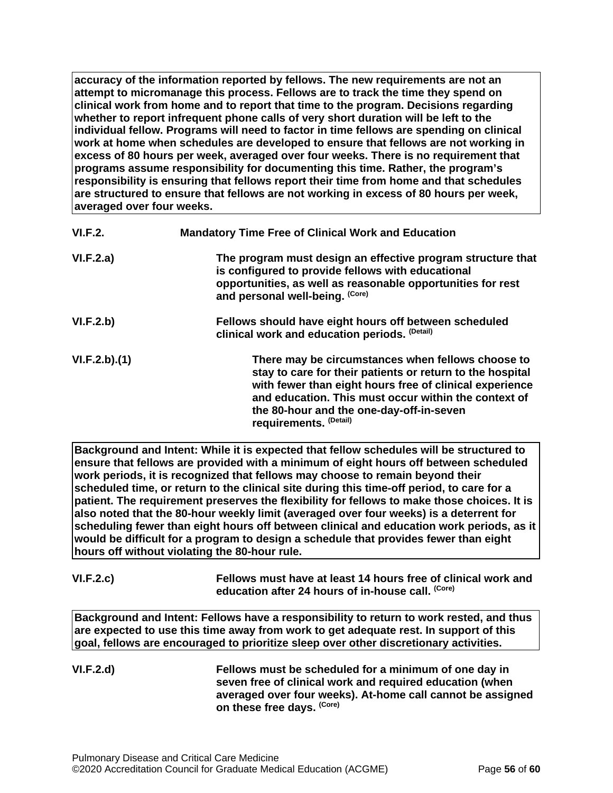**accuracy of the information reported by fellows. The new requirements are not an attempt to micromanage this process. Fellows are to track the time they spend on clinical work from home and to report that time to the program. Decisions regarding whether to report infrequent phone calls of very short duration will be left to the individual fellow. Programs will need to factor in time fellows are spending on clinical work at home when schedules are developed to ensure that fellows are not working in excess of 80 hours per week, averaged over four weeks. There is no requirement that programs assume responsibility for documenting this time. Rather, the program's responsibility is ensuring that fellows report their time from home and that schedules are structured to ensure that fellows are not working in excess of 80 hours per week, averaged over four weeks.**

| VI.F.2.      | <b>Mandatory Time Free of Clinical Work and Education</b>                                                                                                                                                                                                                                               |
|--------------|---------------------------------------------------------------------------------------------------------------------------------------------------------------------------------------------------------------------------------------------------------------------------------------------------------|
| VI.F.2.a)    | The program must design an effective program structure that<br>is configured to provide fellows with educational<br>opportunities, as well as reasonable opportunities for rest<br>and personal well-being. (Core)                                                                                      |
| VI.F.2.b)    | Fellows should have eight hours off between scheduled<br>clinical work and education periods. (Detail)                                                                                                                                                                                                  |
| VI.F.2.b)(1) | There may be circumstances when fellows choose to<br>stay to care for their patients or return to the hospital<br>with fewer than eight hours free of clinical experience<br>and education. This must occur within the context of<br>the 80-hour and the one-day-off-in-seven<br>requirements. (Detail) |

**Background and Intent: While it is expected that fellow schedules will be structured to ensure that fellows are provided with a minimum of eight hours off between scheduled work periods, it is recognized that fellows may choose to remain beyond their scheduled time, or return to the clinical site during this time-off period, to care for a patient. The requirement preserves the flexibility for fellows to make those choices. It is also noted that the 80-hour weekly limit (averaged over four weeks) is a deterrent for scheduling fewer than eight hours off between clinical and education work periods, as it would be difficult for a program to design a schedule that provides fewer than eight hours off without violating the 80-hour rule.**

| VI.F.2.c) | Fellows must have at least 14 hours free of clinical work and |
|-----------|---------------------------------------------------------------|
|           | education after 24 hours of in-house call. <sup>(Core)</sup>  |

**Background and Intent: Fellows have a responsibility to return to work rested, and thus are expected to use this time away from work to get adequate rest. In support of this goal, fellows are encouraged to prioritize sleep over other discretionary activities.**

**VI.F.2.d) Fellows must be scheduled for a minimum of one day in seven free of clinical work and required education (when averaged over four weeks). At-home call cannot be assigned on these free days. (Core)**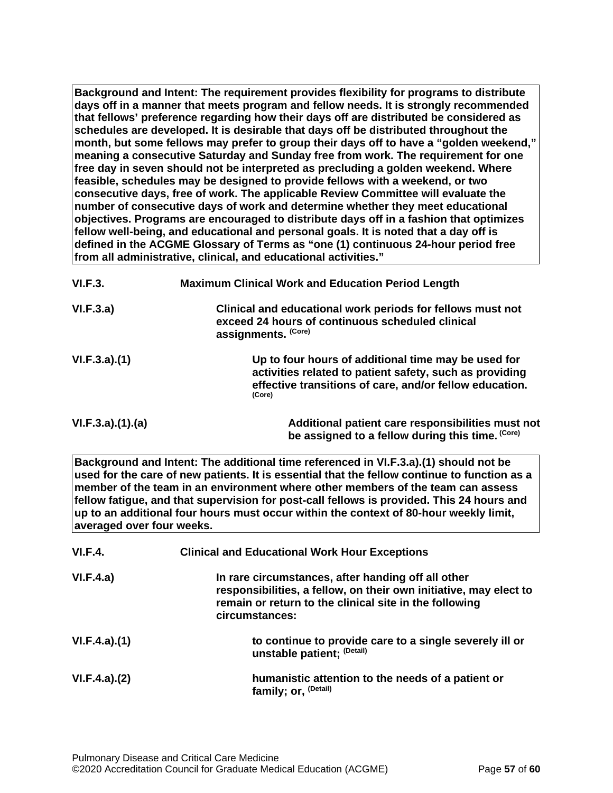**Background and Intent: The requirement provides flexibility for programs to distribute days off in a manner that meets program and fellow needs. It is strongly recommended that fellows' preference regarding how their days off are distributed be considered as schedules are developed. It is desirable that days off be distributed throughout the month, but some fellows may prefer to group their days off to have a "golden weekend," meaning a consecutive Saturday and Sunday free from work. The requirement for one free day in seven should not be interpreted as precluding a golden weekend. Where feasible, schedules may be designed to provide fellows with a weekend, or two consecutive days, free of work. The applicable Review Committee will evaluate the number of consecutive days of work and determine whether they meet educational objectives. Programs are encouraged to distribute days off in a fashion that optimizes fellow well-being, and educational and personal goals. It is noted that a day off is defined in the ACGME Glossary of Terms as "one (1) continuous 24-hour period free from all administrative, clinical, and educational activities."**

| VI.F.3.         | <b>Maximum Clinical Work and Education Period Length</b>                                                                                                                            |
|-----------------|-------------------------------------------------------------------------------------------------------------------------------------------------------------------------------------|
| VI.F.3.a)       | Clinical and educational work periods for fellows must not<br>exceed 24 hours of continuous scheduled clinical<br>assignments. (Core)                                               |
| VI.F.3.a)(1)    | Up to four hours of additional time may be used for<br>activities related to patient safety, such as providing<br>effective transitions of care, and/or fellow education.<br>(Core) |
| VI.F.3.a)(1)(a) | Additional patient care responsibilities must not<br>be assigned to a fellow during this time. (Core)                                                                               |

**Background and Intent: The additional time referenced in VI.F.3.a).(1) should not be used for the care of new patients. It is essential that the fellow continue to function as a member of the team in an environment where other members of the team can assess fellow fatigue, and that supervision for post-call fellows is provided. This 24 hours and up to an additional four hours must occur within the context of 80-hour weekly limit, averaged over four weeks.**

| <b>VI.F.4.</b> | <b>Clinical and Educational Work Hour Exceptions</b>                                                                                                                                                |
|----------------|-----------------------------------------------------------------------------------------------------------------------------------------------------------------------------------------------------|
| VI.F.4.a)      | In rare circumstances, after handing off all other<br>responsibilities, a fellow, on their own initiative, may elect to<br>remain or return to the clinical site in the following<br>circumstances: |
| VI.F.4.a)(1)   | to continue to provide care to a single severely ill or<br>unstable patient; (Detail)                                                                                                               |
| VI.F.4.a)(2)   | humanistic attention to the needs of a patient or<br>family; or, <sup>(Detail)</sup>                                                                                                                |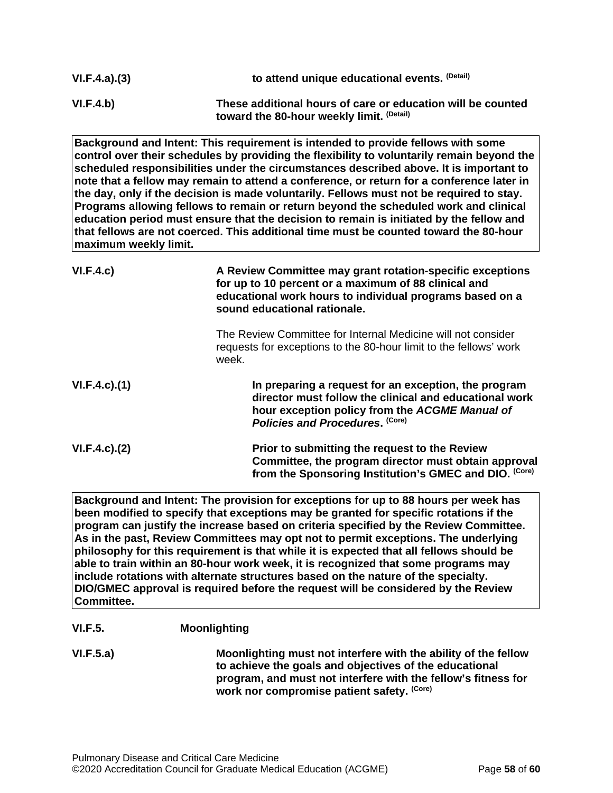| VI.F.4.a)(3) | to attend unique educational events. (Detail)                                                            |
|--------------|----------------------------------------------------------------------------------------------------------|
| VI.F.4.b)    | These additional hours of care or education will be counted<br>toward the 80-hour weekly limit. (Detail) |

**Background and Intent: This requirement is intended to provide fellows with some control over their schedules by providing the flexibility to voluntarily remain beyond the scheduled responsibilities under the circumstances described above. It is important to note that a fellow may remain to attend a conference, or return for a conference later in the day, only if the decision is made voluntarily. Fellows must not be required to stay. Programs allowing fellows to remain or return beyond the scheduled work and clinical education period must ensure that the decision to remain is initiated by the fellow and that fellows are not coerced. This additional time must be counted toward the 80-hour maximum weekly limit.**

| VI.F.4.c)           | A Review Committee may grant rotation-specific exceptions<br>for up to 10 percent or a maximum of 88 clinical and<br>educational work hours to individual programs based on a<br>sound educational rationale. |
|---------------------|---------------------------------------------------------------------------------------------------------------------------------------------------------------------------------------------------------------|
|                     | The Review Committee for Internal Medicine will not consider<br>requests for exceptions to the 80-hour limit to the fellows' work<br>week.                                                                    |
| $VI.F.4.c$ . $(1)$  | In preparing a request for an exception, the program<br>director must follow the clinical and educational work<br>hour exception policy from the ACGME Manual of<br>Policies and Procedures. (Core)           |
| $VI.F.4.c$ ). $(2)$ | Prior to submitting the request to the Review<br>Committee, the program director must obtain approval<br>from the Sponsoring Institution's GMEC and DIO. (Core)                                               |

**Background and Intent: The provision for exceptions for up to 88 hours per week has been modified to specify that exceptions may be granted for specific rotations if the program can justify the increase based on criteria specified by the Review Committee. As in the past, Review Committees may opt not to permit exceptions. The underlying philosophy for this requirement is that while it is expected that all fellows should be able to train within an 80-hour work week, it is recognized that some programs may include rotations with alternate structures based on the nature of the specialty. DIO/GMEC approval is required before the request will be considered by the Review Committee.**

## **VI.F.5. Moonlighting**

**VI.F.5.a) Moonlighting must not interfere with the ability of the fellow to achieve the goals and objectives of the educational program, and must not interfere with the fellow's fitness for work nor compromise patient safety. (Core)**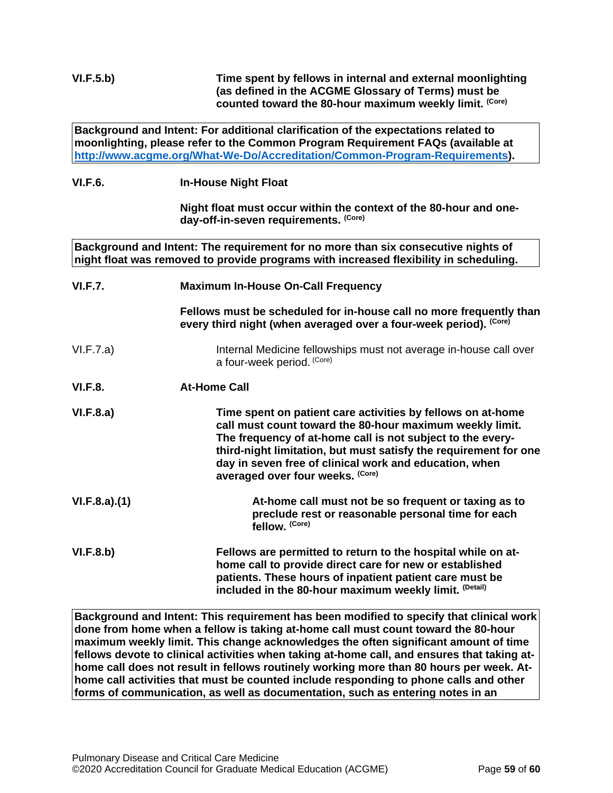**Background and Intent: For additional clarification of the expectations related to moonlighting, please refer to the Common Program Requirement FAQs (available at [http://www.acgme.org/What-We-Do/Accreditation/Common-Program-Requirements\)](http://www.acgme.org/What-We-Do/Accreditation/Common-Program-Requirements).**

## **VI.F.6. In-House Night Float**

**Night float must occur within the context of the 80-hour and oneday-off-in-seven requirements. (Core)**

**Background and Intent: The requirement for no more than six consecutive nights of night float was removed to provide programs with increased flexibility in scheduling.**

| VI.F.7.        | <b>Maximum In-House On-Call Frequency</b>                                                                                                                                                                                                                                                                                                               |
|----------------|---------------------------------------------------------------------------------------------------------------------------------------------------------------------------------------------------------------------------------------------------------------------------------------------------------------------------------------------------------|
|                | Fellows must be scheduled for in-house call no more frequently than<br>every third night (when averaged over a four-week period). (Core)                                                                                                                                                                                                                |
| VI.F.7.a)      | Internal Medicine fellowships must not average in-house call over<br>a four-week period. (Core)                                                                                                                                                                                                                                                         |
| <b>VI.F.8.</b> | <b>At-Home Call</b>                                                                                                                                                                                                                                                                                                                                     |
| VI.F.8.a)      | Time spent on patient care activities by fellows on at-home<br>call must count toward the 80-hour maximum weekly limit.<br>The frequency of at-home call is not subject to the every-<br>third-night limitation, but must satisfy the requirement for one<br>day in seven free of clinical work and education, when<br>averaged over four weeks. (Core) |
| VI.F.8.a)(1)   | At-home call must not be so frequent or taxing as to<br>preclude rest or reasonable personal time for each<br>fellow. (Core)                                                                                                                                                                                                                            |
| VI.F.8.b)      | Fellows are permitted to return to the hospital while on at-<br>home call to provide direct care for new or established<br>patients. These hours of inpatient patient care must be<br>included in the 80-hour maximum weekly limit. (Detail)                                                                                                            |

**Background and Intent: This requirement has been modified to specify that clinical work done from home when a fellow is taking at-home call must count toward the 80-hour maximum weekly limit. This change acknowledges the often significant amount of time fellows devote to clinical activities when taking at-home call, and ensures that taking athome call does not result in fellows routinely working more than 80 hours per week. Athome call activities that must be counted include responding to phone calls and other forms of communication, as well as documentation, such as entering notes in an**